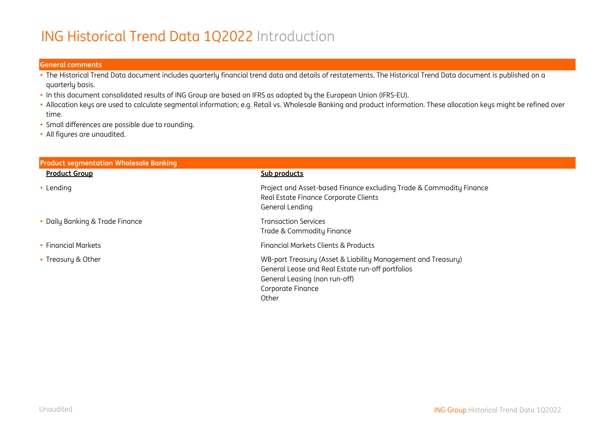# ING Historical Trend Data 1Q2022 Introduction

#### **General comments**

- The Historical Trend Data document includes quarterly financial trend data and details of restatements. The Historical Trend Data document is published on a quarterly basis.
- In this document consolidated results of ING Group are based on IFRS as adopted by the European Union (IFRS-EU).
- Allocation keys are used to calculate segmental information; e.g. Retail vs. Wholesale Banking and product information. These allocation keys might be refined over time.
- Small differences are possible due to rounding.
- All figures are unaudited.

| <b>Product segmentation Wholesale Banking</b> |                                                                                                                                                                                 |
|-----------------------------------------------|---------------------------------------------------------------------------------------------------------------------------------------------------------------------------------|
| <b>Product Group</b>                          | Sub products                                                                                                                                                                    |
| • Lending                                     | Project and Asset-based Finance excluding Trade & Commodity Finance<br>Real Estate Finance Corporate Clients<br>General Lending                                                 |
| • Daily Banking & Trade Finance               | <b>Transaction Services</b><br>Trade & Commodity Finance                                                                                                                        |
| • Financial Markets                           | Financial Markets Clients & Products                                                                                                                                            |
| • Treasury & Other                            | WB-part Treasury (Asset & Liability Management and Treasury)<br>General Lease and Real Estate run-off portfolios<br>General Leasing (non run-off)<br>Corporate Finance<br>Other |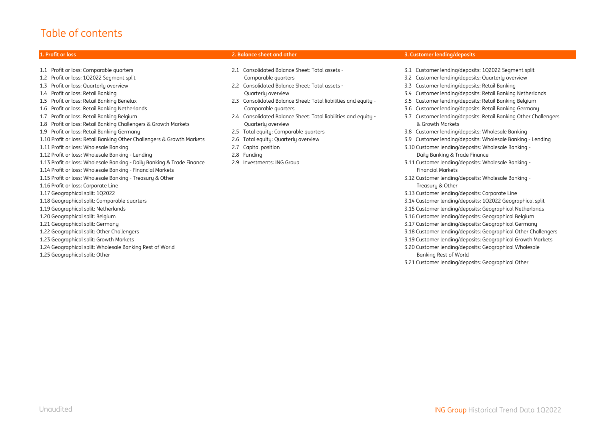#### Table of contents

1.1 Profit or loss: Comparable quarters 2.1 Consolidated Balance Sheet: Total assets - 3.1 Customer lending/deposits: 1Q2022 Segment split 1.2 Profit or loss: 1Q2022 Segment split Comparable quarters 3.2 Customer lending/deposits: Quarterly overview 1.3 Profit or loss: Quarterly overview 2.2 Consolidated Balance Sheet: Total assets - 3.3 Customer lending/deposits: Retail Banking 1.4 Profit or loss: Retail Banking Quarterly overview 3.4 Customer lending/deposits: Retail Banking Netherlands 1.5 Profit or loss: Retail Banking Benelux 2.3 Consolidated Balance Sheet: Total liabilities and equity - 3.5 Customer lending/deposits: Retail Banking Belgium 1.6 Profit or loss: Retail Banking Netherlands Comparable quarters 3.6 Customer lending/deposits: Retail Banking Germany 1.7 Profit or loss: Retail Banking Belgium 2.4 Consolidated Balance Sheet: Total liabilities and equity - 3.7 Customer lending/deposits: Retail Banking Other Challengers 1.8 Profit or loss: Retail Banking Challengers & Growth Markets Quarterly overview & Growth Markets 1.9 Profit or loss: Retail Banking Germany 2.5 Total equity: Comparable quarters 3.8 Customer lending/deposits: Wholesale Banking 1.10 Profit or loss: Retail Banking Other Challengers & Growth Markets 2.6 Total equity: Quarterly overview 3.9 Customer lending/deposits: Wholesale Banking - Lending 1.11 Profit or loss: Wholesale Banking 2.7 Capital position 3.10 Customer lending/deposits: Wholesale Banking - 1.12 Profit or loss: Wholesale Banking - Lending 2.8 Funding Daily Banking & Trade Finance 1.13 Profit or loss: Wholesale Banking - Daily Banking & Trade Finance 2.9 Investments: ING Group 3.11 Customer lending/deposits: Wholesale Banking - 1.14 Profit or loss: Wholesale Banking - Financial Markets Financial Markets 1.15 Profit or loss: Wholesale Banking - Treasury & Other 3.12 Customer lending/deposits: Wholesale Banking - 1.16 Profit or loss: Corporate Line Treasury & Other 1.17 Geographical split: 1Q2022 3.13 Customer lending/deposits: Corporate Line 1.18 Geographical split: Comparable quarters 3.14 Customer lending/deposits: 1Q2022 Geographical split 1.19 Geographical split: Netherlands 3.15 Customer lending/deposits: Geographical Netherlands 1.20 Geographical split: Belgium 3.16 Customer lending/deposits: Geographical Belgium 1.21 Geographical split: Germany 3.17 Customer lending/deposits: Geographical Germany 1.22 Geographical split: Other Challengers 3.18 Customer lending/deposits: Geographical Other Challengers 1.23 Geographical split: Growth Markets 3.19 Customer lending/deposits: Geographical Growth Markets 1.24 Geographical split: Wholesale Banking Rest of World 3.20 Customer lending/deposits: Geographical Wholesale 1.25 Geographical split: Other Banking Rest of World

- 
- 
- 
- 
- 
- 
- 
- 
- 

#### **1. Profit or loss 2. Balance sheet and other 3. Customer lending/deposits**

- 
- 
- 
- 
- 
- 
- 
- 
- 
- 
- 
- 
- 
- 
- 
- 
- 
- 
- 
- 
- 3.21 Customer lending/deposits: Geographical Other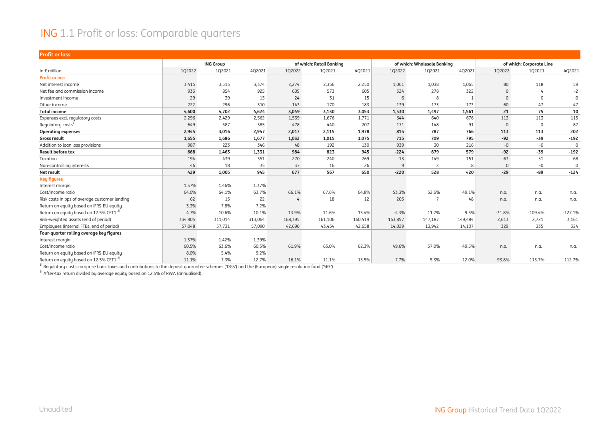#### ING 1.1 Profit or loss: Comparable quarters

| <b>Profit or loss</b>                              |         |                  |         |         |                          |         |         |                             |         |              |                          |           |
|----------------------------------------------------|---------|------------------|---------|---------|--------------------------|---------|---------|-----------------------------|---------|--------------|--------------------------|-----------|
|                                                    |         | <b>ING Group</b> |         |         | of which: Retail Banking |         |         | of which: Wholesale Banking |         |              | of which: Corporate Line |           |
| In $\epsilon$ million                              | 1Q2022  | 1Q2021           | 4Q2021  | 1Q2022  | 102021                   | 4Q2021  | 1Q2022  | 1Q2021                      | 4Q2021  | 1Q2022       | 102021                   | 4Q2021    |
| <b>Profit or loss</b>                              |         |                  |         |         |                          |         |         |                             |         |              |                          |           |
| Net interest income                                | 3,415   | 3,513            | 3,374   | 2,274   | 2,356                    | 2,250   | 1,061   | 1,038                       | 1,065   | 80           | 118                      | 59        |
| Net fee and commission income                      | 933     | 854              | 925     | 609     | 573                      | 605     | 324     | 278                         | 322     | $\mathbf{0}$ |                          | $-2$      |
| Investment income                                  | 29      | 39               | 15      | 24      | 31                       | 15      | 6       | 8                           |         | $\Omega$     |                          | -0        |
| Other income                                       | 222     | 296              | 310     | 143     | 170                      | 183     | 139     | 173                         | 173     | $-60$        | $-47$                    | $-47$     |
| <b>Total income</b>                                | 4,600   | 4,702            | 4,624   | 3,049   | 3,130                    | 3,053   | 1,530   | 1,497                       | 1,561   | 21           | 75                       | 10        |
| Expenses excl. regulatory costs                    | 2,296   | 2,429            | 2,562   | 1,539   | 1,676                    | 1,771   | 644     | 640                         | 676     | 113          | 113                      | 115       |
| Regulatory costs <sup>1)</sup>                     | 649     | 587              | 385     | 478     | 440                      | 207     | 171     | 148                         | 91      | $-0$         | $\mathbf{0}$             | 87        |
| <b>Operating expenses</b>                          | 2,945   | 3.016            | 2,947   | 2,017   | 2,115                    | 1,978   | 815     | 787                         | 766     | 113          | 113                      | 202       |
| Gross result                                       | 1,655   | 1,686            | 1,677   | 1,032   | 1,015                    | 1,075   | 715     | 709                         | 795     | $-92$        | $-39$                    | $-192$    |
| Addition to loan loss provisions                   | 987     | 223              | 346     | 48      | 192                      | 130     | 939     | 30                          | 216     | $-0$         | $-0$                     | $\Omega$  |
| <b>Result before tax</b>                           | 668     | 1,463            | 1,331   | 984     | 823                      | 945     | $-224$  | 679                         | 579     | $-92$        | $-39$                    | $-192$    |
| Taxation                                           | 194     | 439              | 351     | 270     | 240                      | 269     | $-13$   | 149                         | 151     | $-63$        | 51                       | $-68$     |
| Non-controlling interests                          | 46      | 18               | 35      | 37      | 16                       | 26      | 9       | $\overline{c}$              |         | $\mathbf{0}$ | $-0$                     | 0         |
| Net result                                         | 429     | 1,005            | 945     | 677     | 567                      | 650     | $-220$  | 528                         | 420     | $-29$        | $-89$                    | $-124$    |
| <b>Key figures</b>                                 |         |                  |         |         |                          |         |         |                             |         |              |                          |           |
| Interest margin                                    | 1.37%   | 1.46%            | 1.37%   |         |                          |         |         |                             |         |              |                          |           |
| Cost/income ratio                                  | 64.0%   | 64.1%            | 63.7%   | 66.1%   | 67.6%                    | 64.8%   | 53.3%   | 52.6%                       | 49.1%   | n.a.         | n.a.                     | n.a.      |
| Risk costs in bps of average customer lending      | 62      | 15               | 22      |         | 18                       | 12      | 205     |                             | 48      | n.a.         | n.a.                     | n.a.      |
| Return on equity based on IFRS-EU equity           | 3.3%    | 7.8%             | 7.2%    |         |                          |         |         |                             |         |              |                          |           |
| Return on equity based on 12.5% CET1 <sup>2)</sup> | 4.7%    | 10.6%            | 10.1%   | 13.9%   | 11.6%                    | 13.4%   | $-4.3%$ | 11.7%                       | 9.3%    | $-31.8%$     | $-109.4%$                | $-127.1%$ |
| Risk-weighted assets (end of period)               | 334,905 | 311,014          | 313,064 | 168,395 | 161,106                  | 160,419 | 163,897 | 147,187                     | 149,484 | 2,613        | 2,721                    | 3,161     |
| Employees (internal FTEs, end of period)           | 57,048  | 57,731           | 57,090  | 42,690  | 43,454                   | 42,658  | 14,029  | 13,942                      | 14,107  | 329          | 335                      | 324       |
| Four-quarter rolling average key figures           |         |                  |         |         |                          |         |         |                             |         |              |                          |           |
| Interest margin                                    | 1.37%   | 1.42%            | 1.39%   |         |                          |         |         |                             |         |              |                          |           |
| Cost/income ratio                                  | 60.5%   | 63.6%            | 60.5%   | 61.9%   | 63.0%                    | 62.3%   | 49.6%   | 57.0%                       | 49.5%   | n.a.         | n.a.                     | n.a.      |
| Return on equity based on IFRS-EU equity           | 8.0%    | 5.4%             | 9.2%    |         |                          |         |         |                             |         |              |                          |           |
| Return on equity based on 12.5% CET1 <sup>2)</sup> | 11.1%   | 7.3%             | 12.7%   | 16.1%   | 11.1%                    | 15.5%   | 7.7%    | 5.3%                        | 12.0%   | $-93.8%$     | $-115.7%$                | $-112.7%$ |

 $\frac{1}{1}$  Regulatory costs comprise bank taxes and contributions to the deposit guarantee schemes ('DGS') and the (European) single resolution fund ('SRF').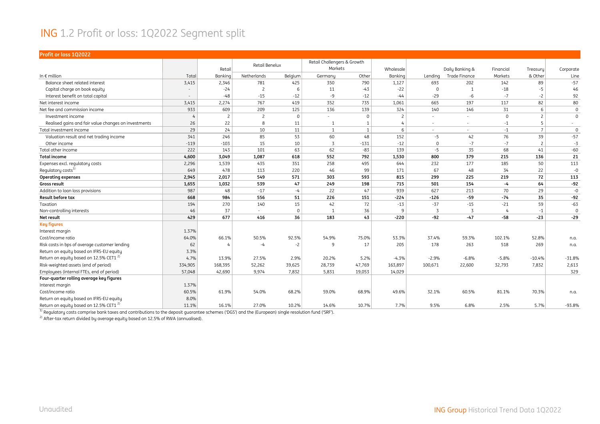#### ING 1.2 Profit or loss: 1Q2022 Segment split

| Profit or loss 1Q2022                                |         |                |                |          |                                        |              |                |             |                 |                |                |             |
|------------------------------------------------------|---------|----------------|----------------|----------|----------------------------------------|--------------|----------------|-------------|-----------------|----------------|----------------|-------------|
|                                                      |         | Retail         | Retail Benelux |          | Retail Challengers & Growth<br>Markets |              | Wholesale      |             | Daily Banking & | Financial      | Treasuru       | Corporate   |
| In $\epsilon$ million                                | Total   | Banking        | Netherlands    | Belgium  | Germany                                | Other        | Banking        | Lending     | Trade Finance   | Markets        | & Other        | Line        |
| Balance sheet related interest                       | 3,415   | 2,346          | 781            | 425      | 350                                    | 790          | 1,127          | 693         | 202             | 142            | 89             | $-57$       |
| Capital charge on book equity                        |         | $-24$          | $\overline{c}$ |          | 11                                     | $-43$        | $-22$          | $\mathbf 0$ |                 | $-18$          | $-5$           | 46          |
| Interest benefit on total capital                    |         | $-48$          | $-15$          | $-12$    | -9                                     | $-12$        | $-44$          | $-29$       | $-6$            | $-7$           | $-2$           | 92          |
| Net interest income                                  | 3,415   | 2,274          | 767            | 419      | 352                                    | 735          | 1,061          | 665         | 197             | 117            | 82             | 80          |
| Net fee and commission income                        | 933     | 609            | 209            | 125      | 136                                    | 139          | 324            | 140         | 146             | 31             | 6              | $\mathbf 0$ |
| Investment income                                    | 4       | $\overline{c}$ | $\overline{c}$ | $\Omega$ |                                        | $\mathbf{0}$ | $\overline{c}$ |             |                 | $\mathbf 0$    | $\overline{c}$ | $\mathbf 0$ |
| Realised gains and fair value changes on investments | 26      | 22             | 8              | 11       | $\mathbf{1}$                           | $\mathbf{1}$ | 4              | ٠           | $\sim$          | $-1$           | 5              | $\sim$      |
| Total investment income                              | 29      | 24             | 10             | 11       | $\overline{1}$                         | $\mathbf{1}$ | 6              | $\sim$      | $\sim$          | $-1$           | $7^{\circ}$    | $\mathbf 0$ |
| Valuation result and net trading income              | 341     | 246            | 85             | 53       | 60                                     | 48           | 152            | $-5$        | 42              | 76             | 39             | $-57$       |
| Other income                                         | $-119$  | $-103$         | 15             | 10       | $\overline{3}$                         | $-131$       | $-12$          | $\mathbf 0$ | $-7$            | $-7$           | $\overline{c}$ | $-3$        |
| Total other income                                   | 222     | 143            | 101            | 63       | 62                                     | $-83$        | 139            | $-5$        | 35              | 68             | 41             | $-60$       |
| <b>Total income</b>                                  | 4,600   | 3,049          | 1,087          | 618      | 552                                    | 792          | 1,530          | 800         | 379             | 215            | 136            | 21          |
| Expenses excl. regulatory costs                      | 2,296   | 1,539          | 435            | 351      | 258                                    | 495          | 644            | 232         | 177             | 185            | 50             | 113         |
| Regulatory costs <sup>1)</sup>                       | 649     | 478            | 113            | 220      | 46                                     | 99           | 171            | 67          | 48              | 34             | 22             | $-0$        |
| <b>Operating expenses</b>                            | 2,945   | 2,017          | 549            | 571      | 303                                    | 593          | 815            | 299         | 225             | 219            | 72             | 113         |
| <b>Gross result</b>                                  | 1,655   | 1,032          | 539            | 47       | 249                                    | 198          | 715            | 501         | 154             | $-4$           | 64             | $-92$       |
| Addition to loan loss provisions                     | 987     | 48             | $-17$          | $-4$     | 22                                     | 47           | 939            | 627         | 213             | 70             | 29             | $-0$        |
| Result before tax                                    | 668     | 984            | 556            | 51       | 226                                    | 151          | $-224$         | $-126$      | $-59$           | $-74$          | 35             | $-92$       |
| Taxation                                             | 194     | 270            | 140            | 15       | 42                                     | 72           | $-13$          | $-37$       | $-15$           | $-21$          | 59             | $-63$       |
| Non-controlling interests                            | 46      | 37             | $\sim$         | $\Omega$ | $\mathbf{1}$                           | 36           | 9              | 3           | -3              | $\overline{4}$ | $-1$           | $\mathbf 0$ |
| Net result                                           | 429     | 677            | 416            | 36       | 183                                    | 43           | $-220$         | $-92$       | $-47$           | $-58$          | $-23$          | $-29$       |
| <b>Key figures</b>                                   |         |                |                |          |                                        |              |                |             |                 |                |                |             |
| Interest margin                                      | 1.37%   |                |                |          |                                        |              |                |             |                 |                |                |             |
| Cost/income ratio                                    | 64.0%   | 66.1%          | 50.5%          | 92.5%    | 54.9%                                  | 75.0%        | 53.3%          | 37.4%       | 59.3%           | 102.1%         | 52.8%          | n.a.        |
| Risk costs in bps of average customer lending        | 62      |                | $-4$           | $-2$     | 9                                      | 17           | 205            | 178         | 263             | 518            | 269            | n.a.        |
| Return on equity based on IFRS-EU equity             | 3.3%    |                |                |          |                                        |              |                |             |                 |                |                |             |
| Return on equity based on 12.5% CET1 <sup>2)</sup>   | 4.7%    | 13.9%          | 27.5%          | 2.9%     | 20.2%                                  | 5.2%         | $-4.3%$        | $-2.9%$     | $-6.8%$         | $-5.8%$        | $-10.4%$       | $-31.8%$    |
| Risk-weighted assets (end of period)                 | 334,905 | 168,395        | 52,262         | 39,625   | 28,739                                 | 47,769       | 163,897        | 100,671     | 22,600          | 32,793         | 7,832          | 2,613       |
| Employees (internal FTEs, end of period)             | 57,048  | 42,690         | 9,974          | 7,832    | 5,831                                  | 19,053       | 14,029         |             |                 |                |                | 329         |
| Four-quarter rolling average key figures             |         |                |                |          |                                        |              |                |             |                 |                |                |             |
| Interest margin                                      | 1.37%   |                |                |          |                                        |              |                |             |                 |                |                |             |
| Cost/income ratio                                    | 60.5%   | 61.9%          | 54.0%          | 68.2%    | 59.0%                                  | 68.9%        | 49.6%          | 32.1%       | 60.5%           | 81.1%          | 70.3%          | n.a.        |
| Return on equity based on IFRS-EU equity             | 8.0%    |                |                |          |                                        |              |                |             |                 |                |                |             |
| Return on equity based on 12.5% CET1 <sup>2)</sup>   | 11.1%   | 16.1%          | 27.0%          | 10.2%    | 14.6%                                  | 10.7%        | 7.7%           | 9.5%        | 6.8%            | 2.5%           | 5.7%           | $-93.8%$    |

 $^{\rm 1)}$  Regulatory costs comprise bank taxes and contributions to the deposit guarantee schemes ('DGS') and the (European) single resolution fund ('SRF').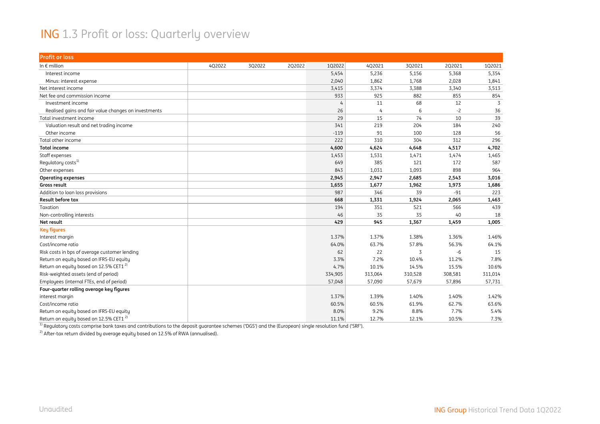#### ING 1.3 Profit or loss: Quarterly overview

| <b>Profit or loss</b>                                |        |        |        |                |                |         |         |         |
|------------------------------------------------------|--------|--------|--------|----------------|----------------|---------|---------|---------|
| In $\epsilon$ million                                | 4Q2022 | 3Q2022 | 2Q2022 | 1Q2022         | 4Q2021         | 3Q2021  | 2Q2021  | 102021  |
| Interest income                                      |        |        |        | 5,454          | 5,236          | 5,156   | 5,368   | 5,354   |
| Minus: interest expense                              |        |        |        | 2,040          | 1,862          | 1,768   | 2,028   | 1,841   |
| Net interest income                                  |        |        |        | 3,415          | 3,374          | 3,388   | 3,340   | 3,513   |
| Net fee and commission income                        |        |        |        | 933            | 925            | 882     | 855     | 854     |
| Investment income                                    |        |        |        | $\overline{4}$ | 11             | 68      | 12      | 3       |
| Realised gains and fair value changes on investments |        |        |        | 26             | $\overline{4}$ | 6       | $-2$    | 36      |
| Total investment income                              |        |        |        | 29             | 15             | 74      | 10      | 39      |
| Valuation result and net trading income              |        |        |        | 341            | 219            | 204     | 184     | 240     |
| Other income                                         |        |        |        | $-119$         | 91             | 100     | 128     | 56      |
| Total other income                                   |        |        |        | 222            | 310            | 304     | 312     | 296     |
| <b>Total income</b>                                  |        |        |        | 4,600          | 4,624          | 4,648   | 4,517   | 4,702   |
| Staff expenses                                       |        |        |        | 1,453          | 1,531          | 1,471   | 1,474   | 1,465   |
| Regulatory costs <sup>1)</sup>                       |        |        |        | 649            | 385            | 121     | 172     | 587     |
| Other expenses                                       |        |        |        | 843            | 1,031          | 1,093   | 898     | 964     |
| <b>Operating expenses</b>                            |        |        |        | 2,945          | 2,947          | 2,685   | 2,543   | 3,016   |
| Gross result                                         |        |        |        | 1,655          | 1,677          | 1,962   | 1,973   | 1,686   |
| Addition to loan loss provisions                     |        |        |        | 987            | 346            | 39      | $-91$   | 223     |
| Result before tax                                    |        |        |        | 668            | 1,331          | 1,924   | 2,065   | 1,463   |
| Taxation                                             |        |        |        | 194            | 351            | 521     | 566     | 439     |
| Non-controlling interests                            |        |        |        | 46             | 35             | 35      | 40      | 18      |
| Net result                                           |        |        |        | 429            | 945            | 1,367   | 1,459   | 1,005   |
| <b>Key figures</b>                                   |        |        |        |                |                |         |         |         |
| Interest margin                                      |        |        |        | 1.37%          | 1.37%          | 1.38%   | 1.36%   | 1.46%   |
| Cost/income ratio                                    |        |        |        | 64.0%          | 63.7%          | 57.8%   | 56.3%   | 64.1%   |
| Risk costs in bps of average customer lending        |        |        |        | 62             | 22             | 3       | $-6$    | 15      |
| Return on equity based on IFRS-EU equity             |        |        |        | 3.3%           | 7.2%           | 10.4%   | 11.2%   | 7.8%    |
| Return on equity based on 12.5% CET1 <sup>2)</sup>   |        |        |        | 4.7%           | 10.1%          | 14.5%   | 15.5%   | 10.6%   |
| Risk-weighted assets (end of period)                 |        |        |        | 334,905        | 313,064        | 310,528 | 308,581 | 311,014 |
| Employees (internal FTEs, end of period)             |        |        |        | 57,048         | 57,090         | 57,679  | 57,896  | 57,731  |
| Four-quarter rolling average key figures             |        |        |        |                |                |         |         |         |
| interest margin                                      |        |        |        | 1.37%          | 1.39%          | 1.40%   | 1.40%   | 1.42%   |
| Cost/income ratio                                    |        |        |        | 60.5%          | 60.5%          | 61.9%   | 62.7%   | 63.6%   |
| Return on equity based on IFRS-EU equity             |        |        |        | 8.0%           | 9.2%           | 8.8%    | 7.7%    | 5.4%    |
| Return on equity based on 12.5% CET1 <sup>2)</sup>   |        |        |        | 11.1%          | 12.7%          | 12.1%   | 10.5%   | 7.3%    |

<sup>1)</sup> Regulatory costs comprise bank taxes and contributions to the deposit guarantee schemes ('DGS') and the (European) single resolution fund ('SRF').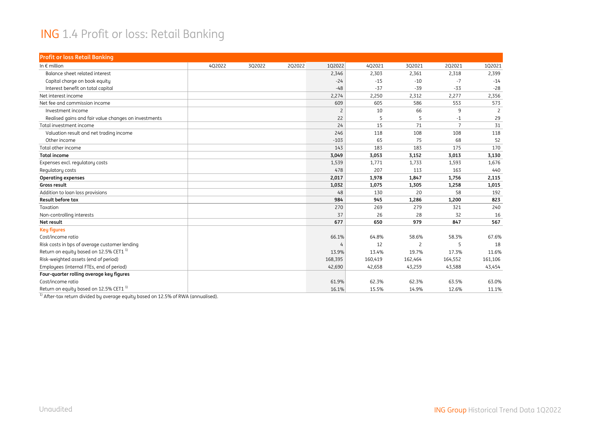#### ING 1.4 Profit or loss: Retail Banking

| <b>Profit or loss Retail Banking</b>                 |        |        |        |         |         |                          |                |                |
|------------------------------------------------------|--------|--------|--------|---------|---------|--------------------------|----------------|----------------|
| In $\epsilon$ million                                | 4Q2022 | 3Q2022 | 2Q2022 | 1Q2022  | 4Q2021  | 3Q2021                   | 2Q2021         | 102021         |
| Balance sheet related interest                       |        |        |        | 2,346   | 2,303   | 2,361                    | 2,318          | 2,399          |
| Capital charge on book equity                        |        |        |        | $-24$   | $-15$   | $-10$                    | $-7$           | $-14$          |
| Interest benefit on total capital                    |        |        |        | $-48$   | $-37$   | $-39$                    | $-33$          | $-28$          |
| Net interest income                                  |        |        |        | 2,274   | 2,250   | 2,312                    | 2,277          | 2,356          |
| Net fee and commission income                        |        |        |        | 609     | 605     | 586                      | 553            | 573            |
| Investment income                                    |        |        |        | 2       | 10      | 66                       | 9              | $\overline{2}$ |
| Realised gains and fair value changes on investments |        |        |        | 22      | 5       | 5                        | $-1$           | 29             |
| Total investment income                              |        |        |        | 24      | 15      | 71                       | $\overline{7}$ | 31             |
| Valuation result and net trading income              |        |        |        | 246     | 118     | 108                      | 108            | 118            |
| Other income                                         |        |        |        | $-103$  | 65      | 75                       | 68             | 52             |
| Total other income                                   |        |        |        | 143     | 183     | 183                      | 175            | 170            |
| <b>Total income</b>                                  |        |        |        | 3,049   | 3,053   | 3,152                    | 3,013          | 3,130          |
| Expenses excl. regulatory costs                      |        |        |        | 1,539   | 1,771   | 1,733                    | 1,593          | 1,676          |
| Regulatory costs                                     |        |        |        | 478     | 207     | 113                      | 163            | 440            |
| <b>Operating expenses</b>                            |        |        |        | 2,017   | 1,978   | 1,847                    | 1,756          | 2,115          |
| Gross result                                         |        |        |        | 1,032   | 1,075   | 1,305                    | 1,258          | 1,015          |
| Addition to loan loss provisions                     |        |        |        | 48      | 130     | 20                       | 58             | 192            |
| <b>Result before tax</b>                             |        |        |        | 984     | 945     | 1,286                    | 1,200          | 823            |
| Taxation                                             |        |        |        | 270     | 269     | 279                      | 321            | 240            |
| Non-controlling interests                            |        |        |        | 37      | 26      | 28                       | 32             | 16             |
| Net result                                           |        |        |        | 677     | 650     | 979                      | 847            | 567            |
| <b>Key figures</b>                                   |        |        |        |         |         |                          |                |                |
| Cost/income ratio                                    |        |        |        | 66.1%   | 64.8%   | 58.6%                    | 58.3%          | 67.6%          |
| Risk costs in bps of average customer lending        |        |        |        |         | 12      | $\overline{\phantom{0}}$ | 5              | 18             |
| Return on equity based on 12.5% CET1 <sup>1)</sup>   |        |        |        | 13.9%   | 13.4%   | 19.7%                    | 17.3%          | 11.6%          |
| Risk-weighted assets (end of period)                 |        |        |        | 168,395 | 160,419 | 162,464                  | 164,552        | 161,106        |
| Employees (internal FTEs, end of period)             |        |        |        | 42,690  | 42,658  | 43,259                   | 43,588         | 43,454         |
| Four-quarter rolling average key figures             |        |        |        |         |         |                          |                |                |
| Cost/income ratio                                    |        |        |        | 61.9%   | 62.3%   | 62.3%                    | 63.5%          | 63.0%          |
| Return on equity based on 12.5% CET1 <sup>1)</sup>   |        |        |        | 16.1%   | 15.5%   | 14.9%                    | 12.6%          | 11.1%          |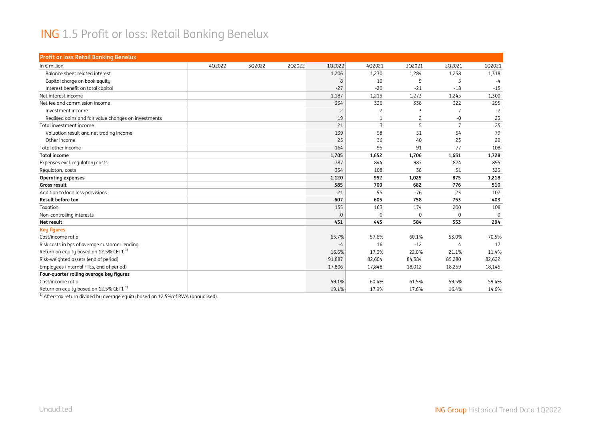#### ING 1.5 Profit or loss: Retail Banking Benelux

| <b>Profit or loss Retail Banking Benelux</b>         |        |        |        |                |                |             |                |                |
|------------------------------------------------------|--------|--------|--------|----------------|----------------|-------------|----------------|----------------|
| In $\epsilon$ million                                | 4Q2022 | 3Q2022 | 2Q2022 | 1Q2022         | 4Q2021         | 3Q2021      | 2Q2021         | 1Q2021         |
| Balance sheet related interest                       |        |        |        | 1,206          | 1,230          | 1,284       | 1,258          | 1,318          |
| Capital charge on book equity                        |        |        |        | 8              | 10             | 9           | 5              | $-4$           |
| Interest benefit on total capital                    |        |        |        | $-27$          | $-20$          | $-21$       | $-18$          | $-15$          |
| Net interest income                                  |        |        |        | 1,187          | 1,219          | 1,273       | 1,245          | 1,300          |
| Net fee and commission income                        |        |        |        | 334            | 336            | 338         | 322            | 295            |
| Investment income                                    |        |        |        | $\overline{c}$ | $\overline{c}$ | 3           | $\overline{7}$ | $\overline{c}$ |
| Realised gains and fair value changes on investments |        |        |        | 19             | $\mathbf{1}$   | 2           | -0             | 23             |
| Total investment income                              |        |        |        | 21             | $\overline{3}$ | 5           | $\overline{7}$ | 25             |
| Valuation result and net trading income              |        |        |        | 139            | 58             | 51          | 54             | 79             |
| Other income                                         |        |        |        | 25             | 36             | 40          | 23             | 29             |
| Total other income                                   |        |        |        | 164            | 95             | 91          | 77             | 108            |
| <b>Total income</b>                                  |        |        |        | 1,705          | 1,652          | 1,706       | 1,651          | 1,728          |
| Expenses excl. regulatory costs                      |        |        |        | 787            | 844            | 987         | 824            | 895            |
| Regulatory costs                                     |        |        |        | 334            | 108            | 38          | 51             | 323            |
| <b>Operating expenses</b>                            |        |        |        | 1,120          | 952            | 1,025       | 875            | 1,218          |
| Gross result                                         |        |        |        | 585            | 700            | 682         | 776            | 510            |
| Addition to loan loss provisions                     |        |        |        | $-21$          | 95             | $-76$       | 23             | 107            |
| <b>Result before tax</b>                             |        |        |        | 607            | 605            | 758         | 753            | 403            |
| Taxation                                             |        |        |        | 155            | 163            | 174         | 200            | 108            |
| Non-controlling interests                            |        |        |        | $\Omega$       | $\Omega$       | $\mathbf 0$ | $\Omega$       | $\Omega$       |
| Net result                                           |        |        |        | 451            | 443            | 584         | 553            | 294            |
| <b>Key figures</b>                                   |        |        |        |                |                |             |                |                |
| Cost/income ratio                                    |        |        |        | 65.7%          | 57.6%          | 60.1%       | 53.0%          | 70.5%          |
| Risk costs in bps of average customer lending        |        |        |        | $-4$           | 16             | $-12$       | 4              | 17             |
| Return on equity based on 12.5% CET1 <sup>1)</sup>   |        |        |        | 16.6%          | 17.0%          | 22.0%       | 21.1%          | 11.4%          |
| Risk-weighted assets (end of period)                 |        |        |        | 91,887         | 82,604         | 84,384      | 85,280         | 82,622         |
| Employees (internal FTEs, end of period)             |        |        |        | 17,806         | 17,848         | 18,012      | 18,259         | 18,145         |
| Four-quarter rolling average key figures             |        |        |        |                |                |             |                |                |
| Cost/income ratio                                    |        |        |        | 59.1%          | 60.4%          | 61.5%       | 59.5%          | 59.4%          |
| Return on equity based on 12.5% CET1 <sup>1)</sup>   |        |        |        | 19.1%          | 17.9%          | 17.6%       | 16.4%          | 14.6%          |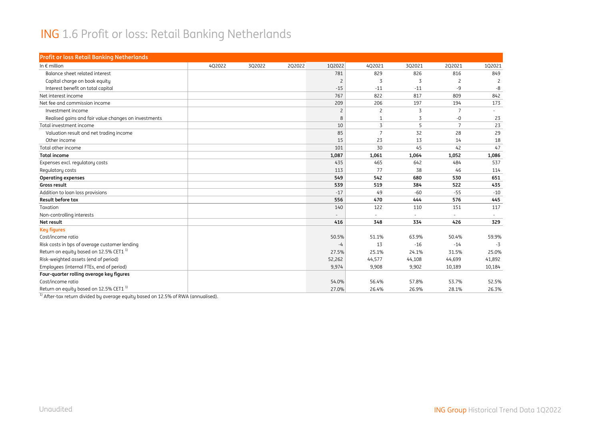#### ING 1.6 Profit or loss: Retail Banking Netherlands

| <b>Profit or loss Retail Banking Netherlands</b>     |        |        |        |                |                |        |                 |                |
|------------------------------------------------------|--------|--------|--------|----------------|----------------|--------|-----------------|----------------|
| In $\epsilon$ million                                | 4Q2022 | 3Q2022 | 2Q2022 | 1Q2022         | 4Q2021         | 3Q2021 | 2Q2021          | 102021         |
| Balance sheet related interest                       |        |        |        | 781            | 829            | 826    | 816             | 849            |
| Capital charge on book equity                        |        |        |        | $\overline{c}$ | $\overline{3}$ | 3      | 2               | $\overline{c}$ |
| Interest benefit on total capital                    |        |        |        | $-15$          | $-11$          | $-11$  | -9              | -8             |
| Net interest income                                  |        |        |        | 767            | 822            | 817    | 809             | 842            |
| Net fee and commission income                        |        |        |        | 209            | 206            | 197    | 194             | 173            |
| Investment income                                    |        |        |        | 2              | $\overline{c}$ | 3      | 7               |                |
| Realised gains and fair value changes on investments |        |        |        | 8              | 1              | 3      | -0              | 23             |
| Total investment income                              |        |        |        | 10             | $\overline{3}$ | 5      | $7\overline{ }$ | 23             |
| Valuation result and net trading income              |        |        |        | 85             | $\overline{7}$ | 32     | 28              | 29             |
| Other income                                         |        |        |        | 15             | 23             | 13     | 14              | 18             |
| Total other income                                   |        |        |        | 101            | 30             | 45     | 42              | 47             |
| <b>Total income</b>                                  |        |        |        | 1,087          | 1,061          | 1,064  | 1,052           | 1,086          |
| Expenses excl. regulatory costs                      |        |        |        | 435            | 465            | 642    | 484             | 537            |
| Regulatory costs                                     |        |        |        | 113            | 77             | 38     | 46              | 114            |
| <b>Operating expenses</b>                            |        |        |        | 549            | 542            | 680    | 530             | 651            |
| Gross result                                         |        |        |        | 539            | 519            | 384    | 522             | 435            |
| Addition to loan loss provisions                     |        |        |        | $-17$          | 49             | $-60$  | $-55$           | $-10$          |
| <b>Result before tax</b>                             |        |        |        | 556            | 470            | 444    | 576             | 445            |
| Taxation                                             |        |        |        | 140            | 122            | 110    | 151             | 117            |
| Non-controlling interests                            |        |        |        |                |                |        |                 |                |
| Net result                                           |        |        |        | 416            | 348            | 334    | 426             | 329            |
| <b>Key figures</b>                                   |        |        |        |                |                |        |                 |                |
| Cost/income ratio                                    |        |        |        | 50.5%          | 51.1%          | 63.9%  | 50.4%           | 59.9%          |
| Risk costs in bps of average customer lending        |        |        |        | $-4$           | 13             | $-16$  | $-14$           | $-3$           |
| Return on equity based on 12.5% CET1 <sup>1)</sup>   |        |        |        | 27.5%          | 25.1%          | 24.1%  | 31.5%           | 25.0%          |
| Risk-weighted assets (end of period)                 |        |        |        | 52,262         | 44,577         | 44,108 | 44,699          | 41,892         |
| Employees (internal FTEs, end of period)             |        |        |        | 9,974          | 9,908          | 9,902  | 10,189          | 10,184         |
| Four-quarter rolling average key figures             |        |        |        |                |                |        |                 |                |
| Cost/income ratio                                    |        |        |        | 54.0%          | 56.4%          | 57.8%  | 53.7%           | 52.5%          |
| Return on equity based on 12.5% CET1 <sup>1)</sup>   |        |        |        | 27.0%          | 26.4%          | 26.9%  | 28.1%           | 26.3%          |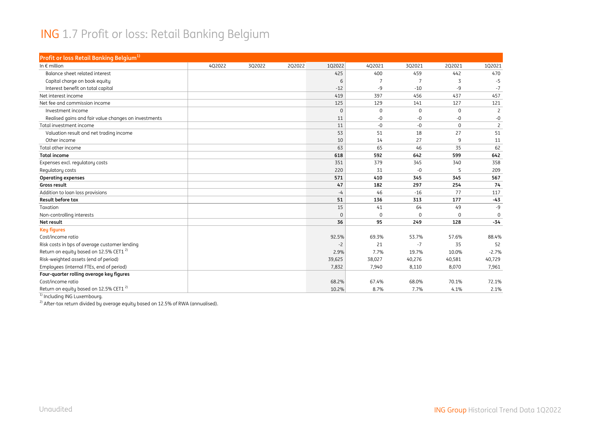#### ING 1.7 Profit or loss: Retail Banking Belgium

| Profit or loss Retail Banking Belgium <sup>1)</sup>  |        |        |        |             |        |             |             |                |
|------------------------------------------------------|--------|--------|--------|-------------|--------|-------------|-------------|----------------|
| In $\epsilon$ million                                | 4Q2022 | 3Q2022 | 2Q2022 | 1Q2022      | 4Q2021 | 3Q2021      | 2Q2021      | 1Q2021         |
| Balance sheet related interest                       |        |        |        | 425         | 400    | 459         | 442         | 470            |
| Capital charge on book equity                        |        |        |        | 6           | 7      | 7           | 3           | $-5$           |
| Interest benefit on total capital                    |        |        |        | $-12$       | -9     | $-10$       | -9          | $-7$           |
| Net interest income                                  |        |        |        | 419         | 397    | 456         | 437         | 457            |
| Net fee and commission income                        |        |        |        | 125         | 129    | 141         | 127         | 121            |
| Investment income                                    |        |        |        | $\mathbf 0$ | 0      | $\mathbf 0$ | $\mathbf 0$ | $\overline{c}$ |
| Realised gains and fair value changes on investments |        |        |        | 11          | -0     | -0          | $-0$        | -0             |
| Total investment income                              |        |        |        | 11          | -0     | $-0$        | $\Omega$    | $\overline{c}$ |
| Valuation result and net trading income              |        |        |        | 53          | 51     | 18          | 27          | 51             |
| Other income                                         |        |        |        | 10          | 14     | 27          | 9           | 11             |
| Total other income                                   |        |        |        | 63          | 65     | 46          | 35          | 62             |
| <b>Total income</b>                                  |        |        |        | 618         | 592    | 642         | 599         | 642            |
| Expenses excl. regulatory costs                      |        |        |        | 351         | 379    | 345         | 340         | 358            |
| Regulatory costs                                     |        |        |        | 220         | 31     | $-0$        | 5           | 209            |
| <b>Operating expenses</b>                            |        |        |        | 571         | 410    | 345         | 345         | 567            |
| Gross result                                         |        |        |        | 47          | 182    | 297         | 254         | 74             |
| Addition to loan loss provisions                     |        |        |        | $-4$        | 46     | $-16$       | 77          | 117            |
| <b>Result before tax</b>                             |        |        |        | 51          | 136    | 313         | 177         | $-43$          |
| Taxation                                             |        |        |        | 15          | 41     | 64          | 49          | $-9$           |
| Non-controlling interests                            |        |        |        | $\mathbf 0$ | 0      | $\mathbf 0$ | $\Omega$    | $\mathbf 0$    |
| Net result                                           |        |        |        | 36          | 95     | 249         | 128         | $-34$          |
| <b>Key figures</b>                                   |        |        |        |             |        |             |             |                |
| Cost/income ratio                                    |        |        |        | 92.5%       | 69.3%  | 53.7%       | 57.6%       | 88.4%          |
| Risk costs in bps of average customer lending        |        |        |        | $-2$        | 21     | $-7$        | 35          | 52             |
| Return on equity based on 12.5% CET1 <sup>2)</sup>   |        |        |        | 2.9%        | 7.7%   | 19.7%       | 10.0%       | $-2.7%$        |
| Risk-weighted assets (end of period)                 |        |        |        | 39,625      | 38,027 | 40,276      | 40,581      | 40,729         |
| Employees (internal FTEs, end of period)             |        |        |        | 7,832       | 7,940  | 8,110       | 8,070       | 7,961          |
| Four-quarter rolling average key figures             |        |        |        |             |        |             |             |                |
| Cost/income ratio                                    |        |        |        | 68.2%       | 67.4%  | 68.0%       | 70.1%       | 72.1%          |
| Return on equity based on 12.5% CET1 <sup>2)</sup>   |        |        |        | 10.2%       | 8.7%   | 7.7%        | 4.1%        | 2.1%           |

<sup>1)</sup> Including ING Luxembourg.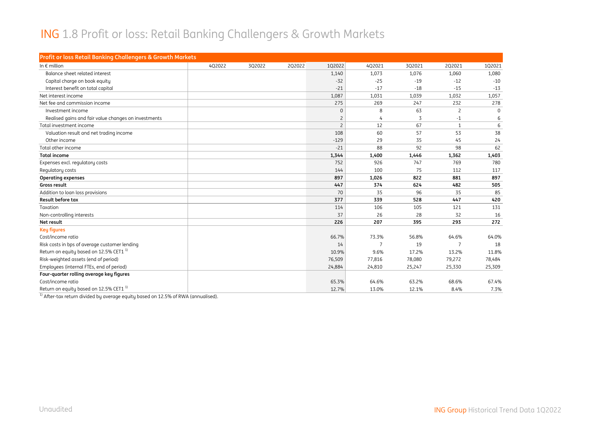#### ING 1.8 Profit or loss: Retail Banking Challengers & Growth Markets

| Profit or loss Retail Banking Challengers & Growth Markets |        |        |        |                |                |        |              |          |
|------------------------------------------------------------|--------|--------|--------|----------------|----------------|--------|--------------|----------|
| In $\epsilon$ million                                      | 4Q2022 | 302022 | 2Q2022 | 102022         | 402021         | 3Q2021 | 202021       | 102021   |
| Balance sheet related interest                             |        |        |        | 1,140          | 1,073          | 1,076  | 1,060        | 1,080    |
| Capital charge on book equity                              |        |        |        | $-32$          | $-25$          | $-19$  | $-12$        | $-10$    |
| Interest benefit on total capital                          |        |        |        | $-21$          | $-17$          | $-18$  | $-15$        | $-13$    |
| Net interest income                                        |        |        |        | 1,087          | 1,031          | 1,039  | 1,032        | 1,057    |
| Net fee and commission income                              |        |        |        | 275            | 269            | 247    | 232          | 278      |
| Investment income                                          |        |        |        | $\Omega$       | 8              | 63     | 2            | $\Omega$ |
| Realised gains and fair value changes on investments       |        |        |        | $\overline{c}$ | 4              | 3      | $-1$         | 6        |
| Total investment income                                    |        |        |        | $\overline{c}$ | 12             | 67     | $\mathbf{1}$ | 6        |
| Valuation result and net trading income                    |        |        |        | 108            | 60             | 57     | 53           | 38       |
| Other income                                               |        |        |        | $-129$         | 29             | 35     | 45           | 24       |
| Total other income                                         |        |        |        | $-21$          | 88             | 92     | 98           | 62       |
| <b>Total income</b>                                        |        |        |        | 1,344          | 1,400          | 1,446  | 1,362        | 1,403    |
| Expenses excl. regulatory costs                            |        |        |        | 752            | 926            | 747    | 769          | 780      |
| Regulatory costs                                           |        |        |        | 144            | 100            | 75     | 112          | 117      |
| <b>Operating expenses</b>                                  |        |        |        | 897            | 1,026          | 822    | 881          | 897      |
| Gross result                                               |        |        |        | 447            | 374            | 624    | 482          | 505      |
| Addition to loan loss provisions                           |        |        |        | 70             | 35             | 96     | 35           | 85       |
| Result before tax                                          |        |        |        | 377            | 339            | 528    | 447          | 420      |
| Taxation                                                   |        |        |        | 114            | 106            | 105    | 121          | 131      |
| Non-controlling interests                                  |        |        |        | 37             | 26             | 28     | 32           | 16       |
| Net result                                                 |        |        |        | 226            | 207            | 395    | 293          | 272      |
| <b>Key figures</b>                                         |        |        |        |                |                |        |              |          |
| Cost/income ratio                                          |        |        |        | 66.7%          | 73.3%          | 56.8%  | 64.6%        | 64.0%    |
| Risk costs in bps of average customer lending              |        |        |        | 14             | $\overline{7}$ | 19     |              | 18       |
| Return on equity based on 12.5% CET1 <sup>1)</sup>         |        |        |        | 10.9%          | 9.6%           | 17.2%  | 13.2%        | 11.8%    |
| Risk-weighted assets (end of period)                       |        |        |        | 76,509         | 77,816         | 78,080 | 79,272       | 78,484   |
| Employees (internal FTEs, end of period)                   |        |        |        | 24,884         | 24,810         | 25,247 | 25,330       | 25,309   |
| Four-quarter rolling average key figures                   |        |        |        |                |                |        |              |          |
| Cost/income ratio                                          |        |        |        | 65.3%          | 64.6%          | 63.2%  | 68.6%        | 67.4%    |
| Return on equity based on 12.5% CET1 <sup>1)</sup>         |        |        |        | 12.7%          | 13.0%          | 12.1%  | 8.4%         | 7.3%     |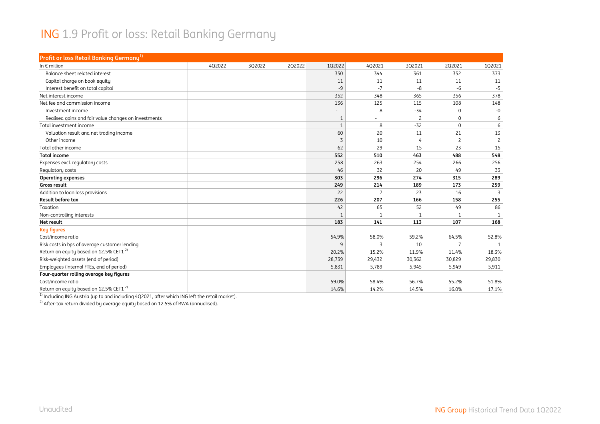#### ING 1.9 Profit or loss: Retail Banking Germany

| Profit or loss Retail Banking Germany <sup>1)</sup>  |        |        |        |              |                          |                |                |                |
|------------------------------------------------------|--------|--------|--------|--------------|--------------------------|----------------|----------------|----------------|
| In $\epsilon$ million                                | 4Q2022 | 3Q2022 | 2Q2022 | 1Q2022       | 4Q2021                   | 3Q2021         | 2Q2021         | 1Q2021         |
| Balance sheet related interest                       |        |        |        | 350          | 344                      | 361            | 352            | 373            |
| Capital charge on book equity                        |        |        |        | 11           | 11                       | 11             | 11             | 11             |
| Interest benefit on total capital                    |        |        |        | $-9$         | $-7$                     | -8             | $-6$           | $-5$           |
| Net interest income                                  |        |        |        | 352          | 348                      | 365            | 356            | 378            |
| Net fee and commission income                        |        |        |        | 136          | 125                      | 115            | 108            | 148            |
| Investment income                                    |        |        |        |              | 8                        | $-34$          | $\mathbf 0$    | $-0$           |
| Realised gains and fair value changes on investments |        |        |        | $\mathbf{1}$ | $\overline{\phantom{a}}$ | $\overline{c}$ | $\mathbf 0$    | 6              |
| Total investment income                              |        |        |        | 1            | 8                        | $-32$          | $\Omega$       | 6              |
| Valuation result and net trading income              |        |        |        | 60           | 20                       | 11             | 21             | 13             |
| Other income                                         |        |        |        | 3            | 10                       | 4              | 2              | $\overline{c}$ |
| Total other income                                   |        |        |        | 62           | 29                       | 15             | 23             | 15             |
| <b>Total income</b>                                  |        |        |        | 552          | 510                      | 463            | 488            | 548            |
| Expenses excl. regulatory costs                      |        |        |        | 258          | 263                      | 254            | 266            | 256            |
| Regulatory costs                                     |        |        |        | 46           | 32                       | 20             | 49             | 33             |
| <b>Operating expenses</b>                            |        |        |        | 303          | 296                      | 274            | 315            | 289            |
| Gross result                                         |        |        |        | 249          | 214                      | 189            | 173            | 259            |
| Addition to loan loss provisions                     |        |        |        | 22           | $\overline{7}$           | 23             | 16             | 3              |
| Result before tax                                    |        |        |        | 226          | 207                      | 166            | 158            | 255            |
| Taxation                                             |        |        |        | 42           | 65                       | 52             | 49             | 86             |
| Non-controlling interests                            |        |        |        | $\mathbf{1}$ | $\mathbf 1$              | $\mathbf{1}$   | $\mathbf{1}$   | $\mathbf{1}$   |
| Net result                                           |        |        |        | 183          | 141                      | 113            | 107            | 168            |
| <b>Key figures</b>                                   |        |        |        |              |                          |                |                |                |
| Cost/income ratio                                    |        |        |        | 54.9%        | 58.0%                    | 59.2%          | 64.5%          | 52.8%          |
| Risk costs in bps of average customer lending        |        |        |        | 9            | 3                        | 10             | $\overline{7}$ | $\mathbf{1}$   |
| Return on equity based on 12.5% CET1 <sup>2)</sup>   |        |        |        | 20.2%        | 15.2%                    | 11.9%          | 11.4%          | 18.3%          |
| Risk-weighted assets (end of period)                 |        |        |        | 28,739       | 29,432                   | 30,362         | 30,829         | 29,830         |
| Employees (internal FTEs, end of period)             |        |        |        | 5,831        | 5,789                    | 5,945          | 5,949          | 5,911          |
| Four-quarter rolling average key figures             |        |        |        |              |                          |                |                |                |
| Cost/income ratio                                    |        |        |        | 59.0%        | 58.4%                    | 56.7%          | 55.2%          | 51.8%          |
| Return on equity based on 12.5% CET1 <sup>2)</sup>   |        |        |        | 14.6%        | 14.2%                    | 14.5%          | 16.0%          | 17.1%          |

 $^{\rm 1)}$  Including ING Austria (up to and including 4Q2021, after which ING left the retail market).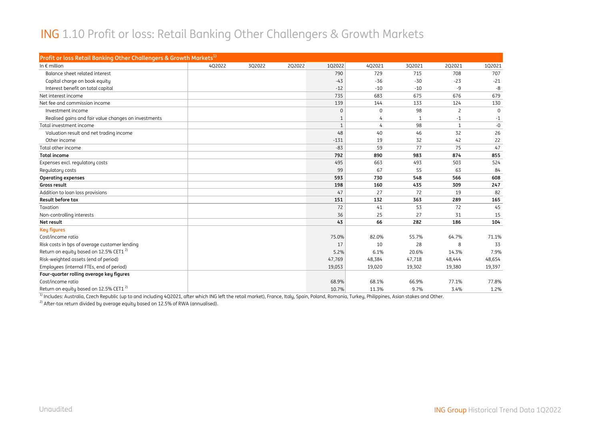#### ING 1.10 Profit or loss: Retail Banking Other Challengers & Growth Markets

| Profit or loss Retail Banking Other Challengers & Growth Markets <sup>1)</sup> |        |        |        |              |                |        |                |          |
|--------------------------------------------------------------------------------|--------|--------|--------|--------------|----------------|--------|----------------|----------|
| In $\epsilon$ million                                                          | 4Q2022 | 3Q2022 | 2Q2022 | 102022       | 4Q2021         | 3Q2021 | 2Q2021         | 102021   |
| Balance sheet related interest                                                 |        |        |        | 790          | 729            | 715    | 708            | 707      |
| Capital charge on book equity                                                  |        |        |        | $-43$        | $-36$          | $-30$  | $-23$          | $-21$    |
| Interest benefit on total capital                                              |        |        |        | $-12$        | $-10$          | $-10$  | $-9$           | $-8$     |
| Net interest income                                                            |        |        |        | 735          | 683            | 675    | 676            | 679      |
| Net fee and commission income                                                  |        |        |        | 139          | 144            | 133    | 124            | 130      |
| Investment income                                                              |        |        |        | $\mathbf{0}$ | 0              | 98     | $\overline{2}$ | $\Omega$ |
| Realised gains and fair value changes on investments                           |        |        |        | $\mathbf{1}$ | 4              | 1      | $-1$           | $-1$     |
| Total investment income                                                        |        |        |        | $\mathbf{1}$ | $\overline{4}$ | 98     | $\mathbf{1}$   | $-0$     |
| Valuation result and net trading income                                        |        |        |        | 48           | 40             | 46     | 32             | 26       |
| Other income                                                                   |        |        |        | $-131$       | 19             | 32     | 42             | 22       |
| Total other income                                                             |        |        |        | $-83$        | 59             | 77     | 75             | 47       |
| <b>Total income</b>                                                            |        |        |        | 792          | 890            | 983    | 874            | 855      |
| Expenses excl. regulatory costs                                                |        |        |        | 495          | 663            | 493    | 503            | 524      |
| Regulatory costs                                                               |        |        |        | 99           | 67             | 55     | 63             | 84       |
| <b>Operating expenses</b>                                                      |        |        |        | 593          | 730            | 548    | 566            | 608      |
| Gross result                                                                   |        |        |        | 198          | 160            | 435    | 309            | 247      |
| Addition to loan loss provisions                                               |        |        |        | 47           | 27             | 72     | 19             | 82       |
| <b>Result before tax</b>                                                       |        |        |        | 151          | 132            | 363    | 289            | 165      |
| Taxation                                                                       |        |        |        | 72           | 41             | 53     | 72             | 45       |
| Non-controlling interests                                                      |        |        |        | 36           | 25             | 27     | 31             | 15       |
| Net result                                                                     |        |        |        | 43           | 66             | 282    | 186            | 104      |
| <b>Key figures</b>                                                             |        |        |        |              |                |        |                |          |
| Cost/income ratio                                                              |        |        |        | 75.0%        | 82.0%          | 55.7%  | 64.7%          | 71.1%    |
| Risk costs in bps of average customer lending                                  |        |        |        | 17           | 10             | 28     | 8              | 33       |
| Return on equity based on 12.5% CET1 <sup>2)</sup>                             |        |        |        | 5.2%         | 6.1%           | 20.6%  | 14.3%          | 7.9%     |
| Risk-weighted assets (end of period)                                           |        |        |        | 47,769       | 48,384         | 47,718 | 48,444         | 48,654   |
| Employees (internal FTEs, end of period)                                       |        |        |        | 19,053       | 19,020         | 19,302 | 19,380         | 19,397   |
| Four-quarter rolling average key figures                                       |        |        |        |              |                |        |                |          |
| Cost/income ratio                                                              |        |        |        | 68.9%        | 68.1%          | 66.9%  | 77.1%          | 77.8%    |
| Return on equity based on 12.5% CET1 <sup>2)</sup>                             |        |        |        | 10.7%        | 11.3%          | 9.7%   | 3.4%           | 1.2%     |

<sup>1)</sup> Includes: Australia, Czech Republic (up to and including 4Q2021, after which ING left the retail market), France, Italy, Spain, Poland, Romania, Turkey, Philippines, Asian stakes and Other.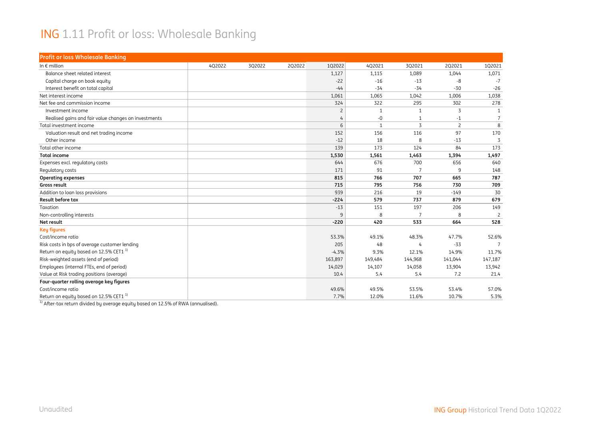#### ING 1.11 Profit or loss: Wholesale Banking

| <b>Profit or loss Wholesale Banking</b>              |        |        |        |                |              |                |                |                 |
|------------------------------------------------------|--------|--------|--------|----------------|--------------|----------------|----------------|-----------------|
| In $\epsilon$ million                                | 4Q2022 | 3Q2022 | 2Q2022 | 1Q2022         | 4Q2021       | 3Q2021         | 2Q2021         | 102021          |
| Balance sheet related interest                       |        |        |        | 1,127          | 1,115        | 1,089          | 1,044          | 1,071           |
| Capital charge on book equity                        |        |        |        | $-22$          | $-16$        | $-13$          | $-8$           | $-7$            |
| Interest benefit on total capital                    |        |        |        | $-44$          | $-34$        | $-34$          | $-30$          | $-26$           |
| Net interest income                                  |        |        |        | 1,061          | 1,065        | 1,042          | 1,006          | 1,038           |
| Net fee and commission income                        |        |        |        | 324            | 322          | 295            | 302            | 278             |
| Investment income                                    |        |        |        | $\overline{c}$ | $\mathbf{1}$ | $\mathbf{1}$   | 3              | 1               |
| Realised gains and fair value changes on investments |        |        |        | 4              | $-0$         | $\mathbf{1}$   | $-1$           | $7\overline{ }$ |
| Total investment income                              |        |        |        | 6              | $\mathbf{1}$ | 3              | $\overline{c}$ | 8               |
| Valuation result and net trading income              |        |        |        | 152            | 156          | 116            | 97             | 170             |
| Other income                                         |        |        |        | $-12$          | 18           | 8              | $-13$          | 3               |
| Total other income                                   |        |        |        | 139            | 173          | 124            | 84             | 173             |
| <b>Total income</b>                                  |        |        |        | 1,530          | 1,561        | 1,463          | 1,394          | 1,497           |
| Expenses excl. regulatory costs                      |        |        |        | 644            | 676          | 700            | 656            | 640             |
| Regulatory costs                                     |        |        |        | 171            | 91           | $\overline{7}$ | 9              | 148             |
| <b>Operating expenses</b>                            |        |        |        | 815            | 766          | 707            | 665            | 787             |
| Gross result                                         |        |        |        | 715            | 795          | 756            | 730            | 709             |
| Addition to loan loss provisions                     |        |        |        | 939            | 216          | 19             | $-149$         | 30              |
| Result before tax                                    |        |        |        | $-224$         | 579          | 737            | 879            | 679             |
| Taxation                                             |        |        |        | $-13$          | 151          | 197            | 206            | 149             |
| Non-controlling interests                            |        |        |        | 9              | 8            | $\overline{7}$ | 8              | 2               |
| Net result                                           |        |        |        | $-220$         | 420          | 533            | 664            | 528             |
| <b>Key figures</b>                                   |        |        |        |                |              |                |                |                 |
| Cost/income ratio                                    |        |        |        | 53.3%          | 49.1%        | 48.3%          | 47.7%          | 52.6%           |
| Risk costs in bps of average customer lending        |        |        |        | 205            | 48           | 4              | $-33$          | $7\overline{ }$ |
| Return on equity based on 12.5% CET1 <sup>1)</sup>   |        |        |        | $-4.3%$        | 9.3%         | 12.1%          | 14.9%          | 11.7%           |
| Risk-weighted assets (end of period)                 |        |        |        | 163,897        | 149,484      | 144,968        | 141,044        | 147,187         |
| Employees (internal FTEs, end of period)             |        |        |        | 14,029         | 14,107       | 14,058         | 13,904         | 13,942          |
| Value at Risk trading positions (average)            |        |        |        | 10.4           | 5.4          | 5.4            | 7.2            | 21.4            |
| Four-quarter rolling average key figures             |        |        |        |                |              |                |                |                 |
| Cost/income ratio                                    |        |        |        | 49.6%          | 49.5%        | 53.5%          | 53.4%          | 57.0%           |
| Return on equity based on 12.5% CET1 <sup>1)</sup>   |        |        |        | 7.7%           | 12.0%        | 11.6%          | 10.7%          | 5.3%            |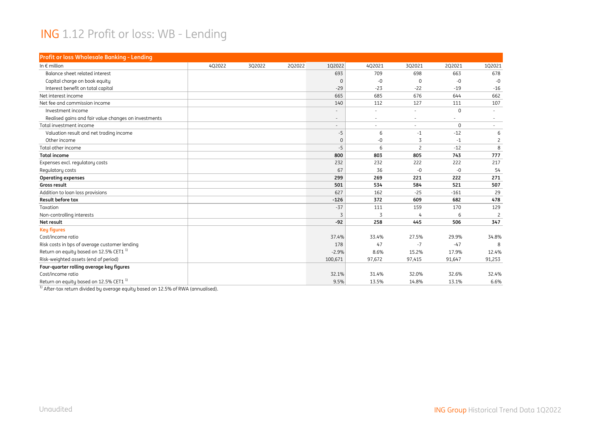#### ING 1.12 Profit or loss: WB - Lending

| <b>Profit or loss Wholesale Banking - Lending</b>    |        |        |        |                          |                          |                          |              |                |
|------------------------------------------------------|--------|--------|--------|--------------------------|--------------------------|--------------------------|--------------|----------------|
| In $\epsilon$ million                                | 402022 | 3Q2022 | 2Q2022 | 102022                   | 402021                   | 302021                   | 202021       | 102021         |
| Balance sheet related interest                       |        |        |        | 693                      | 709                      | 698                      | 663          | 678            |
| Capital charge on book equity                        |        |        |        | $\Omega$                 | $-0$                     | $\Omega$                 | $-0$         | $-0$           |
| Interest benefit on total capital                    |        |        |        | $-29$                    | $-23$                    | $-22$                    | $-19$        | $-16$          |
| Net interest income                                  |        |        |        | 665                      | 685                      | 676                      | 644          | 662            |
| Net fee and commission income                        |        |        |        | 140                      | 112                      | 127                      | 111          | 107            |
| Investment income                                    |        |        |        | $\overline{\phantom{a}}$ | $\overline{\phantom{a}}$ | $\overline{\phantom{a}}$ | $\Omega$     |                |
| Realised gains and fair value changes on investments |        |        |        | $\overline{\phantom{a}}$ |                          |                          |              |                |
| Total investment income                              |        |        |        | $\overline{\phantom{a}}$ | $\overline{\phantom{a}}$ | $\overline{\phantom{a}}$ | $\mathbf{0}$ | $\sim$         |
| Valuation result and net trading income              |        |        |        | $-5$                     | 6                        | $-1$                     | $-12$        | 6              |
| Other income                                         |        |        |        | $\mathbf{0}$             | $-0$                     | 3                        | $-1$         | $\overline{c}$ |
| Total other income                                   |        |        |        | $-5$                     | 6                        | $\overline{c}$           | $-12$        | 8              |
| <b>Total income</b>                                  |        |        |        | 800                      | 803                      | 805                      | 743          | 777            |
| Expenses excl. regulatory costs                      |        |        |        | 232                      | 232                      | 222                      | 222          | 217            |
| Regulatory costs                                     |        |        |        | 67                       | 36                       | $-0$                     | $-0$         | 54             |
| <b>Operating expenses</b>                            |        |        |        | 299                      | 269                      | 221                      | 222          | 271            |
| Gross result                                         |        |        |        | 501                      | 534                      | 584                      | 521          | 507            |
| Addition to loan loss provisions                     |        |        |        | 627                      | 162                      | $-25$                    | $-161$       | 29             |
| <b>Result before tax</b>                             |        |        |        | $-126$                   | 372                      | 609                      | 682          | 478            |
| Taxation                                             |        |        |        | $-37$                    | 111                      | 159                      | 170          | 129            |
| Non-controlling interests                            |        |        |        | 3                        | 3                        | 4                        | 6            | $\overline{c}$ |
| Net result                                           |        |        |        | $-92$                    | 258                      | 445                      | 506          | 347            |
| <b>Key figures</b>                                   |        |        |        |                          |                          |                          |              |                |
| Cost/income ratio                                    |        |        |        | 37.4%                    | 33.4%                    | 27.5%                    | 29.9%        | 34.8%          |
| Risk costs in bps of average customer lending        |        |        |        | 178                      | 47                       | $-7$                     | $-47$        | 8              |
| Return on equity based on 12.5% CET1 <sup>1)</sup>   |        |        |        | $-2.9%$                  | 8.6%                     | 15.2%                    | 17.9%        | 12.4%          |
| Risk-weighted assets (end of period)                 |        |        |        | 100,671                  | 97,672                   | 97,415                   | 91,647       | 91,253         |
| Four-quarter rolling average key figures             |        |        |        |                          |                          |                          |              |                |
| Cost/income ratio                                    |        |        |        | 32.1%                    | 31.4%                    | 32.0%                    | 32.6%        | 32.4%          |
| Return on equity based on 12.5% CET1 <sup>1)</sup>   |        |        |        | 9.5%                     | 13.5%                    | 14.8%                    | 13.1%        | 6.6%           |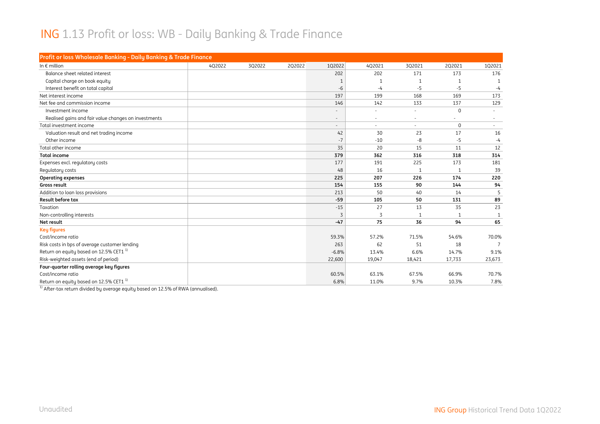#### ING 1.13 Profit or loss: WB - Daily Banking & Trade Finance

| Profit or loss Wholesale Banking - Daily Banking & Trade Finance |        |        |        |                          |                          |                          |              |              |
|------------------------------------------------------------------|--------|--------|--------|--------------------------|--------------------------|--------------------------|--------------|--------------|
| In $\epsilon$ million                                            | 4Q2022 | 3Q2022 | 2Q2022 | 1Q2022                   | 4Q2021                   | 3Q2021                   | 2Q2021       | 102021       |
| Balance sheet related interest                                   |        |        |        | 202                      | 202                      | 171                      | 173          | 176          |
| Capital charge on book equity                                    |        |        |        | -1                       | $\mathbf{1}$             | $\mathbf{1}$             | $\mathbf{1}$ | $\mathbf{1}$ |
| Interest benefit on total capital                                |        |        |        | $-6$                     | -4                       | $-5$                     | $-5$         | -4           |
| Net interest income                                              |        |        |        | 197                      | 199                      | 168                      | 169          | 173          |
| Net fee and commission income                                    |        |        |        | 146                      | 142                      | 133                      | 137          | 129          |
| Investment income                                                |        |        |        | $\overline{\phantom{a}}$ | $\overline{\phantom{a}}$ | $\overline{\phantom{a}}$ | $\mathbf{0}$ | $\sim$       |
| Realised gains and fair value changes on investments             |        |        |        | $\overline{\phantom{a}}$ |                          |                          |              |              |
| Total investment income                                          |        |        |        | $\overline{\phantom{a}}$ |                          | ÷                        | $\Omega$     | $\sim$       |
| Valuation result and net trading income                          |        |        |        | 42                       | 30                       | 23                       | 17           | 16           |
| Other income                                                     |        |        |        | $-7$                     | $-10$                    | -8                       | $-5$         | $-4$         |
| Total other income                                               |        |        |        | 35                       | 20                       | 15                       | 11           | 12           |
| <b>Total income</b>                                              |        |        |        | 379                      | 362                      | 316                      | 318          | 314          |
| Expenses excl. regulatory costs                                  |        |        |        | 177                      | 191                      | 225                      | 173          | 181          |
| Regulatory costs                                                 |        |        |        | 48                       | 16                       | $\mathbf{1}$             | 1            | 39           |
| <b>Operating expenses</b>                                        |        |        |        | 225                      | 207                      | 226                      | 174          | 220          |
| Gross result                                                     |        |        |        | 154                      | 155                      | 90                       | 144          | 94           |
| Addition to loan loss provisions                                 |        |        |        | 213                      | 50                       | 40                       | 14           | 5            |
| <b>Result before tax</b>                                         |        |        |        | $-59$                    | 105                      | 50                       | 131          | 89           |
| Taxation                                                         |        |        |        | $-15$                    | 27                       | 13                       | 35           | 23           |
| Non-controlling interests                                        |        |        |        | 3                        | 3                        | $\mathbf{1}$             | $\mathbf{1}$ |              |
| Net result                                                       |        |        |        | $-47$                    | 75                       | 36                       | 94           | 65           |
| <b>Key figures</b>                                               |        |        |        |                          |                          |                          |              |              |
| Cost/income ratio                                                |        |        |        | 59.3%                    | 57.2%                    | 71.5%                    | 54.6%        | 70.0%        |
| Risk costs in bps of average customer lending                    |        |        |        | 263                      | 62                       | 51                       | 18           |              |
| Return on equity based on 12.5% CET1 <sup>1)</sup>               |        |        |        | $-6.8%$                  | 13.4%                    | 6.6%                     | 14.7%        | 9.1%         |
| Risk-weighted assets (end of period)                             |        |        |        | 22,600                   | 19,047                   | 18,421                   | 17,733       | 23,673       |
| Four-quarter rolling average key figures                         |        |        |        |                          |                          |                          |              |              |
| Cost/income ratio                                                |        |        |        | 60.5%                    | 63.1%                    | 67.5%                    | 66.9%        | 70.7%        |
| Return on equity based on 12.5% CET1 <sup>1)</sup>               |        |        |        | 6.8%                     | 11.0%                    | 9.7%                     | 10.3%        | 7.8%         |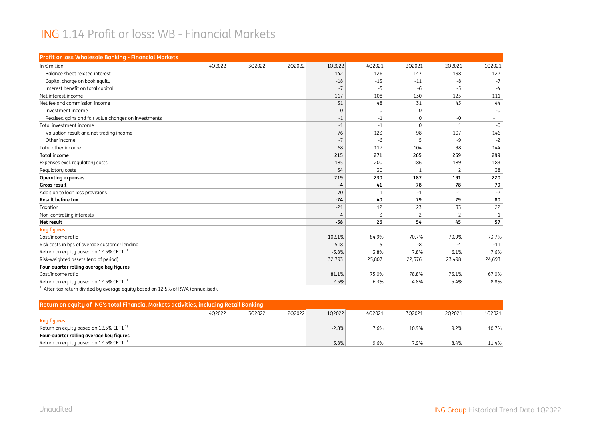#### ING 1.14 Profit or loss: WB - Financial Markets

| Profit or loss Wholesale Banking - Financial Markets |        |        |        |                |              |                |                |                          |
|------------------------------------------------------|--------|--------|--------|----------------|--------------|----------------|----------------|--------------------------|
| In $\epsilon$ million                                | 4Q2022 | 3Q2022 | 2Q2022 | 1Q2022         | 4Q2021       | 3Q2021         | 2Q2021         | 102021                   |
| Balance sheet related interest                       |        |        |        | 142            | 126          | 147            | 138            | 122                      |
| Capital charge on book equity                        |        |        |        | $-18$          | $-13$        | $-11$          | -8             | $-7$                     |
| Interest benefit on total capital                    |        |        |        | $-7$           | $-5$         | $-6$           | $-5$           | $-4$                     |
| Net interest income                                  |        |        |        | 117            | 108          | 130            | 125            | 111                      |
| Net fee and commission income                        |        |        |        | 31             | 48           | 31             | 45             | 44                       |
| Investment income                                    |        |        |        | $\mathbf{0}$   | $\mathbf{0}$ | $\Omega$       | $\mathbf{1}$   | $-0$                     |
| Realised gains and fair value changes on investments |        |        |        | $-1$           | $-1$         | $\Omega$       | -0             | $\overline{\phantom{a}}$ |
| Total investment income                              |        |        |        | $-1$           | $-1$         | $\Omega$       | 1              | $-0$                     |
| Valuation result and net trading income              |        |        |        | 76             | 123          | 98             | 107            | 146                      |
| Other income                                         |        |        |        | $-7$           | $-6$         | 5              | -9             | $-2$                     |
| Total other income                                   |        |        |        | 68             | 117          | 104            | 98             | 144                      |
| <b>Total income</b>                                  |        |        |        | 215            | 271          | 265            | 269            | 299                      |
| Expenses excl. regulatory costs                      |        |        |        | 185            | 200          | 186            | 189            | 183                      |
| Regulatory costs                                     |        |        |        | 34             | 30           | $\mathbf{1}$   | $\overline{c}$ | 38                       |
| <b>Operating expenses</b>                            |        |        |        | 219            | 230          | 187            | 191            | 220                      |
| Gross result                                         |        |        |        | $-4$           | 41           | 78             | 78             | 79                       |
| Addition to loan loss provisions                     |        |        |        | 70             | $\mathbf{1}$ | $-1$           | $-1$           | $-2$                     |
| <b>Result before tax</b>                             |        |        |        | $-74$          | 40           | 79             | 79             | 80                       |
| Taxation                                             |        |        |        | $-21$          | 12           | 23             | 33             | 22                       |
| Non-controlling interests                            |        |        |        | $\overline{4}$ | 3            | $\overline{c}$ | $\overline{c}$ | $\mathbf{1}$             |
| Net result                                           |        |        |        | $-58$          | 26           | 54             | 45             | 57                       |
| <b>Key figures</b>                                   |        |        |        |                |              |                |                |                          |
| Cost/income ratio                                    |        |        |        | 102.1%         | 84.9%        | 70.7%          | 70.9%          | 73.7%                    |
| Risk costs in bps of average customer lending        |        |        |        | 518            | 5            | -8             | -4             | $-11$                    |
| Return on equity based on 12.5% CET1 <sup>1)</sup>   |        |        |        | $-5.8%$        | 3.8%         | 7.8%           | 6.1%           | 7.6%                     |
| Risk-weighted assets (end of period)                 |        |        |        | 32,793         | 25,807       | 22,576         | 23,498         | 24,693                   |
| Four-quarter rolling average key figures             |        |        |        |                |              |                |                |                          |
| Cost/income ratio                                    |        |        |        | 81.1%          | 75.0%        | 78.8%          | 76.1%          | 67.0%                    |
| Return on equity based on 12.5% CET1 <sup>1)</sup>   |        |        |        | 2.5%           | 6.3%         | 4.8%           | 5.4%           | 8.8%                     |

| Return on equity of ING's total Financial Markets activities, including Retail Banking |        |        |        |         |        |        |        |        |  |  |  |  |
|----------------------------------------------------------------------------------------|--------|--------|--------|---------|--------|--------|--------|--------|--|--|--|--|
|                                                                                        | 402022 | 302022 | 202022 | 1Q2022  | 402021 | 302021 | 202021 | 102021 |  |  |  |  |
| Key figures                                                                            |        |        |        |         |        |        |        |        |  |  |  |  |
| Return on equity based on 12.5% CET1 $^{\rm 1)}$                                       |        |        |        | $-2.8%$ | 7.6%   | 10.9%  | 9.2%   | 10.7%  |  |  |  |  |
| Four-quarter rolling average key figures                                               |        |        |        |         |        |        |        |        |  |  |  |  |
| Return on equity based on 12.5% CET1 $^{\mathrm{1}}$                                   |        |        |        | 5.8%    | 9.6%   | 7.9%   | 8.4%   | 11.4%  |  |  |  |  |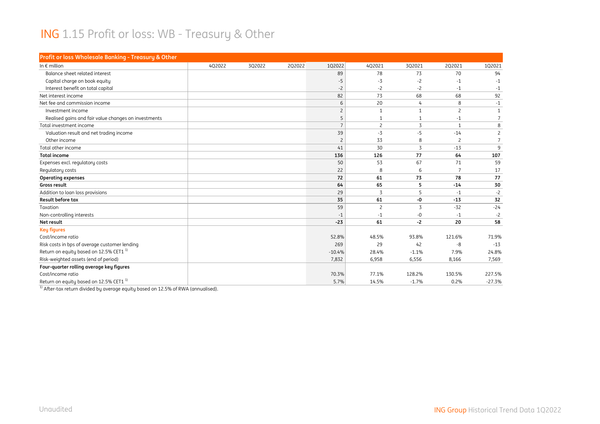#### ING 1.15 Profit or loss: WB - Treasury & Other

| Profit or loss Wholesale Banking - Treasury & Other  |        |        |        |                |                |                |                |                |
|------------------------------------------------------|--------|--------|--------|----------------|----------------|----------------|----------------|----------------|
| In $\epsilon$ million                                | 402022 | 3Q2022 | 2Q2022 | 102022         | 402021         | 3Q2021         | 2Q2021         | 102021         |
| Balance sheet related interest                       |        |        |        | 89             | 78             | 73             | 70             | 94             |
| Capital charge on book equity                        |        |        |        | $-5$           | $-3$           | $-2$           | $-1$           | $-1$           |
| Interest benefit on total capital                    |        |        |        | $-2$           | $-2$           | $-2$           | $-1$           | -1             |
| Net interest income                                  |        |        |        | 82             | 73             | 68             | 68             | 92             |
| Net fee and commission income                        |        |        |        | 6              | 20             | 4              | 8              | $-1$           |
| Investment income                                    |        |        |        | $\overline{c}$ | $\mathbf{1}$   | $\mathbf{1}$   | $\overline{2}$ | $\mathbf{1}$   |
| Realised gains and fair value changes on investments |        |        |        | 5              |                | $\mathbf{1}$   | $-1$           | $\overline{7}$ |
| Total investment income                              |        |        |        | $\overline{7}$ | $\overline{c}$ | 3              | $\overline{1}$ | 8              |
| Valuation result and net trading income              |        |        |        | 39             | $-3$           | $-5$           | $-14$          | $\overline{c}$ |
| Other income                                         |        |        |        | $\overline{c}$ | 33             | 8              | $\overline{c}$ | $\overline{7}$ |
| Total other income                                   |        |        |        | 41             | 30             | $\overline{3}$ | $-13$          | 9              |
| <b>Total income</b>                                  |        |        |        | 136            | 126            | 77             | 64             | 107            |
| Expenses excl. regulatory costs                      |        |        |        | 50             | 53             | 67             | 71             | 59             |
| Regulatory costs                                     |        |        |        | 22             | 8              | 6              | $\overline{7}$ | 17             |
| <b>Operating expenses</b>                            |        |        |        | 72             | 61             | 73             | 78             | 77             |
| Gross result                                         |        |        |        | 64             | 65             | 5              | $-14$          | 30             |
| Addition to loan loss provisions                     |        |        |        | 29             | 3              | 5              | $-1$           | $-2$           |
| <b>Result before tax</b>                             |        |        |        | 35             | 61             | -0             | $-13$          | 32             |
| Taxation                                             |        |        |        | 59             | $\overline{c}$ | 3              | $-32$          | $-24$          |
| Non-controlling interests                            |        |        |        | $-1$           | $-1$           | $-0$           | $-1$           | $-2$           |
| Net result                                           |        |        |        | $-23$          | 61             | $-2$           | 20             | 58             |
| <b>Key figures</b>                                   |        |        |        |                |                |                |                |                |
| Cost/income ratio                                    |        |        |        | 52.8%          | 48.5%          | 93.8%          | 121.6%         | 71.9%          |
| Risk costs in bps of average customer lending        |        |        |        | 269            | 29             | 42             | -8             | $-13$          |
| Return on equity based on 12.5% CET1 <sup>1)</sup>   |        |        |        | $-10.4%$       | 28.4%          | $-1.1%$        | 7.9%           | 24.8%          |
| Risk-weighted assets (end of period)                 |        |        |        | 7,832          | 6,958          | 6,556          | 8,166          | 7,569          |
| Four-quarter rolling average key figures             |        |        |        |                |                |                |                |                |
| Cost/income ratio                                    |        |        |        | 70.3%          | 77.1%          | 128.2%         | 130.5%         | 227.5%         |
| Return on equity based on 12.5% CET1 <sup>1)</sup>   |        |        |        | 5.7%           | 14.5%          | $-1.7%$        | 0.2%           | $-27.3%$       |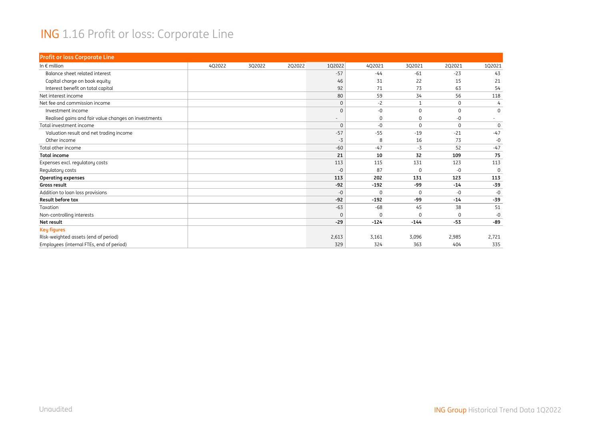#### ING 1.16 Profit or loss: Corporate Line

| <b>Profit or loss Corporate Line</b>                 |        |        |        |          |             |              |             |             |
|------------------------------------------------------|--------|--------|--------|----------|-------------|--------------|-------------|-------------|
| In $\epsilon$ million                                | 4Q2022 | 3Q2022 | 2Q2022 | 1Q2022   | 4Q2021      | 3Q2021       | 2Q2021      | 1Q2021      |
| Balance sheet related interest                       |        |        |        | $-57$    | $-44$       | $-61$        | $-23$       | 43          |
| Capital charge on book equity                        |        |        |        | 46       | 31          | 22           | 15          | 21          |
| Interest benefit on total capital                    |        |        |        | 92       | 71          | 73           | 63          | 54          |
| Net interest income                                  |        |        |        | 80       | 59          | 34           | 56          | 118         |
| Net fee and commission income                        |        |        |        | $\Omega$ | $-2$        | $\mathbf{1}$ | $\mathbf 0$ | 4           |
| Investment income                                    |        |        |        | $\Omega$ | $-0$        | $\Omega$     | $\Omega$    | $\Omega$    |
| Realised gains and fair value changes on investments |        |        |        |          | $\mathbf 0$ | 0            | -0          |             |
| Total investment income                              |        |        |        | $\Omega$ | -0          | $\Omega$     | $\Omega$    | $\mathbf 0$ |
| Valuation result and net trading income              |        |        |        | $-57$    | $-55$       | $-19$        | $-21$       | $-47$       |
| Other income                                         |        |        |        | -3       | 8           | 16           | 73          | -0          |
| Total other income                                   |        |        |        | $-60$    | $-47$       | $-3$         | 52          | $-47$       |
| <b>Total income</b>                                  |        |        |        | 21       | 10          | 32           | 109         | 75          |
| Expenses excl. regulatory costs                      |        |        |        | 113      | 115         | 131          | 123         | 113         |
| Regulatory costs                                     |        |        |        | $-0$     | 87          | $\Omega$     | $-0$        | $\Omega$    |
| <b>Operating expenses</b>                            |        |        |        | 113      | 202         | 131          | 123         | 113         |
| Gross result                                         |        |        |        | $-92$    | $-192$      | -99          | $-14$       | $-39$       |
| Addition to loan loss provisions                     |        |        |        | $-0$     | $\Omega$    | $\Omega$     | $-0$        | $-0$        |
| Result before tax                                    |        |        |        | $-92$    | $-192$      | -99          | $-14$       | $-39$       |
| Taxation                                             |        |        |        | $-63$    | $-68$       | 45           | 38          | 51          |
| Non-controlling interests                            |        |        |        | $\Omega$ | $\Omega$    | $\Omega$     | $\Omega$    | -0          |
| Net result                                           |        |        |        | $-29$    | $-124$      | $-144$       | $-53$       | $-89$       |
| <b>Key figures</b>                                   |        |        |        |          |             |              |             |             |
| Risk-weighted assets (end of period)                 |        |        |        | 2,613    | 3,161       | 3,096        | 2,985       | 2,721       |
| Employees (internal FTEs, end of period)             |        |        |        | 329      | 324         | 363          | 404         | 335         |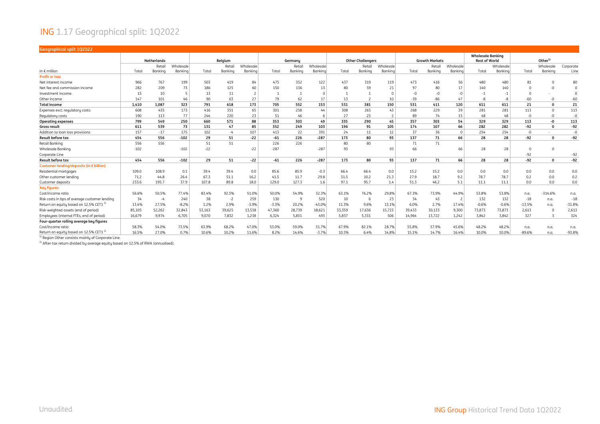#### ING 1.17 Geographical split: 1Q2022

| <b>Geographical split 102022</b>                                                                                                           |        |                    |           |        |         |           |         |         |           |        |                          |           |        |                       |             |                          |           |          |                    |           |
|--------------------------------------------------------------------------------------------------------------------------------------------|--------|--------------------|-----------|--------|---------|-----------|---------|---------|-----------|--------|--------------------------|-----------|--------|-----------------------|-------------|--------------------------|-----------|----------|--------------------|-----------|
|                                                                                                                                            |        |                    |           |        |         |           |         |         |           |        |                          |           |        |                       |             | <b>Wholesale Banking</b> |           |          |                    |           |
|                                                                                                                                            |        | <b>Netherlands</b> |           |        | Belgium |           |         | Germany |           |        | <b>Other Challengers</b> |           |        | <b>Growth Markets</b> |             | <b>Rest of World</b>     |           |          | Other <sup>1</sup> |           |
|                                                                                                                                            |        | Retail             | Wholesale |        | Retai   | Wholesale |         | Retail  | Wholesale |        | Retail                   | Wholesale |        | Retail                | Wholesale   |                          | Wholesale |          | Wholesale          | Corporate |
| In $\epsilon$ million                                                                                                                      | Total  | Bankina            | Bankina   | Total  | Bankina | Banking   | Total   | Bankina | Bankina   | Total  | Bankina                  | Banking   | Total  | Bankina               | Bankina     | Total                    | Banking   | Total    | Bankina            | Line      |
| <b>Profit or loss</b>                                                                                                                      |        |                    |           |        |         |           |         |         |           |        |                          |           |        |                       |             |                          |           |          |                    |           |
| Net interest income                                                                                                                        | 966    | 767                | 199       | 503    | 419     | 84        | 475     | 352     | 122       | 437    | 319                      | 119       | 473    | 416                   | 56          | 480                      | 480       | 81       | n                  | 80        |
| Net fee and commission income                                                                                                              | 282    | 209                | 73        | 186    | 125     | 60        | 150     | 136     | 13        | 80     | 59                       | 21        | 97     | 80                    | 17          | 140                      | 140       |          | $-0$               | $\Omega$  |
| Investment income                                                                                                                          | 15     | 10                 | -5        | 13     | 11      |           |         | 1       | $\Omega$  |        |                          |           | $-0$   | $-0$                  | $-0$        | $-1$                     | -1        | $\Omega$ |                    | $\Omega$  |
| Other income                                                                                                                               | 147    | 101                | 46        | 90     | 63      | 27        | 79      | 62      | 17        | 13     |                          | 10        | $-39$  | $-86$                 | 47          | $-8$                     | -8        | $-60$    | $-0$               | $-60$     |
| <b>Total income</b>                                                                                                                        | 1,410  | 1.087              | 323       | 791    | 618     | 173       | 705     | 552     | 153       | 531    | 381                      | 150       | 531    | 411                   | 120         | 611                      | 611       | 21       | $\Omega$           | 21        |
| Expenses excl. regulatory costs                                                                                                            | 608    | 435                | 173       | 416    | 351     | 65        | 301     | 258     | 44        | 308    | 265                      | 43        | 268    | 229                   | 39          | 281                      | 281       | 113      | $\Omega$           | 113       |
| Regulatory costs                                                                                                                           | 190    | 113                | 77        | 244    | 220     | 23        | 51      | 46      | 6         | 27     | 25                       |           | 89     | 74                    | 15          | 48                       | 48        | -0       | $-0$               | $-0$      |
| <b>Operating expenses</b>                                                                                                                  | 799    | 549                | 250       | 660    | 571     | 88        | 353     | 303     | 49        | 335    | 290                      | 45        | 357    | 303                   | 54          | 329                      | 329       | 113      | -0                 | 113       |
| Gross result                                                                                                                               | 611    | 539                | 73        | 131    | 47      | 85        | 352     | 249     | 103       | 196    | 91                       | 105       | 174    | 107                   | 66          | 282                      | 282       | $-92$    | $\Omega$           | -92       |
| Addition to loan loss provisions                                                                                                           | 157    | $-17$              | 175       | 102    | $-4$    | 107       | 413     | 22      | 391       | 24     | 11                       | 12        | 37     | 36                    | $\mathbf 0$ | 254                      | 254       | $-0$     |                    | -0        |
| <b>Result before tax</b>                                                                                                                   | 454    | 556                | $-102$    | 29     | 51      | $-22$     | -61     | 226     | $-287$    | 173    | 80                       | 93        | 137    | 71                    | 66          | 28                       | 28        | $-92$    | $\Omega$           | -92       |
| Retail Banking                                                                                                                             | 556    | 556                |           | 51     | 51      |           | 226     | 226     |           | 80     | 80                       |           | 71     | 71                    |             |                          |           |          |                    |           |
| Wholesale Banking                                                                                                                          | $-102$ |                    | $-102$    | $-22$  |         | $-22$     | $-287$  |         | $-287$    | 93     |                          | 93        | 66     |                       | 66          | 28                       | 28        | 0        | $\Omega$           |           |
| Corporate Line                                                                                                                             |        |                    |           |        |         |           |         |         |           |        |                          |           |        |                       |             |                          |           | $-92$    |                    | $-92$     |
| <b>Result before tax</b>                                                                                                                   | 454    | 556                | $-102$    | 29     | 51      | $-22$     | -61     | 226     | $-287$    | 173    | 80                       | 93        | 137    | 71                    | 66          | 28                       | 28        | $-92$    | $\Omega$           | $-92$     |
| Customer lending/deposits (in € billion)                                                                                                   |        |                    |           |        |         |           |         |         |           |        |                          |           |        |                       |             |                          |           |          |                    |           |
| Residential mortgages                                                                                                                      | 109.0  | 108.9              | 0.1       | 39.4   | 39.4    | 0.0       | 85.6    | 85.9    | $-0.3$    | 66.4   | 66.4                     | 0.0       | 15.2   | 15.2                  | 0.0         | 0.0                      | 0.0       | 0.0      | 0.0                | 0.0       |
| Other customer lending                                                                                                                     | 71.2   | 44.8               | 26.4      | 67.3   | 51.1    | 16.2      | 41.5    | 11.7    | 29.8      | 31.5   | 10.2                     | 21.3      | 27.9   | 18.7                  | 9.2         | 78.7                     | 78.7      | 0.2      | 0.0                | 0.2       |
| Customer deposits                                                                                                                          | 233.6  | 195.7              | 37.9      | 107.8  | 89.8    | 18.0      | 129.0   | 127.3   | 1.6       | 97.1   | 95.7                     | 1.4       | 51.3   | 46.2                  | 5.1         | 11.1                     | 11.1      | 0.0      | 0.0                | 0.0       |
| <b>Key figures</b>                                                                                                                         |        |                    |           |        |         |           |         |         |           |        |                          |           |        |                       |             |                          |           |          |                    |           |
| Cost/income ratio                                                                                                                          | 56.6%  | 50.5%              | 77.4%     | 83.4%  | 92.5%   | 51.0%     | 50.0%   | 54.9%   | 32.3%     | 63.1%  | 76.2%                    | 29.8%     | 67.3%  | 73.9%                 | 44.9%       | 53.8%                    | 53.8%     | n.a.     | $-314.6%$          | n.a.      |
| Risk costs in bps of average customer lending                                                                                              | 34     | $-4$               | 240       | 38     | $-2$    | 259       | 130     | 9       | 520       | 10     | -6                       | 23        | 34     | 43                    |             | 132                      | 132       | $-18$    | n.a.               | $-18$     |
| Return on equity based on 12.5% CET1 <sup>2)</sup>                                                                                         | 13.4%  | 27.5%              | $-8.2%$   | 1.2%   | 2.9%    | $-3.9%$   | $-3.3%$ | 20.2%   | $-43.0%$  | 11.3%  | 9.6%                     | 13.1%     | 6.0%   | 2.7%                  | 17.4%       | $-0.6%$                  | $-0.6%$   | $-13.5%$ | n.a.               | $-31.8%$  |
| Risk-weighted assets (end of period)                                                                                                       | 85,105 | 52,262             | 32,843    | 53,163 | 39,625  | 13,538    | 47,360  | 28,739  | 18,621    | 33,359 | 17,636                   | 15,723    | 39,433 | 30,133                | 9,300       | 73,873                   | 73,873    | 2,613    | $\Omega$           | 2,613     |
| Employees (internal FTEs, end of period)                                                                                                   | 16.679 | 9.974              | 6.705     | 9.070  | 7,832   | 1,238     | 6.324   | 5,831   | 493       | 5,837  | 5.331                    | 506       | 14.964 | 13,722                | 1,242       | 3.842                    | 3.842     | 327      | $\overline{3}$     | 324       |
| Four-quarter rolling average key figures                                                                                                   |        |                    |           |        |         |           |         |         |           |        |                          |           |        |                       |             |                          |           |          |                    |           |
| Cost/income ratio                                                                                                                          | 58.3%  | 54.0%              | 73.5%     | 63.9%  | 68.2%   | 47.0%     | 53.0%   | 59.0%   | 31.7%     | 67.9%  | 82.1%                    | 28.7%     | 55.8%  | 57.9%                 | 45.6%       | 48.2%                    | 48.2%     | n.a.     | n.a.               | n.a.      |
| Return on equity based on 12.5% CET1 <sup>2)</sup>                                                                                         | 16.5%  | 27.0%              | 0.7%      | 10.6%  | 10.2%   | 11.6%     | 8.2%    | 14.6%   | $-3.7%$   | 10.3%  | 6.4%                     | 14.8%     | 15.1%  | 14.7%                 | 16.4%       | 10.0%                    | 10.0%     | $-89.6%$ | n.a.               | $-93.8%$  |
| $\mathbf{11}$ $\mathbf{2}$ $\mathbf{3}$ $\mathbf{4}$ $\mathbf{5}$ $\mathbf{5}$ $\mathbf{6}$ $\mathbf{1}$ $\mathbf{5}$<br>$\cdots$ $\cdots$ |        |                    |           |        |         |           |         |         |           |        |                          |           |        |                       |             |                          |           |          |                    |           |

<sup>1)</sup> Region Other consists mainly of Corporate Line.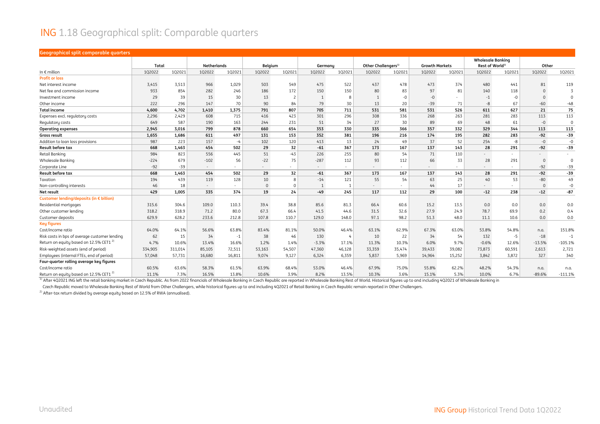#### ING 1.18 Geographical split: Comparable quarters

#### **Geographical split comparable quarters**

|                                                   | Total   |         | <b>Netherlands</b> |        | Belgium  |                          | Germany        |        | Other Challengers <sup>1)</sup> |                          | <b>Growth Markets</b> |                          | <b>Wholesale Bankina</b><br>Rest of World <sup>1)</sup> |                          | Other                    |                |
|---------------------------------------------------|---------|---------|--------------------|--------|----------|--------------------------|----------------|--------|---------------------------------|--------------------------|-----------------------|--------------------------|---------------------------------------------------------|--------------------------|--------------------------|----------------|
| In $\epsilon$ million                             | 1Q2022  | 1Q2021  | 1Q2022             | 1Q2021 | 1Q2022   | 1Q2021                   | 1Q2022         | 1Q2021 | 1Q2022                          | 102021                   | 1Q2022                | 1Q2021                   | 1Q2022                                                  | 102021                   | 1Q2022                   | 1Q2021         |
| <b>Profit or loss</b>                             |         |         |                    |        |          |                          |                |        |                                 |                          |                       |                          |                                                         |                          |                          |                |
| Net interest income                               | 3,415   | 3,513   | 966                | 1,029  | 503      | 549                      | 475            | 522    | 437                             | 478                      | 473                   | 374                      | 480                                                     | 441                      | 81                       | 119            |
| Net fee and commission income                     | 933     | 854     | 282                | 246    | 186      | 172                      | 150            | 150    | 80                              | 83                       | 97                    | 81                       | 140                                                     | 118                      | $\mathbf{0}$             | $\overline{3}$ |
| Investment income                                 | 29      | 39      | 15                 | 30     | 13       | $\overline{\phantom{0}}$ | $\overline{1}$ | 8      | $\overline{1}$                  | -0                       | $-0$                  | $\overline{\phantom{0}}$ | $-1$                                                    | $-0$                     | $\mathbf{0}$             | $\overline{0}$ |
| Other income                                      | 222     | 296     | 147                | 70     | 90       | 84                       | 79             | 30     | 13                              | 20                       | $-39$                 | 71                       | $-8$                                                    | 67                       | $-60$                    | $-48$          |
| <b>Total income</b>                               | 4,600   | 4,702   | 1.410              | 1,375  | 791      | 807                      | 705            | 711    | 531                             | 581                      | 531                   | 526                      | 611                                                     | 627                      | 21                       | 75             |
| Expenses excl. regulatory costs                   | 2,296   | 2,429   | 608                | 715    | 416      | 423                      | 301            | 296    | 308                             | 336                      | 268                   | 263                      | 281                                                     | 283                      | 113                      | 113            |
| Regulatory costs                                  | 649     | 587     | 190                | 163    | 244      | 231                      | 51             | 34     | 27                              | 30                       | 89                    | 69                       | 48                                                      | 61                       | $-0$                     | $\overline{0}$ |
| <b>Operating expenses</b>                         | 2,945   | 3,016   | 799                | 878    | 660      | 654                      | 353            | 330    | 335                             | 366                      | 357                   | 332                      | 329                                                     | 344                      | 113                      | 113            |
| <b>Gross result</b>                               | 1,655   | 1,686   | 611                | 497    | 131      | 153                      | 352            | 381    | 196                             | 216                      | 174                   | 195                      | 282                                                     | 283                      | $-92$                    | $-39$          |
| Addition to loan loss provisions                  | 987     | 223     | 157                | $-4$   | 102      | 120                      | 413            | 13     | 24                              | 49                       | 37                    | 52                       | 254                                                     | -8                       | $-0$                     | $-0$           |
| <b>Result before tax</b>                          | 668     | 1,463   | 454                | 502    | 29       | 32                       | $-61$          | 367    | 173                             | 167                      | 137                   | 143                      | 28                                                      | 291                      | $-92$                    | $-39$          |
| Retail Banking                                    | 984     | 823     | 556                | 445    | 51       | $-43$                    | 226            | 255    | 80                              | 54                       | 71                    | 110                      | $\sim$                                                  | $\sim$                   | $\overline{\phantom{a}}$ |                |
| Wholesale Banking                                 | $-224$  | 679     | $-102$             | 56     | $-22$    | 75                       | $-287$         | 112    | 93                              | 112                      | 66                    | 33                       | 28                                                      | 291                      | $\mathbf{0}$             | $\mathbf 0$    |
| Corporate Line                                    | $-92$   | $-39$   | $\sim$             | $\sim$ | $\sim$   | $\sim$                   | $\sim$         | $\sim$ |                                 | $\overline{\phantom{0}}$ |                       | $\sim$                   |                                                         | $\sim$                   | $-92$                    | $-39$          |
| <b>Result before tax</b>                          | 668     | 1.463   | 454                | 502    | 29       | 32                       | $-61$          | 367    | 173                             | 167                      | 137                   | 143                      | 28                                                      | 291                      | $-92$                    | $-39$          |
| Taxation                                          | 194     | 439     | 119                | 128    | 10       | 8                        | $-14$          | 121    | 55                              | 54                       | 63                    | 25                       | 40                                                      | 53                       | $-80$                    | 49             |
| Non-controlling interests                         | 46      | 18      | $\sim$             | $\sim$ | $\Omega$ | $\Omega$                 | $\overline{1}$ |        | $\sim$                          | $\overline{\phantom{a}}$ | 44                    | 17                       | $\sim$                                                  | $\overline{\phantom{a}}$ | $\mathbf{0}$             | $-0$           |
| Net result                                        | 429     | 1,005   | 335                | 374    | 19       | 24                       | -49            | 245    | 117                             | 112                      | 29                    | 100                      | $-12$                                                   | 238                      | $-12$                    | $-87$          |
| Customer lending/deposits (in € billion)          |         |         |                    |        |          |                          |                |        |                                 |                          |                       |                          |                                                         |                          |                          |                |
| Residential mortgages                             | 315.6   | 304.6   | 109.0              | 110.3  | 39.4     | 38.8                     | 85.6           | 81.3   | 66.4                            | 60.6                     | 15.2                  | 13.5                     | 0.0                                                     | 0.0                      | 0.0                      | 0.0            |
| Other customer lending                            | 318.2   | 318.9   | 71.2               | 80.0   | 67.3     | 66.4                     | 41.5           | 44.6   | 31.5                            | 32.6                     | 27.9                  | 24.9                     | 78.7                                                    | 69.9                     | 0.2                      | 0.4            |
| Customer deposits                                 | 629.9   | 628.2   | 233.6              | 212.8  | 107.8    | 110.7                    | 129.0          | 148.0  | 97.1                            | 98.2                     | 51.3                  | 48.0                     | 11.1                                                    | 10.6                     | 0.0                      | 0.0            |
| <b>Key figures</b>                                |         |         |                    |        |          |                          |                |        |                                 |                          |                       |                          |                                                         |                          |                          |                |
| Cost/income ratio                                 | 64.0%   | 64.1%   | 56.6%              | 63.8%  | 83.4%    | 81.1%                    | 50.0%          | 46.4%  | 63.1%                           | 62.9%                    | 67.3%                 | 63.0%                    | 53.8%                                                   | 54.8%                    | n.a.                     | 151.8%         |
| Risk costs in bps of average customer lending     | 62      | 15      | 34                 | $-1$   | 38       | 46                       | 130            | 4      | 10                              | 22                       | 34                    | 54                       | 132                                                     | $-5$                     | $-18$                    | $-1$           |
| Return on equity based on 12.5% CET1              | 4.7%    | 10.6%   | 13.4%              | 16.6%  | 1.2%     | 1.4%                     | $-3.3%$        | 17.1%  | 11.3%                           | 10.3%                    | 6.0%                  | 9.7%                     | $-0.6%$                                                 | 12.6%                    | $-13.5%$                 | $-105.1%$      |
| Risk-weighted assets (end of period)              | 334,905 | 311,014 | 85,105             | 72,511 | 53,163   | 54,507                   | 47,360         | 46,128 | 33,359                          | 35,474                   | 39,433                | 39,082                   | 73,873                                                  | 60,591                   | 2,613                    | 2,721          |
| Employees (internal FTEs, end of period)          | 57,048  | 57,731  | 16,680             | 16,811 | 9.074    | 9,127                    | 6,324          | 6,359  | 5,837                           | 5,969                    | 14,964                | 15,252                   | 3,842                                                   | 3,872                    | 327                      | 340            |
| Four-quarter rolling average key figures          |         |         |                    |        |          |                          |                |        |                                 |                          |                       |                          |                                                         |                          |                          |                |
| Cost/income ratio                                 | 60.5%   | 63.6%   | 58.3%              | 61.5%  | 63.9%    | 68.4%                    | 53.0%          | 46.4%  | 67.9%                           | 75.0%                    | 55.8%                 | 62.2%                    | 48.2%                                                   | 54.3%                    | n.a.                     | n.a.           |
| Return on equity based on 12.5% CET1 <sup>2</sup> | 11.1%   | 7.3%    | 16.5%              | 13.8%  | 10.6%    | 3.9%                     | 8.2%           | 13.5%  | 10.3%                           | 3.6%                     | 15.1%                 | 5.3%                     | 10.0%                                                   | 6.7%                     | $-89.6%$                 | $-111.1%$      |

1) After 402021 ING left the retail banking market in Czech Republic. As from 2022 financials of Wholesale Banking in Czech Republic are reported in Wholesale Banking Rest of World. Historical figures up to and including 4

Czech Republic moved to Wholesale Banking Rest of World from Other Challengers, while historical figures up to and including 4Q2021 of Retail Banking in Czech Republic remain reported in Other Challengers.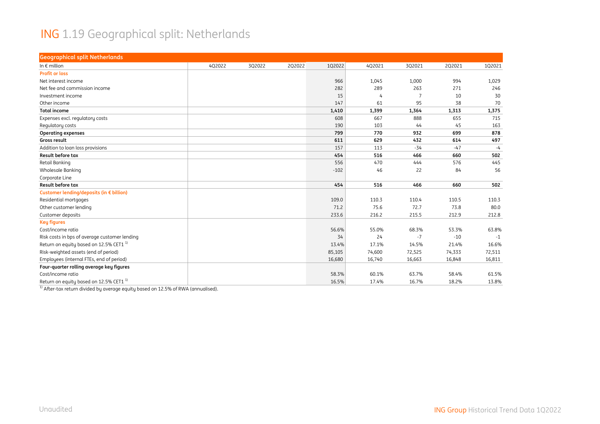#### ING 1.19 Geographical split: Netherlands

| <b>Geographical split Netherlands</b>              |        |        |        |        |        |        |        |        |
|----------------------------------------------------|--------|--------|--------|--------|--------|--------|--------|--------|
| In $\epsilon$ million                              | 4Q2022 | 3Q2022 | 2Q2022 | 102022 | 4Q2021 | 3Q2021 | 2Q2021 | 102021 |
| <b>Profit or loss</b>                              |        |        |        |        |        |        |        |        |
| Net interest income                                |        |        |        | 966    | 1,045  | 1,000  | 994    | 1,029  |
| Net fee and commission income                      |        |        |        | 282    | 289    | 263    | 271    | 246    |
| Investment income                                  |        |        |        | 15     | 4      | 7      | 10     | 30     |
| Other income                                       |        |        |        | 147    | 61     | 95     | 38     | 70     |
| <b>Total income</b>                                |        |        |        | 1,410  | 1,399  | 1,364  | 1,313  | 1,375  |
| Expenses excl. regulatory costs                    |        |        |        | 608    | 667    | 888    | 655    | 715    |
| Regulatory costs                                   |        |        |        | 190    | 103    | 44     | 45     | 163    |
| <b>Operating expenses</b>                          |        |        |        | 799    | 770    | 932    | 699    | 878    |
| Gross result                                       |        |        |        | 611    | 629    | 432    | 614    | 497    |
| Addition to loan loss provisions                   |        |        |        | 157    | 113    | $-34$  | $-47$  | $-4$   |
| <b>Result before tax</b>                           |        |        |        | 454    | 516    | 466    | 660    | 502    |
| Retail Banking                                     |        |        |        | 556    | 470    | 444    | 576    | 445    |
| <b>Wholesale Banking</b>                           |        |        |        | $-102$ | 46     | 22     | 84     | 56     |
| Corporate Line                                     |        |        |        |        |        |        |        |        |
| <b>Result before tax</b>                           |        |        |        | 454    | 516    | 466    | 660    | 502    |
| Customer lending/deposits (in € billion)           |        |        |        |        |        |        |        |        |
| Residential mortgages                              |        |        |        | 109.0  | 110.3  | 110.4  | 110.5  | 110.3  |
| Other customer lending                             |        |        |        | 71.2   | 75.6   | 72.7   | 73.8   | 80.0   |
| Customer deposits                                  |        |        |        | 233.6  | 216.2  | 215.5  | 212.9  | 212.8  |
| <b>Key figures</b>                                 |        |        |        |        |        |        |        |        |
| Cost/income ratio                                  |        |        |        | 56.6%  | 55.0%  | 68.3%  | 53.3%  | 63.8%  |
| Risk costs in bps of average customer lending      |        |        |        | 34     | 24     | $-7$   | $-10$  | $-1$   |
| Return on equity based on 12.5% CET1 <sup>1)</sup> |        |        |        | 13.4%  | 17.1%  | 14.5%  | 21.4%  | 16.6%  |
| Risk-weighted assets (end of period)               |        |        |        | 85,105 | 74,600 | 72,525 | 74,333 | 72,511 |
| Employees (internal FTEs, end of period)           |        |        |        | 16,680 | 16,740 | 16,663 | 16,848 | 16,811 |
| Four-quarter rolling average key figures           |        |        |        |        |        |        |        |        |
| Cost/income ratio                                  |        |        |        | 58.3%  | 60.1%  | 63.7%  | 58.4%  | 61.5%  |
| Return on equity based on 12.5% CET1 <sup>1)</sup> |        |        |        | 16.5%  | 17.4%  | 16.7%  | 18.2%  | 13.8%  |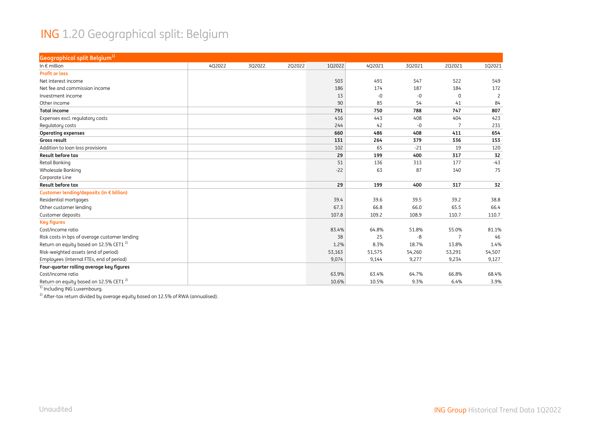#### ING 1.20 Geographical split: Belgium

| Geographical split Belgium <sup>1)</sup>           |        |        |        |        |        |        |                |                |
|----------------------------------------------------|--------|--------|--------|--------|--------|--------|----------------|----------------|
| In $\epsilon$ million                              | 4Q2022 | 3Q2022 | 2Q2022 | 102022 | 4Q2021 | 3Q2021 | 2Q2021         | 102021         |
| <b>Profit or loss</b>                              |        |        |        |        |        |        |                |                |
| Net interest income                                |        |        |        | 503    | 491    | 547    | 522            | 549            |
| Net fee and commission income                      |        |        |        | 186    | 174    | 187    | 184            | 172            |
| Investment income                                  |        |        |        | 13     | $-0$   | -0     | $\mathbf 0$    | $\overline{2}$ |
| Other income                                       |        |        |        | 90     | 85     | 54     | 41             | 84             |
| <b>Total income</b>                                |        |        |        | 791    | 750    | 788    | 747            | 807            |
| Expenses excl. regulatory costs                    |        |        |        | 416    | 443    | 408    | 404            | 423            |
| Regulatory costs                                   |        |        |        | 244    | 42     | -0     | 7              | 231            |
| <b>Operating expenses</b>                          |        |        |        | 660    | 486    | 408    | 411            | 654            |
| Gross result                                       |        |        |        | 131    | 264    | 379    | 336            | 153            |
| Addition to loan loss provisions                   |        |        |        | 102    | 65     | $-21$  | 19             | 120            |
| Result before tax                                  |        |        |        | 29     | 199    | 400    | 317            | 32             |
| Retail Banking                                     |        |        |        | 51     | 136    | 313    | 177            | $-43$          |
| Wholesale Banking                                  |        |        |        | $-22$  | 63     | 87     | 140            | 75             |
| Corporate Line                                     |        |        |        |        |        |        |                |                |
| Result before tax                                  |        |        |        | 29     | 199    | 400    | 317            | 32             |
| Customer lending/deposits (in € billion)           |        |        |        |        |        |        |                |                |
| Residential mortgages                              |        |        |        | 39.4   | 39.6   | 39.5   | 39.2           | 38.8           |
| Other customer lending                             |        |        |        | 67.3   | 66.8   | 66.0   | 65.5           | 66.4           |
| Customer deposits                                  |        |        |        | 107.8  | 109.2  | 108.9  | 110.7          | 110.7          |
| <b>Key figures</b>                                 |        |        |        |        |        |        |                |                |
| Cost/income ratio                                  |        |        |        | 83.4%  | 64.8%  | 51.8%  | 55.0%          | 81.1%          |
| Risk costs in bps of average customer lending      |        |        |        | 38     | 25     | -8     | $\overline{7}$ | 46             |
| Return on equity based on 12.5% CET1 <sup>2)</sup> |        |        |        | 1.2%   | 8.3%   | 18.7%  | 13.8%          | 1.4%           |
| Risk-weighted assets (end of period)               |        |        |        | 53,163 | 51,575 | 54,260 | 53,291         | 54,507         |
| Employees (internal FTEs, end of period)           |        |        |        | 9,074  | 9,144  | 9,277  | 9,234          | 9,127          |
| Four-quarter rolling average key figures           |        |        |        |        |        |        |                |                |
| Cost/income ratio                                  |        |        |        | 63.9%  | 63.4%  | 64.7%  | 66.8%          | 68.4%          |
| Return on equity based on 12.5% CET1 <sup>2)</sup> |        |        |        | 10.6%  | 10.5%  | 9.3%   | 6.4%           | 3.9%           |

<sup>1)</sup> Including ING Luxembourg.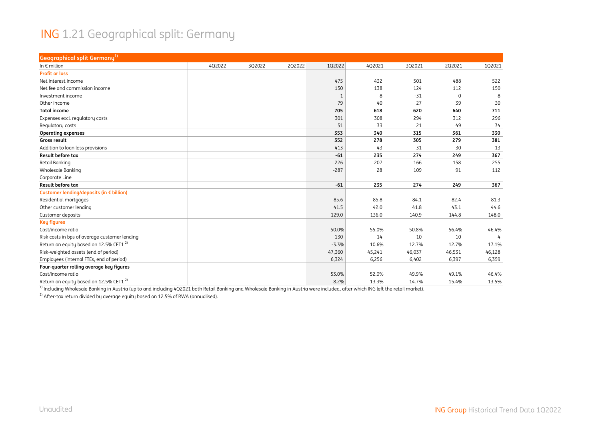#### ING 1.21 Geographical split: Germany

| Geographical split Germany <sup>1)</sup>           |        |        |        |         |        |        |             |        |
|----------------------------------------------------|--------|--------|--------|---------|--------|--------|-------------|--------|
| In $\epsilon$ million                              | 4Q2022 | 3Q2022 | 2Q2022 | 1Q2022  | 4Q2021 | 3Q2021 | 2Q2021      | 102021 |
| <b>Profit or loss</b>                              |        |        |        |         |        |        |             |        |
| Net interest income                                |        |        |        | 475     | 432    | 501    | 488         | 522    |
| Net fee and commission income                      |        |        |        | 150     | 138    | 124    | 112         | 150    |
| Investment income                                  |        |        |        | 1       | 8      | $-31$  | $\mathbf 0$ | 8      |
| Other income                                       |        |        |        | 79      | 40     | 27     | 39          | 30     |
| <b>Total income</b>                                |        |        |        | 705     | 618    | 620    | 640         | 711    |
| Expenses excl. regulatory costs                    |        |        |        | 301     | 308    | 294    | 312         | 296    |
| Regulatory costs                                   |        |        |        | 51      | 33     | 21     | 49          | 34     |
| <b>Operating expenses</b>                          |        |        |        | 353     | 340    | 315    | 361         | 330    |
| Gross result                                       |        |        |        | 352     | 278    | 305    | 279         | 381    |
| Addition to loan loss provisions                   |        |        |        | 413     | 43     | 31     | 30          | 13     |
| <b>Result before tax</b>                           |        |        |        | $-61$   | 235    | 274    | 249         | 367    |
| <b>Retail Banking</b>                              |        |        |        | 226     | 207    | 166    | 158         | 255    |
| Wholesale Banking                                  |        |        |        | $-287$  | 28     | 109    | 91          | 112    |
| Corporate Line                                     |        |        |        |         |        |        |             |        |
| Result before tax                                  |        |        |        | $-61$   | 235    | 274    | 249         | 367    |
| Customer lending/deposits (in € billion)           |        |        |        |         |        |        |             |        |
| Residential mortgages                              |        |        |        | 85.6    | 85.8   | 84.1   | 82.4        | 81.3   |
| Other customer lending                             |        |        |        | 41.5    | 42.0   | 41.8   | 43.1        | 44.6   |
| Customer deposits                                  |        |        |        | 129.0   | 136.0  | 140.9  | 144.8       | 148.0  |
| <b>Key figures</b>                                 |        |        |        |         |        |        |             |        |
| Cost/income ratio                                  |        |        |        | 50.0%   | 55.0%  | 50.8%  | 56.4%       | 46.4%  |
| Risk costs in bps of average customer lending      |        |        |        | 130     | 14     | 10     | 10          |        |
| Return on equity based on 12.5% CET1 <sup>2)</sup> |        |        |        | $-3.3%$ | 10.6%  | 12.7%  | 12.7%       | 17.1%  |
| Risk-weighted assets (end of period)               |        |        |        | 47,360  | 45,241 | 46,037 | 46,531      | 46,128 |
| Employees (internal FTEs, end of period)           |        |        |        | 6,324   | 6,256  | 6,402  | 6,397       | 6,359  |
| Four-quarter rolling average key figures           |        |        |        |         |        |        |             |        |
| Cost/income ratio                                  |        |        |        | 53.0%   | 52.0%  | 49.9%  | 49.1%       | 46.4%  |
| Return on equity based on 12.5% CET1 <sup>2)</sup> |        |        |        | 8.2%    | 13.3%  | 14.7%  | 15.4%       | 13.5%  |

 $^{\rm 1)}$  Including Wholesale Banking in Austria (up to and including 4Q2021 both Retail Banking and Wholesale Banking in Austria were included, after which ING left the retail market).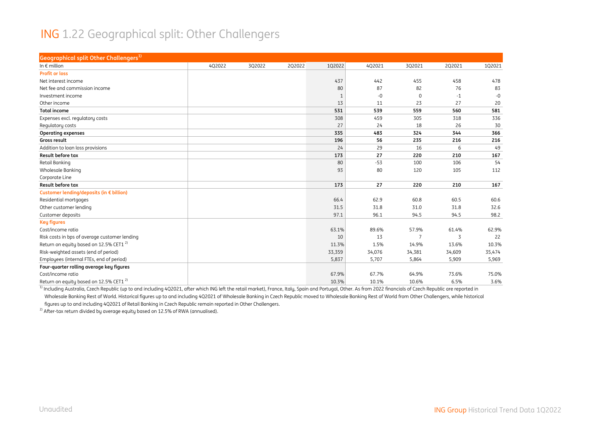#### ING 1.22 Geographical split: Other Challengers

| Geographical split Other Challengers <sup>1)</sup> |        |        |        |              |        |             |        |        |
|----------------------------------------------------|--------|--------|--------|--------------|--------|-------------|--------|--------|
| In $\epsilon$ million                              | 4Q2022 | 3Q2022 | 2Q2022 | 1Q2022       | 4Q2021 | 3Q2021      | 2Q2021 | 1Q2021 |
| <b>Profit or loss</b>                              |        |        |        |              |        |             |        |        |
| Net interest income                                |        |        |        | 437          | 442    | 455         | 458    | 478    |
| Net fee and commission income                      |        |        |        | 80           | 87     | 82          | 76     | 83     |
| Investment income                                  |        |        |        | $\mathbf{1}$ | $-0$   | $\mathbf 0$ | $-1$   | $-0$   |
| Other income                                       |        |        |        | 13           | 11     | 23          | 27     | 20     |
| <b>Total income</b>                                |        |        |        | 531          | 539    | 559         | 560    | 581    |
| Expenses excl. regulatory costs                    |        |        |        | 308          | 459    | 305         | 318    | 336    |
| Regulatory costs                                   |        |        |        | 27           | 24     | 18          | 26     | 30     |
| <b>Operating expenses</b>                          |        |        |        | 335          | 483    | 324         | 344    | 366    |
| Gross result                                       |        |        |        | 196          | 56     | 235         | 216    | 216    |
| Addition to loan loss provisions                   |        |        |        | 24           | 29     | 16          | 6      | 49     |
| <b>Result before tax</b>                           |        |        |        | 173          | 27     | 220         | 210    | 167    |
| Retail Banking                                     |        |        |        | 80           | $-53$  | 100         | 106    | 54     |
| Wholesale Banking                                  |        |        |        | 93           | 80     | 120         | 105    | 112    |
| Corporate Line                                     |        |        |        |              |        |             |        |        |
| <b>Result before tax</b>                           |        |        |        | 173          | 27     | 220         | 210    | 167    |
| Customer lending/deposits (in € billion)           |        |        |        |              |        |             |        |        |
| Residential mortgages                              |        |        |        | 66.4         | 62.9   | 60.8        | 60.5   | 60.6   |
| Other customer lending                             |        |        |        | 31.5         | 31.8   | 31.0        | 31.8   | 32.6   |
| Customer deposits                                  |        |        |        | 97.1         | 96.1   | 94.5        | 94.5   | 98.2   |
| <b>Key figures</b>                                 |        |        |        |              |        |             |        |        |
| Cost/income ratio                                  |        |        |        | 63.1%        | 89.6%  | 57.9%       | 61.4%  | 62.9%  |
| Risk costs in bps of average customer lending      |        |        |        | 10           | 13     | 7           | 3      | 22     |
| Return on equity based on 12.5% CET1 <sup>2)</sup> |        |        |        | 11.3%        | 1.5%   | 14.9%       | 13.6%  | 10.3%  |
| Risk-weighted assets (end of period)               |        |        |        | 33,359       | 34,076 | 34,381      | 34,609 | 35,474 |
| Employees (internal FTEs, end of period)           |        |        |        | 5,837        | 5,707  | 5,864       | 5,909  | 5,969  |
| Four-quarter rolling average key figures           |        |        |        |              |        |             |        |        |
| Cost/income ratio                                  |        |        |        | 67.9%        | 67.7%  | 64.9%       | 73.6%  | 75.0%  |
| Return on equity based on 12.5% CET1 <sup>2)</sup> |        |        |        | 10.3%        | 10.1%  | 10.6%       | 6.5%   | 3.6%   |

<sup>1)</sup> Including Australia, Czech Republic (up to and including 4Q2021, after which ING left the retail market), France, Italy, Spain and Portugal, Other. As from 2022 financials of Czech Republic are reported in Wholesale Banking Rest of World. Historical figures up to and including 4Q2021 of Wholesale Banking in Czech Republic moved to Wholesale Banking Rest of World from Other Challengers, while historical figures up to and including 4Q2021 of Retail Banking in Czech Republic remain reported in Other Challengers.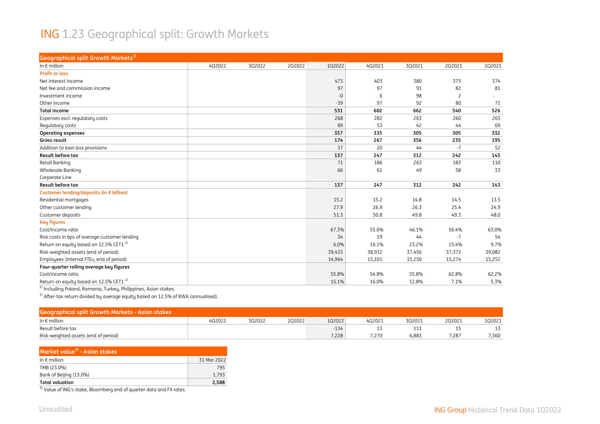#### ING 1.23 Geographical split: Growth Markets

| Geographical split Growth Markets <sup>1)</sup>    |        |        |        |        |        |        |                |        |
|----------------------------------------------------|--------|--------|--------|--------|--------|--------|----------------|--------|
| In $\epsilon$ million                              | 4Q2022 | 3Q2022 | 2Q2022 | 1Q2022 | 4Q2021 | 3Q2021 | 2Q2021         | 102021 |
| <b>Profit or loss</b>                              |        |        |        |        |        |        |                |        |
| Net interest income                                |        |        |        | 473    | 403    | 380    | 375            | 374    |
| Net fee and commission income                      |        |        |        | 97     | 97     | 91     | 82             | 81     |
| Investment income                                  |        |        |        | $-0$   | 6      | 98     | $\overline{2}$ |        |
| Other income                                       |        |        |        | $-39$  | 97     | 92     | 80             | 71     |
| <b>Total income</b>                                |        |        |        | 531    | 602    | 662    | 540            | 526    |
| Expenses excl. regulatory costs                    |        |        |        | 268    | 282    | 263    | 260            | 263    |
| Regulatory costs                                   |        |        |        | 89     | 53     | 42     | 44             | 69     |
| <b>Operating expenses</b>                          |        |        |        | 357    | 335    | 305    | 305            | 332    |
| Gross result                                       |        |        |        | 174    | 267    | 356    | 235            | 195    |
| Addition to loan loss provisions                   |        |        |        | 37     | 20     | 44     | $-7$           | 52     |
| <b>Result before tax</b>                           |        |        |        | 137    | 247    | 312    | 242            | 143    |
| Retail Banking                                     |        |        |        | 71     | 186    | 263    | 183            | 110    |
| Wholesale Banking                                  |        |        |        | 66     | 61     | 49     | 58             | 33     |
| Corporate Line                                     |        |        |        |        |        |        |                |        |
| <b>Result before tax</b>                           |        |        |        | 137    | 247    | 312    | 242            | 143    |
| Customer lending/deposits (in € billion)           |        |        |        |        |        |        |                |        |
| Residential mortgages                              |        |        |        | 15.2   | 15.2   | 14.8   | 14.5           | 13.5   |
| Other customer lending                             |        |        |        | 27.9   | 26.9   | 26.3   | 25.4           | 24.9   |
| Customer deposits                                  |        |        |        | 51.3   | 50.8   | 49.8   | 49.3           | 48.0   |
| <b>Key figures</b>                                 |        |        |        |        |        |        |                |        |
| Cost/income ratio                                  |        |        |        | 67.3%  | 55.6%  | 46.1%  | 56.4%          | 63.0%  |
| Risk costs in bps of average customer lending      |        |        |        | 34     | 19     | 44     | $-7$           | 54     |
| Return on equity based on 12.5% CET1 <sup>2)</sup> |        |        |        | 6.0%   | 16.1%  | 23.2%  | 15.4%          | 9.7%   |
| Risk-weighted assets (end of period)               |        |        |        | 39,433 | 38,932 | 37,456 | 37,372         | 39,082 |
| Employees (internal FTEs, end of period)           |        |        |        | 14,964 | 15,101 | 15,250 | 15,274         | 15,252 |
| Four-quarter rolling average key figures           |        |        |        |        |        |        |                |        |
| Cost/income ratio                                  |        |        |        | 55.8%  | 54.8%  | 55.8%  | 62.8%          | 62.2%  |
| Return on equity based on 12.5% CET1 <sup>2)</sup> |        |        |        | 15.1%  | 16.0%  | 12.8%  | 7.1%           | 5.3%   |

<sup>1)</sup> Including Poland, Romania, Turkey, Philippines, Asian stakes.

 $^{2)}$  After-tax return divided by average equity based on 12.5% of RWA (annualised).

| Geographical split Growth Markets - Asian stakes |        |        |        |        |        |        |         |        |
|--------------------------------------------------|--------|--------|--------|--------|--------|--------|---------|--------|
| In $\epsilon$ million                            | 402022 | 3Q2022 | 2Q2022 | 102022 | 4Q2021 | 3Q2021 | 2Q2021  | 102021 |
| Result before tax                                |        |        |        | $-134$ |        | ᆂᆂᆂ    | <b></b> |        |
| Risk-weighted assets (end of period)             |        |        |        | 7,228  | 7.270  | 6.883  | .287    | 7,360  |

| Market value <sup>3)</sup> - Asian stakes |             |
|-------------------------------------------|-------------|
| In $\epsilon$ million                     | 31 Mar 2022 |
| TMB (23.0%)                               | 795         |
| Bank of Beijing (13.0%)                   | 1.793       |
| <b>Total valuation</b>                    | 2.588       |
| $71$ and $71$                             |             |

<sup>3)</sup> Value of ING's stake, Bloomberg end of quarter data and FX rates.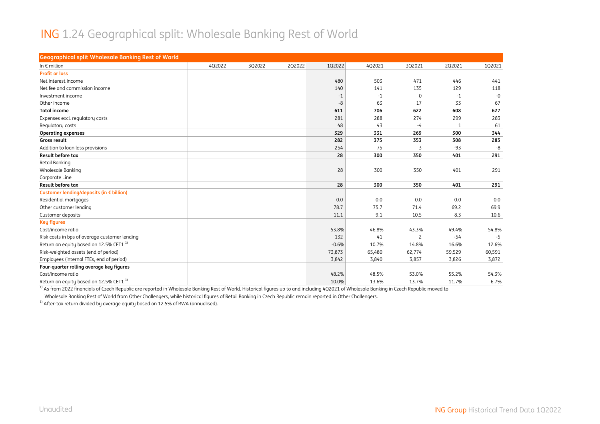#### ING 1.24 Geographical split: Wholesale Banking Rest of World

| <b>Geographical split Wholesale Banking Rest of World</b> |        |        |        |         |        |                |              |        |
|-----------------------------------------------------------|--------|--------|--------|---------|--------|----------------|--------------|--------|
| In $\epsilon$ million                                     | 402022 | 3Q2022 | 2Q2022 | 1Q2022  | 4Q2021 | 3Q2021         | 2Q2021       | 102021 |
| <b>Profit or loss</b>                                     |        |        |        |         |        |                |              |        |
| Net interest income                                       |        |        |        | 480     | 503    | 471            | 446          | 441    |
| Net fee and commission income                             |        |        |        | 140     | 141    | 135            | 129          | 118    |
| Investment income                                         |        |        |        | $-1$    | $-1$   | $\mathbf 0$    | $-1$         | $-0$   |
| Other income                                              |        |        |        | -8      | 63     | 17             | 33           | 67     |
| <b>Total income</b>                                       |        |        |        | 611     | 706    | 622            | 608          | 627    |
| Expenses excl. regulatory costs                           |        |        |        | 281     | 288    | 274            | 299          | 283    |
| Regulatory costs                                          |        |        |        | 48      | 43     | $-4$           | $\mathbf{1}$ | 61     |
| <b>Operating expenses</b>                                 |        |        |        | 329     | 331    | 269            | 300          | 344    |
| Gross result                                              |        |        |        | 282     | 375    | 353            | 308          | 283    |
| Addition to loan loss provisions                          |        |        |        | 254     | 75     | 3              | $-93$        | $-8$   |
| <b>Result before tax</b>                                  |        |        |        | 28      | 300    | 350            | 401          | 291    |
| Retail Banking                                            |        |        |        |         |        |                |              |        |
| <b>Wholesale Banking</b>                                  |        |        |        | 28      | 300    | 350            | 401          | 291    |
| Corporate Line                                            |        |        |        |         |        |                |              |        |
| <b>Result before tax</b>                                  |        |        |        | 28      | 300    | 350            | 401          | 291    |
| Customer lending/deposits (in € billion)                  |        |        |        |         |        |                |              |        |
| Residential mortgages                                     |        |        |        | 0.0     | 0.0    | 0.0            | 0.0          | 0.0    |
| Other customer lending                                    |        |        |        | 78.7    | 75.7   | 71.4           | 69.2         | 69.9   |
| Customer deposits                                         |        |        |        | 11.1    | 9.1    | 10.5           | 8.3          | 10.6   |
| <b>Key figures</b>                                        |        |        |        |         |        |                |              |        |
| Cost/income ratio                                         |        |        |        | 53.8%   | 46.8%  | 43.3%          | 49.4%        | 54.8%  |
| Risk costs in bps of average customer lending             |        |        |        | 132     | 41     | $\overline{c}$ | $-54$        | $-5$   |
| Return on equity based on 12.5% CET1 <sup>1)</sup>        |        |        |        | $-0.6%$ | 10.7%  | 14.8%          | 16.6%        | 12.6%  |
| Risk-weighted assets (end of period)                      |        |        |        | 73,873  | 65,480 | 62,774         | 59,529       | 60,591 |
| Employees (internal FTEs, end of period)                  |        |        |        | 3,842   | 3,840  | 3,857          | 3,826        | 3,872  |
| Four-quarter rolling average key figures                  |        |        |        |         |        |                |              |        |
| Cost/income ratio                                         |        |        |        | 48.2%   | 48.5%  | 53.0%          | 55.2%        | 54.3%  |
| Return on equity based on 12.5% CET1 <sup>1)</sup>        |        |        |        | 10.0%   | 13.6%  | 13.7%          | 11.7%        | 6.7%   |

<sup>1)</sup> As from 2022 financials of Czech Republic are reported in Wholesale Banking Rest of World. Historical figures up to and including 4Q2021 of Wholesale Banking in Czech Republic moved to Wholesale Banking Rest of World from Other Challengers, while historical figures of Retail Banking in Czech Republic remain reported in Other Challengers.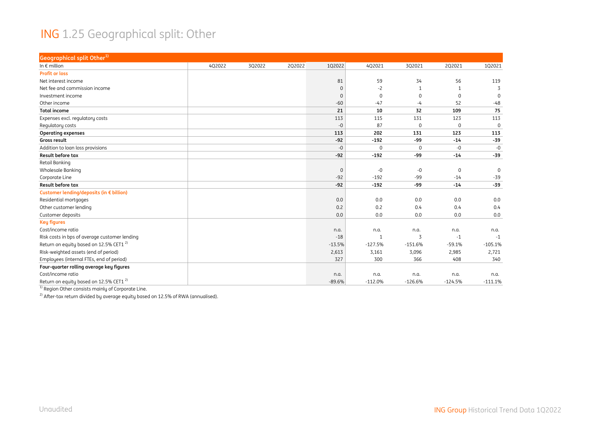#### ING 1.25 Geographical split: Other

| <b>Geographical split Other1)</b>                  |        |        |        |             |             |             |             |              |
|----------------------------------------------------|--------|--------|--------|-------------|-------------|-------------|-------------|--------------|
| In $\epsilon$ million                              | 4Q2022 | 3Q2022 | 2Q2022 | 1Q2022      | 4Q2021      | 3Q2021      | 2Q2021      | 102021       |
| <b>Profit or loss</b>                              |        |        |        |             |             |             |             |              |
| Net interest income                                |        |        |        | 81          | 59          | 34          | 56          | 119          |
| Net fee and commission income                      |        |        |        | $\mathbf 0$ | $-2$        | 1           |             | 3            |
| Investment income                                  |        |        |        | $\mathbf 0$ | $\Omega$    | $\Omega$    | $\Omega$    | $\Omega$     |
| Other income                                       |        |        |        | $-60$       | $-47$       | -4          | 52          | $-48$        |
| <b>Total income</b>                                |        |        |        | 21          | 10          | 32          | 109         | 75           |
| Expenses excl. regulatory costs                    |        |        |        | 113         | 115         | 131         | 123         | 113          |
| Regulatory costs                                   |        |        |        | $-0$        | 87          | $\mathbf 0$ | $\Omega$    | $\Omega$     |
| <b>Operating expenses</b>                          |        |        |        | 113         | 202         | 131         | 123         | 113          |
| Gross result                                       |        |        |        | $-92$       | $-192$      | -99         | $-14$       | $-39$        |
| Addition to loan loss provisions                   |        |        |        | $-0$        | $\mathbf 0$ | $\mathbf 0$ | $-0$        | $-0$         |
| Result before tax                                  |        |        |        | $-92$       | $-192$      | -99         | $-14$       | $-39$        |
| Retail Banking                                     |        |        |        |             |             |             |             |              |
| Wholesale Banking                                  |        |        |        | $\mathbf 0$ | $-0$        | -0          | $\mathbf 0$ | $\mathbf{0}$ |
| Corporate Line                                     |        |        |        | $-92$       | $-192$      | $-99$       | $-14$       | $-39$        |
| <b>Result before tax</b>                           |        |        |        | $-92$       | $-192$      | -99         | $-14$       | $-39$        |
| Customer lending/deposits (in € billion)           |        |        |        |             |             |             |             |              |
| Residential mortgages                              |        |        |        | 0.0         | 0.0         | 0.0         | 0.0         | 0.0          |
| Other customer lending                             |        |        |        | 0.2         | 0.2         | 0.4         | 0.4         | 0.4          |
| Customer deposits                                  |        |        |        | 0.0         | 0.0         | 0.0         | 0.0         | 0.0          |
| <b>Key figures</b>                                 |        |        |        |             |             |             |             |              |
| Cost/income ratio                                  |        |        |        | n.a.        | n.a.        | n.a.        | n.a.        | n.a.         |
| Risk costs in bps of average customer lending      |        |        |        | $-18$       | 1           | 3           | $-1$        | $-1$         |
| Return on equity based on 12.5% CET1 <sup>2)</sup> |        |        |        | $-13.5%$    | $-127.5%$   | $-151.6%$   | $-59.1%$    | $-105.1%$    |
| Risk-weighted assets (end of period)               |        |        |        | 2,613       | 3,161       | 3,096       | 2,985       | 2,721        |
| Employees (internal FTEs, end of period)           |        |        |        | 327         | 300         | 366         | 408         | 340          |
| Four-quarter rolling average key figures           |        |        |        |             |             |             |             |              |
| Cost/income ratio                                  |        |        |        | n.a.        | n.a.        | n.a.        | n.a.        | n.a.         |
| Return on equity based on 12.5% CET1 <sup>2)</sup> |        |        |        | $-89.6%$    | $-112.0%$   | $-126.6%$   | $-124.5%$   | $-111.1%$    |

 $^{1)}$  Region Other consists mainly of Corporate Line.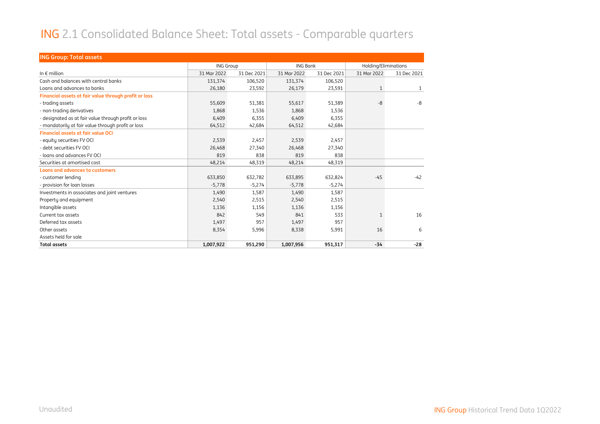#### ING 2.1 Consolidated Balance Sheet: Total assets - Comparable quarters

| <b>ING Group: Total assets</b>                        |                  |             |                 |             |                      |              |
|-------------------------------------------------------|------------------|-------------|-----------------|-------------|----------------------|--------------|
|                                                       | <b>ING Group</b> |             | <b>ING Bank</b> |             | Holding/Eliminations |              |
| In $\epsilon$ million                                 | 31 Mar 2022      | 31 Dec 2021 | 31 Mar 2022     | 31 Dec 2021 | 31 Mar 2022          | 31 Dec 2021  |
| Cash and balances with central banks                  | 131,374          | 106,520     | 131,374         | 106,520     |                      |              |
| Loans and advances to banks                           | 26,180           | 23,592      | 26,179          | 23,591      | $\mathbf{1}$         | $\mathbf{1}$ |
| Financial assets at fair value through profit or loss |                  |             |                 |             |                      |              |
| - trading assets                                      | 55,609           | 51,381      | 55,617          | 51,389      | -8                   | -8           |
| - non-trading derivatives                             | 1,868            | 1,536       | 1,868           | 1,536       |                      |              |
| - designated as at fair value through profit or loss  | 6,409            | 6,355       | 6,409           | 6,355       |                      |              |
| - mandatorily at fair value through profit or loss    | 64,512           | 42,684      | 64,512          | 42,684      |                      |              |
| <b>Financial assets at fair value OCI</b>             |                  |             |                 |             |                      |              |
| - equity securities FV OCI                            | 2,539            | 2,457       | 2,539           | 2,457       |                      |              |
| - debt securities FV OCI                              | 26,468           | 27,340      | 26,468          | 27,340      |                      |              |
| - loans and advances FV OCI                           | 819              | 838         | 819             | 838         |                      |              |
| Securities at amortised cost                          | 48,214           | 48,319      | 48,214          | 48,319      |                      |              |
| <b>Loans and advances to customers</b>                |                  |             |                 |             |                      |              |
| - customer lending                                    | 633,850          | 632,782     | 633,895         | 632,824     | $-45$                | $-42$        |
| - provision for loan losses                           | $-5,778$         | $-5,274$    | $-5,778$        | $-5,274$    |                      |              |
| Investments in associates and joint ventures          | 1,490            | 1,587       | 1,490           | 1,587       |                      |              |
| Property and equipment                                | 2,540            | 2,515       | 2,540           | 2,515       |                      |              |
| Intangible assets                                     | 1,136            | 1,156       | 1,136           | 1,156       |                      |              |
| Current tax assets                                    | 842              | 549         | 841             | 533         | $\mathbf{1}$         | 16           |
| Deferred tax assets                                   | 1,497            | 957         | 1,497           | 957         |                      |              |
| Other assets                                          | 8,354            | 5,996       | 8,338           | 5,991       | 16                   | 6            |
| Assets held for sale                                  |                  |             |                 |             |                      |              |
| <b>Total assets</b>                                   | 1,007,922        | 951,290     | 1,007,956       | 951,317     | $-34$                | $-28$        |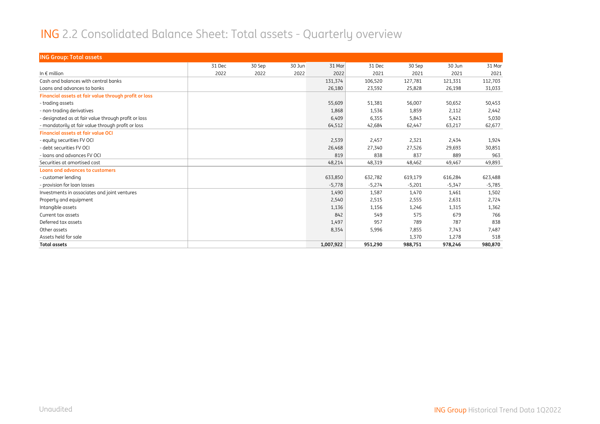#### ING 2.2 Consolidated Balance Sheet: Total assets - Quarterly overview

| <b>ING Group: Total assets</b>                        |        |        |        |           |          |          |          |          |
|-------------------------------------------------------|--------|--------|--------|-----------|----------|----------|----------|----------|
|                                                       | 31 Dec | 30 Sep | 30 Jun | 31 Mar    | 31 Dec   | 30 Sep   | 30 Jun   | 31 Mar   |
| In $\epsilon$ million                                 | 2022   | 2022   | 2022   | 2022      | 2021     | 2021     | 2021     | 2021     |
| Cash and balances with central banks                  |        |        |        | 131,374   | 106,520  | 127,781  | 121,331  | 112,703  |
| Loans and advances to banks                           |        |        |        | 26,180    | 23,592   | 25,828   | 26,198   | 31,033   |
| Financial assets at fair value through profit or loss |        |        |        |           |          |          |          |          |
| - trading assets                                      |        |        |        | 55,609    | 51,381   | 56,007   | 50,652   | 50,453   |
| - non-trading derivatives                             |        |        |        | 1,868     | 1,536    | 1,859    | 2,112    | 2,442    |
| - designated as at fair value through profit or loss  |        |        |        | 6,409     | 6,355    | 5,843    | 5,421    | 5,030    |
| - mandatorily at fair value through profit or loss    |        |        |        | 64,512    | 42,684   | 62,447   | 63,217   | 62,677   |
| <b>Financial assets at fair value OCI</b>             |        |        |        |           |          |          |          |          |
| - equity securities FV OCI                            |        |        |        | 2,539     | 2,457    | 2,321    | 2,434    | 1,924    |
| - debt securities FV OCI                              |        |        |        | 26,468    | 27,340   | 27,526   | 29,693   | 30,851   |
| - loans and advances FV OCI                           |        |        |        | 819       | 838      | 837      | 889      | 963      |
| Securities at amortised cost                          |        |        |        | 48,214    | 48,319   | 48,462   | 49,467   | 49,893   |
| <b>Loans and advances to customers</b>                |        |        |        |           |          |          |          |          |
| - customer lending                                    |        |        |        | 633,850   | 632,782  | 619,179  | 616,284  | 623,488  |
| - provision for loan losses                           |        |        |        | $-5.778$  | $-5,274$ | $-5,201$ | $-5,347$ | $-5,785$ |
| Investments in associates and joint ventures          |        |        |        | 1,490     | 1,587    | 1,470    | 1,461    | 1,502    |
| Property and equipment                                |        |        |        | 2,540     | 2,515    | 2,555    | 2,631    | 2,724    |
| Intangible assets                                     |        |        |        | 1,136     | 1,156    | 1,246    | 1,315    | 1,362    |
| Current tax assets                                    |        |        |        | 842       | 549      | 575      | 679      | 766      |
| Deferred tax assets                                   |        |        |        | 1,497     | 957      | 789      | 787      | 838      |
| Other assets                                          |        |        |        | 8,354     | 5,996    | 7,855    | 7,743    | 7,487    |
| Assets held for sale                                  |        |        |        |           |          | 1,370    | 1,278    | 518      |
| <b>Total assets</b>                                   |        |        |        | 1,007,922 | 951,290  | 988,751  | 978,246  | 980,870  |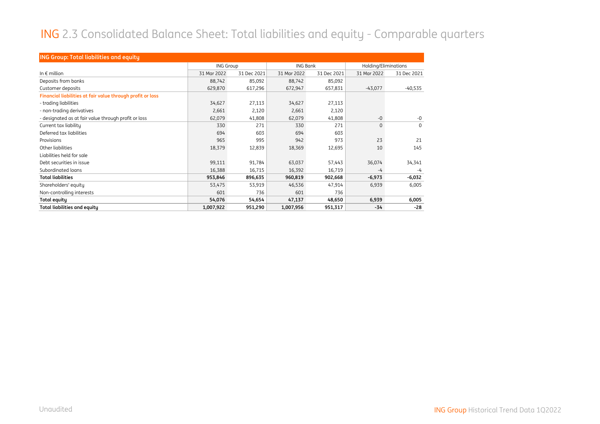#### ING 2.3 Consolidated Balance Sheet: Total liabilities and equity - Comparable quarters

| <b>ING Group: Total liabilities and equity</b>             |                  |             |                 |             |                      |             |  |  |  |  |
|------------------------------------------------------------|------------------|-------------|-----------------|-------------|----------------------|-------------|--|--|--|--|
|                                                            | <b>ING Group</b> |             | <b>ING Bank</b> |             | Holding/Eliminations |             |  |  |  |  |
| In $\epsilon$ million                                      | 31 Mar 2022      | 31 Dec 2021 | 31 Mar 2022     | 31 Dec 2021 | 31 Mar 2022          | 31 Dec 2021 |  |  |  |  |
| Deposits from banks                                        | 88,742           | 85,092      | 88,742          | 85,092      |                      |             |  |  |  |  |
| Customer deposits                                          | 629,870          | 617,296     | 672,947         | 657,831     | $-43,077$            | $-40,535$   |  |  |  |  |
| Financial liabilities at fair value through profit or loss |                  |             |                 |             |                      |             |  |  |  |  |
| - trading liabilities                                      | 34,627           | 27,113      | 34,627          | 27,113      |                      |             |  |  |  |  |
| - non-trading derivatives                                  | 2,661            | 2,120       | 2,661           | 2,120       |                      |             |  |  |  |  |
| - designated as at fair value through profit or loss       | 62,079           | 41,808      | 62,079          | 41,808      | $-0$                 | $-0$        |  |  |  |  |
| Current tax liability                                      | 330              | 271         | 330             | 271         | 0                    | $\Omega$    |  |  |  |  |
| Deferred tax liabilities                                   | 694              | 603         | 694             | 603         |                      |             |  |  |  |  |
| Provisions                                                 | 965              | 995         | 942             | 973         | 23                   | 21          |  |  |  |  |
| Other liabilities                                          | 18,379           | 12,839      | 18,369          | 12,695      | 10                   | 145         |  |  |  |  |
| Liabilities held for sale                                  |                  |             |                 |             |                      |             |  |  |  |  |
| Debt securities in issue                                   | 99,111           | 91,784      | 63,037          | 57,443      | 36,074               | 34,341      |  |  |  |  |
| Subordinated loans                                         | 16,388           | 16,715      | 16,392          | 16,719      | -4                   | -4          |  |  |  |  |
| <b>Total liabilities</b>                                   | 953,846          | 896,635     | 960,819         | 902,668     | $-6,973$             | $-6,032$    |  |  |  |  |
| Shareholders' equity                                       | 53,475           | 53,919      | 46,536          | 47,914      | 6,939                | 6,005       |  |  |  |  |
| Non-controlling interests                                  | 601              | 736         | 601             | 736         |                      |             |  |  |  |  |
| Total equity                                               | 54,076           | 54,654      | 47,137          | 48,650      | 6,939                | 6,005       |  |  |  |  |
| <b>Total liabilities and equity</b>                        | 1,007,922        | 951,290     | 1,007,956       | 951,317     | -34                  | $-28$       |  |  |  |  |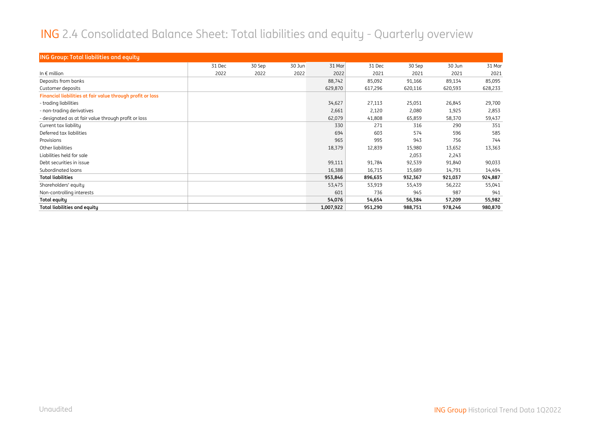#### ING 2.4 Consolidated Balance Sheet: Total liabilities and equity - Quarterly overview

| <b>ING Group: Total liabilities and equity</b>             |        |        |        |           |         |         |         |         |
|------------------------------------------------------------|--------|--------|--------|-----------|---------|---------|---------|---------|
|                                                            | 31 Dec | 30 Sep | 30 Jun | 31 Mar    | 31 Dec  | 30 Sep  | 30 Jun  | 31 Mar  |
| In $\epsilon$ million                                      | 2022   | 2022   | 2022   | 2022      | 2021    | 2021    | 2021    | 2021    |
| Deposits from banks                                        |        |        |        | 88,742    | 85,092  | 91,166  | 89,134  | 85,095  |
| Customer deposits                                          |        |        |        | 629,870   | 617,296 | 620,116 | 620,593 | 628,233 |
| Financial liabilities at fair value through profit or loss |        |        |        |           |         |         |         |         |
| - trading liabilities                                      |        |        |        | 34,627    | 27,113  | 25,051  | 26,845  | 29,700  |
| - non-trading derivatives                                  |        |        |        | 2,661     | 2,120   | 2,080   | 1,925   | 2,853   |
| - designated as at fair value through profit or loss       |        |        |        | 62,079    | 41,808  | 65,859  | 58,370  | 59,437  |
| Current tax liability                                      |        |        |        | 330       | 271     | 316     | 290     | 351     |
| Deferred tax liabilities                                   |        |        |        | 694       | 603     | 574     | 596     | 585     |
| Provisions                                                 |        |        |        | 965       | 995     | 943     | 756     | 744     |
| Other liabilities                                          |        |        |        | 18,379    | 12,839  | 15,980  | 13,652  | 13,363  |
| Liabilities held for sale                                  |        |        |        |           |         | 2,053   | 2,243   |         |
| Debt securities in issue                                   |        |        |        | 99,111    | 91,784  | 92,539  | 91,840  | 90,033  |
| Subordinated loans                                         |        |        |        | 16,388    | 16,715  | 15,689  | 14,791  | 14,494  |
| <b>Total liabilities</b>                                   |        |        |        | 953,846   | 896,635 | 932,367 | 921,037 | 924,887 |
| Shareholders' equity                                       |        |        |        | 53,475    | 53,919  | 55,439  | 56,222  | 55,041  |
| Non-controlling interests                                  |        |        |        | 601       | 736     | 945     | 987     | 941     |
| <b>Total equity</b>                                        |        |        |        | 54,076    | 54,654  | 56,384  | 57,209  | 55,982  |
| <b>Total liabilities and equity</b>                        |        |        |        | 1,007,922 | 951,290 | 988,751 | 978,246 | 980,870 |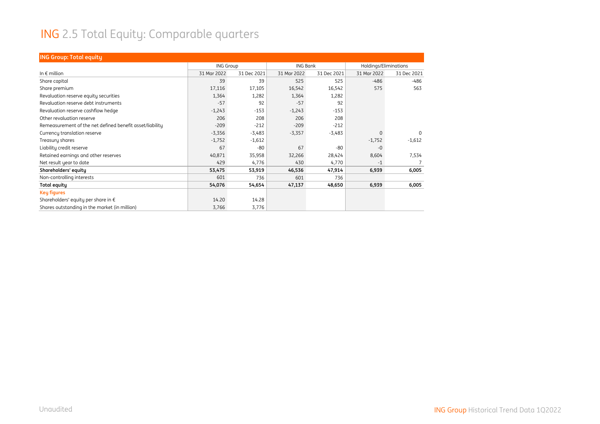# ING 2.5 Total Equity: Comparable quarters

| <b>ING Group: Total equity</b>                           |                  |             |                 |             |                       |             |
|----------------------------------------------------------|------------------|-------------|-----------------|-------------|-----------------------|-------------|
|                                                          | <b>ING Group</b> |             | <b>ING Bank</b> |             | Holdings/Eliminations |             |
| In $\epsilon$ million                                    | 31 Mar 2022      | 31 Dec 2021 | 31 Mar 2022     | 31 Dec 2021 | 31 Mar 2022           | 31 Dec 2021 |
| Share capital                                            | 39               | 39          | 525             | 525         | $-486$                | $-486$      |
| Share premium                                            | 17,116           | 17,105      | 16,542          | 16,542      | 575                   | 563         |
| Revaluation reserve equity securities                    | 1,364            | 1,282       | 1,364           | 1,282       |                       |             |
| Revaluation reserve debt instruments                     | $-57$            | 92          | $-57$           | 92          |                       |             |
| Revaluation reserve cashflow hedge                       | $-1,243$         | $-153$      | $-1,243$        | $-153$      |                       |             |
| Other revaluation reserve                                | 206              | 208         | 206             | 208         |                       |             |
| Remeasurement of the net defined benefit asset/liability | $-209$           | $-212$      | $-209$          | $-212$      |                       |             |
| Currency translation reserve                             | $-3,356$         | $-3,483$    | $-3,357$        | $-3,483$    | $\Omega$              | $\Omega$    |
| Treasury shares                                          | $-1,752$         | $-1,612$    |                 |             | $-1,752$              | $-1,612$    |
| Liability credit reserve                                 | 67               | $-80$       | 67              | $-80$       | $-0$                  |             |
| Retained earnings and other reserves                     | 40,871           | 35,958      | 32,266          | 28,424      | 8,604                 | 7,534       |
| Net result year to date                                  | 429              | 4,776       | 430             | 4,770       | $-1$                  |             |
| Shareholders' equity                                     | 53,475           | 53,919      | 46,536          | 47,914      | 6,939                 | 6,005       |
| Non-controlling interests                                | 601              | 736         | 601             | 736         |                       |             |
| <b>Total equity</b>                                      | 54,076           | 54,654      | 47,137          | 48,650      | 6,939                 | 6,005       |
| <b>Key figures</b>                                       |                  |             |                 |             |                       |             |
| Shareholders' equity per share in €                      | 14.20            | 14.28       |                 |             |                       |             |
| Shares outstanding in the market (in million)            | 3,766            | 3,776       |                 |             |                       |             |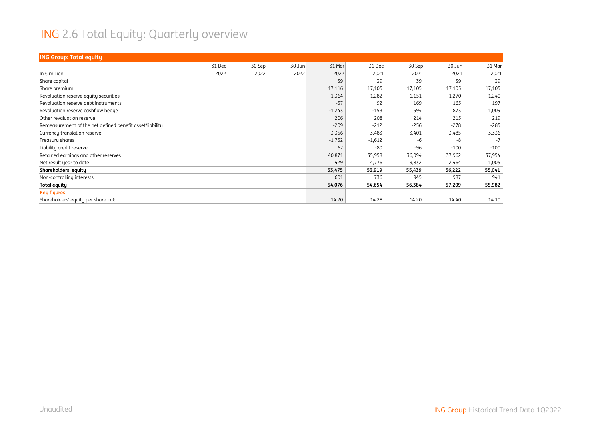# ING 2.6 Total Equity: Quarterly overview

| <b>ING Group: Total equity</b>                           |        |        |        |          |          |          |          |          |
|----------------------------------------------------------|--------|--------|--------|----------|----------|----------|----------|----------|
|                                                          | 31 Dec | 30 Sep | 30 Jun | 31 Mar   | 31 Dec   | 30 Sep   | 30 Jun   | 31 Mar   |
| In $\epsilon$ million                                    | 2022   | 2022   | 2022   | 2022     | 2021     | 2021     | 2021     | 2021     |
| Share capital                                            |        |        |        | 39       | 39       | 39       | 39       | 39       |
| Share premium                                            |        |        |        | 17,116   | 17,105   | 17,105   | 17,105   | 17,105   |
| Revaluation reserve equity securities                    |        |        |        | 1,364    | 1,282    | 1,151    | 1,270    | 1,240    |
| Revaluation reserve debt instruments                     |        |        |        | $-57$    | 92       | 169      | 165      | 197      |
| Revaluation reserve cashflow hedge                       |        |        |        | $-1,243$ | $-153$   | 594      | 873      | 1,009    |
| Other revaluation reserve                                |        |        |        | 206      | 208      | 214      | 215      | 219      |
| Remeasurement of the net defined benefit asset/liability |        |        |        | $-209$   | $-212$   | $-256$   | $-278$   | $-285$   |
| Currency translation reserve                             |        |        |        | $-3,356$ | $-3,483$ | $-3,401$ | $-3,485$ | $-3,336$ |
| Treasury shares                                          |        |        |        | $-1,752$ | $-1,612$ | -6       | -8       | $-7$     |
| Liability credit reserve                                 |        |        |        | 67       | $-80$    | $-96$    | $-100$   | $-100$   |
| Retained earnings and other reserves                     |        |        |        | 40,871   | 35,958   | 36,094   | 37,962   | 37,954   |
| Net result year to date                                  |        |        |        | 429      | 4,776    | 3,832    | 2,464    | 1,005    |
| Shareholders' equity                                     |        |        |        | 53,475   | 53,919   | 55,439   | 56,222   | 55,041   |
| Non-controlling interests                                |        |        |        | 601      | 736      | 945      | 987      | 941      |
| <b>Total equity</b>                                      |        |        |        | 54,076   | 54,654   | 56,384   | 57,209   | 55,982   |
| <b>Key figures</b>                                       |        |        |        |          |          |          |          |          |
| Shareholders' equity per share in €                      |        |        |        | 14.20    | 14.28    | 14.20    | 14.40    | 14.10    |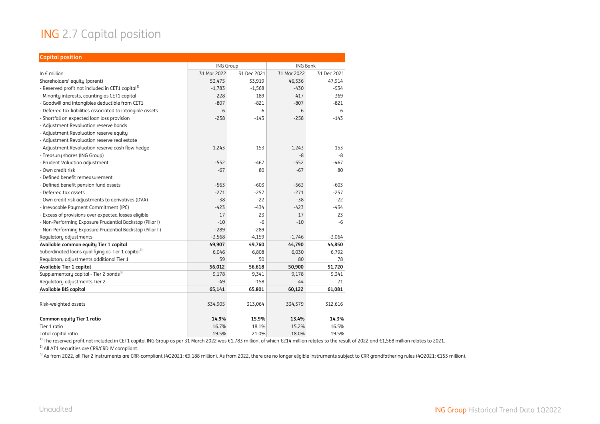#### ING 2.7 Capital position

| <b>Capital position</b>                                       |                  |             |                 |             |
|---------------------------------------------------------------|------------------|-------------|-----------------|-------------|
|                                                               | <b>ING Group</b> |             | <b>ING Bank</b> |             |
| In $\epsilon$ million                                         | 31 Mar 2022      | 31 Dec 2021 | 31 Mar 2022     | 31 Dec 2021 |
| Shareholders' equity (parent)                                 | 53,475           | 53,919      | 46,536          | 47,914      |
| - Reserved profit not included in CET1 capital <sup>1)</sup>  | $-1,783$         | $-1,568$    | $-430$          | $-934$      |
| - Minority interests, counting as CET1 capital                | 228              | 189         | 417             | 369         |
| - Goodwill and intangibles deductible from CET1               | $-807$           | $-821$      | $-807$          | $-821$      |
| - Deferred tax liabilities associated to intangible assets    | 6                | 6           | 6               | 6           |
| - Shortfall on expected loan loss provision                   | $-258$           | $-143$      | $-258$          | $-143$      |
| - Adjustment Revaluation reserve bonds                        |                  |             |                 |             |
| - Adjustment Revaluation reserve equity                       |                  |             |                 |             |
| - Adjustment Revaluation reserve real estate                  |                  |             |                 |             |
| - Adjustment Revaluation reserve cash flow hedge              | 1,243            | 153         | 1,243           | 153         |
| - Treasury shares (ING Group)                                 |                  |             | -8              | -8          |
| - Prudent Valuation adjustment                                | $-552$           | $-467$      | $-552$          | $-467$      |
| - Own credit risk                                             | $-67$            | 80          | $-67$           | 80          |
| - Defined benefit remeasurement                               |                  |             |                 |             |
| - Defined benefit pension fund assets                         | $-563$           | $-603$      | $-563$          | $-603$      |
| - Deferred tax assets                                         | $-271$           | $-257$      | $-271$          | $-257$      |
| - Own credit risk adjustments to derivatives (DVA)            | $-38$            | $-22$       | $-38$           | $-22$       |
| - Irrevocable Payment Commitment (IPC)                        | $-423$           | $-434$      | $-423$          | $-434$      |
| - Excess of provisions over expected losses eligible          | 17               | 23          | 17              | 23          |
| - Non-Performing Exposure Prudential Backstop (Pillar I)      | $-10$            | $-6$        | $-10$           | -6          |
| - Non-Performing Exposure Prudential Backstop (Pillar II)     | $-289$           | $-289$      |                 |             |
| Regulatory adjustments                                        | $-3,568$         | $-4,159$    | $-1,746$        | $-3,064$    |
| Available common equity Tier 1 capital                        | 49,907           | 49,760      | 44,790          | 44,850      |
| Subordinated loans qualifying as Tier 1 capital <sup>2)</sup> | 6,046            | 6,808       | 6,030           | 6,792       |
| Requlatory adjustments additional Tier 1                      | 59               | 50          | 80              | 78          |
| Available Tier 1 capital                                      | 56,012           | 56,618      | 50,900          | 51,720      |
| Supplementary capital - Tier 2 bonds <sup>3)</sup>            | 9,178            | 9,341       | 9,178           | 9,341       |
| Regulatory adjustments Tier 2                                 | $-49$            | $-158$      | 44              | 21          |
| Available BIS capital                                         | 65,141           | 65,801      | 60,122          | 61,081      |
|                                                               |                  |             |                 |             |
| Risk-weighted assets                                          | 334,905          | 313,064     | 334,579         | 312,616     |
| Common equity Tier 1 ratio                                    | 14.9%            | 15.9%       | 13.4%           | 14.3%       |
| Tier 1 ratio                                                  | 16.7%            | 18.1%       | 15.2%           | 16.5%       |
| Total capital ratio                                           | 19.5%            | 21.0%       | 18.0%           | 19.5%       |

<sup>1)</sup> The reserved profit not included in CET1 capital ING Group as per 31 March 2022 was €1,783 million, of which €214 million relates to the result of 2022 and €1,568 million relates to 2021.

<sup>2)</sup> All AT1 securities are CRR/CRD IV compliant.

<sup>3)</sup> As from 2022, all Tier 2 instruments are CRR-compliant (4Q2021: €9,188 million). As from 2022, there are no longer eligible instruments subject to CRR grandfathering rules (4Q2021: €153 million).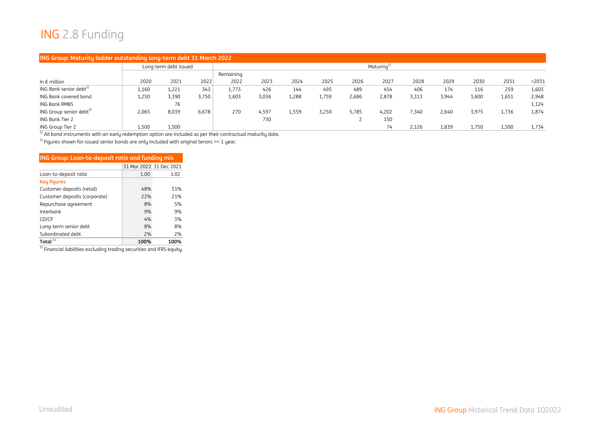#### ING 2.8 Funding

#### **ING Group: Maturity ladder outstanding long-term debt 31 March 2022**

|                                     |       | Long-term debt issued |       |           | Maturing <sup>1)</sup> |       |       |       |       |       |       |       |       |       |
|-------------------------------------|-------|-----------------------|-------|-----------|------------------------|-------|-------|-------|-------|-------|-------|-------|-------|-------|
|                                     |       |                       |       | Remaining |                        |       |       |       |       |       |       |       |       |       |
| In $\epsilon$ million               | 2020  | 2021                  | 2022  | 2022      | 2023                   | 2024  | 2025  | 2026  | 2027  | 2028  | 2029  | 2030  | 2031  | >2031 |
| ING Bank senior debt <sup>2)</sup>  | 1,160 | 1,221                 | 343   | 1,773     | 426                    | 144   | 495   | 489   | 454   | 406   | 174   | 116   | 259   | 1,603 |
| ING Bank covered bond               | 1,250 | 3,390                 | 3,750 | 1,603     | 3,036                  | 1,288 | 1,759 | 2,686 | 2,878 | 3,313 | 3,944 | 1,600 | 1,651 | 2,948 |
| ING Bank RMBS                       |       | 76                    |       |           |                        |       |       |       |       |       |       |       |       | 1,124 |
| ING Group senior debt <sup>2)</sup> | 2,065 | 8,039                 | 6,678 | 270       | 4,597                  | 1,559 | 3,250 | 5,785 | 4,202 | 7,340 | 2,640 | 3,975 | 1,736 | 1,874 |
| ING Bank Tier 2                     |       |                       |       |           | 730                    |       |       |       | 150   |       |       |       |       |       |
| ING Group Tier 2                    | 1,500 | 1,500                 |       |           |                        |       |       |       | 74    | 2.126 | 1,839 | 1,750 | 1,500 | 1,734 |

 $\frac{1}{1}$  All bond instruments with an early redemption option are included as per their contractual maturity date.

2) Figures shown for issued senior bonds are only included with original tenors >= 1 year.

| ING Group: Loan-to-deposit ratio and funding mix |                         |      |
|--------------------------------------------------|-------------------------|------|
|                                                  | 31 Mar 2022 31 Dec 2021 |      |
| Loan-to-deposit ratio                            | 1.00                    | 1.02 |
| <b>Key figures</b>                               |                         |      |
| Customer deposits (retail)                       | 48%                     | 51%  |
| Customer deposits (corporate)                    | 22%                     | 21%  |
| Repurchase agreement                             | 8%                      | 5%   |
| Interbank                                        | 9%                      | 9%   |
| CD/CP                                            | 4%                      | 3%   |
| Long-term senior debt                            | 8%                      | 8%   |
| Subordinated debt                                | 2%                      | 2%   |
| Total $11$                                       | 100%                    | 100% |

 $^{\rm 1)}$  Financial liabilities excluding trading securities and IFRS equity.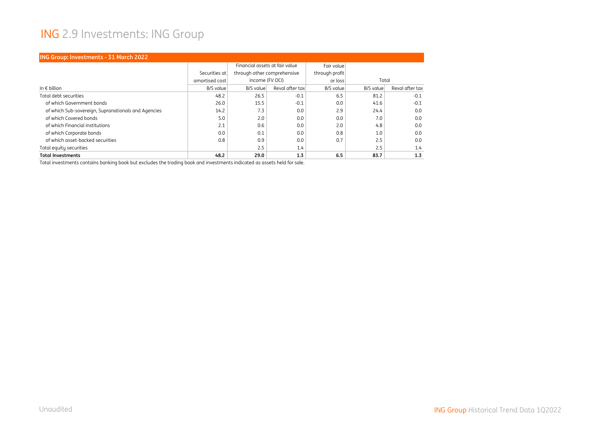#### ING 2.9 Investments: ING Group

| <b>ING Group: Investments - 31 March 2022</b>       |                |                                |                 |                |           |                 |  |  |  |  |
|-----------------------------------------------------|----------------|--------------------------------|-----------------|----------------|-----------|-----------------|--|--|--|--|
|                                                     |                | Financial assets at fair value |                 | Fair value     |           |                 |  |  |  |  |
|                                                     | Securities at  | through other comprehensive    |                 | through profit |           |                 |  |  |  |  |
|                                                     | amortised cost | income (FV OCI)                |                 | or loss        | Total     |                 |  |  |  |  |
| In $\epsilon$ billion                               | B/S value      | B/S value                      | Reval after tax | B/S value      | B/S value | Reval after tax |  |  |  |  |
| Total debt securities                               | 48.2           | 26.5                           | $-0.1$          | 6.5            | 81.2      | $-0.1$          |  |  |  |  |
| of which Government bonds                           | 26.0           | 15.5                           | $-0.1$          | 0.0            | 41.6      | $-0.1$          |  |  |  |  |
| of which Sub-sovereign, Supranationals and Agencies | 14.2           | 7.3                            | 0.0             | 2.9            | 24.4      | 0.0             |  |  |  |  |
| of which Covered bonds                              | 5.0            | 2.0                            | 0.0             | 0.0            | 7.0       | 0.0             |  |  |  |  |
| of which Financial institutions                     | 2.1            | 0.6                            | 0.0             | 2.0            | 4.8       | 0.0             |  |  |  |  |
| of which Corporate bonds                            | 0.0            | 0.1                            | 0.0             | 0.8            | 1.0       | 0.0             |  |  |  |  |
| of which asset-backed securities                    | 0.8            | 0.9                            | 0.0             | 0.7            | 2.5       | 0.0             |  |  |  |  |
| Total equity securities                             |                | 2.5                            | 1.4             |                | 2.5       | 1.4             |  |  |  |  |
| <b>Total Investments</b>                            | 48.2           | 29.0                           | 1.3             | 6.5            | 83.7      | 1.3             |  |  |  |  |

Total investments contains banking book but excludes the trading book and investments indicated as assets held for sale.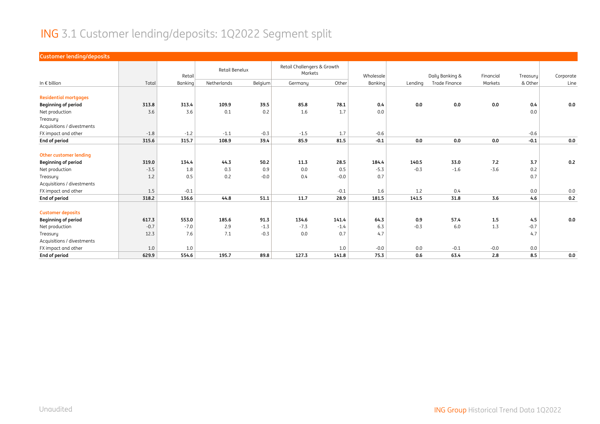#### ING 3.1 Customer lending/deposits: 1Q2022 Segment split

| <b>Customer lending/deposits</b> |        |         |             |                |         |                                        |         |         |                      |           |          |           |
|----------------------------------|--------|---------|-------------|----------------|---------|----------------------------------------|---------|---------|----------------------|-----------|----------|-----------|
|                                  |        | Retail  |             | Retail Benelux |         | Retail Challengers & Growth<br>Markets |         |         | Daily Banking &      | Financial | Treasury | Corporate |
| In $\epsilon$ billion            | Total  | Banking | Netherlands | Belgium        | Germany | Other                                  | Banking | Lending | <b>Trade Finance</b> | Markets   | & Other  | Line      |
|                                  |        |         |             |                |         |                                        |         |         |                      |           |          |           |
| <b>Residential mortgages</b>     |        |         |             |                |         |                                        |         |         |                      |           |          |           |
| <b>Beginning of period</b>       | 313.8  | 313.4   | 109.9       | 39.5           | 85.8    | 78.1                                   | 0.4     | 0.0     | 0.0                  | 0.0       | 0.4      | 0.0       |
| Net production                   | 3.6    | 3.6     | 0.1         | 0.2            | 1.6     | 1.7                                    | 0.0     |         |                      |           | 0.0      |           |
| Treasury                         |        |         |             |                |         |                                        |         |         |                      |           |          |           |
| Acquisitions / divestments       |        |         |             |                |         |                                        |         |         |                      |           |          |           |
| FX impact and other              | $-1.8$ | $-1.2$  | $-1.1$      | $-0.3$         | $-1.5$  | 1.7                                    | $-0.6$  |         |                      |           | $-0.6$   |           |
| End of period                    | 315.6  | 315.7   | 108.9       | 39.4           | 85.9    | 81.5                                   | $-0.1$  | 0.0     | 0.0                  | 0.0       | $-0.1$   | 0.0       |
|                                  |        |         |             |                |         |                                        |         |         |                      |           |          |           |
| Other customer lending           |        |         |             |                |         |                                        |         |         |                      |           |          |           |
| <b>Beginning of period</b>       | 319.0  | 134.4   | 44.3        | 50.2           | 11.3    | 28.5                                   | 184.4   | 140.5   | 33.0                 | 7.2       | 3.7      | 0.2       |
| Net production                   | $-3.5$ | 1.8     | 0.3         | 0.9            | 0.0     | 0.5                                    | $-5.3$  | $-0.3$  | $-1.6$               | $-3.6$    | 0.2      |           |
| Treasury                         | 1.2    | 0.5     | 0.2         | $-0.0$         | 0.4     | $-0.0$                                 | 0.7     |         |                      |           | 0.7      |           |
| Acquisitions / divestments       |        |         |             |                |         |                                        |         |         |                      |           |          |           |
| FX impact and other              | 1.5    | $-0.1$  |             |                |         | $-0.1$                                 | 1.6     | 1.2     | 0.4                  |           | 0.0      | 0.0       |
| End of period                    | 318.2  | 136.6   | 44.8        | 51.1           | 11.7    | 28.9                                   | 181.5   | 141.5   | 31.8                 | 3.6       | 4.6      | 0.2       |
|                                  |        |         |             |                |         |                                        |         |         |                      |           |          |           |
| <b>Customer deposits</b>         |        |         |             |                |         |                                        |         |         |                      |           |          |           |
| <b>Beginning of period</b>       | 617.3  | 553.0   | 185.6       | 91.3           | 134.6   | 141.4                                  | 64.3    | 0.9     | 57.4                 | 1.5       | 4.5      | 0.0       |
| Net production                   | $-0.7$ | $-7.0$  | 2.9         | $-1.3$         | $-7.3$  | $-1.4$                                 | 6.3     | $-0.3$  | 6.0                  | 1.3       | $-0.7$   |           |
| Treasury                         | 12.3   | 7.6     | 7.1         | $-0.3$         | 0.0     | 0.7                                    | 4.7     |         |                      |           | 4.7      |           |
| Acquisitions / divestments       |        |         |             |                |         |                                        |         |         |                      |           |          |           |
| FX impact and other              | 1.0    | 1.0     |             |                |         | 1.0                                    | $-0.0$  | 0.0     | $-0.1$               | $-0.0$    | 0.0      |           |
| End of period                    | 629.9  | 554.6   | 195.7       | 89.8           | 127.3   | 141.8                                  | 75.3    | 0.6     | 63.4                 | 2.8       | 8.5      | 0.0       |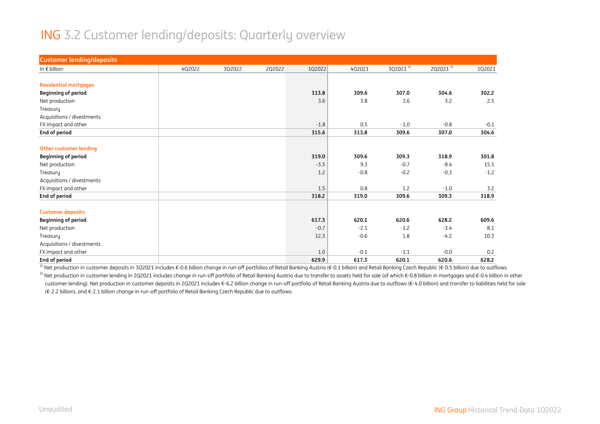#### ING 3.2 Customer lending/deposits: Quarterly overview

| <b>Customer lending/deposits</b> |        |        |        |        |        |               |              |        |
|----------------------------------|--------|--------|--------|--------|--------|---------------|--------------|--------|
| In $\epsilon$ billion            | 4Q2022 | 3Q2022 | 2Q2022 | 1Q2022 | 4Q2021 | $3Q2021^{11}$ | $2Q2021^{2}$ | 1Q2021 |
|                                  |        |        |        |        |        |               |              |        |
| <b>Residential mortgages</b>     |        |        |        |        |        |               |              |        |
| <b>Beginning of period</b>       |        |        |        | 313.8  | 309.6  | 307.0         | 304.6        | 302.2  |
| Net production                   |        |        |        | 3.6    | 3.8    | 3.6           | 3.2          | 2.5    |
| Treasury                         |        |        |        |        |        |               |              |        |
| Acquisitions / divestments       |        |        |        |        |        |               |              |        |
| FX impact and other              |        |        |        | $-1.8$ | 0.5    | $-1.0$        | $-0.8$       | $-0.1$ |
| End of period                    |        |        |        | 315.6  | 313.8  | 309.6         | 307.0        | 304.6  |
|                                  |        |        |        |        |        |               |              |        |
| <b>Other customer lending</b>    |        |        |        |        |        |               |              |        |
| <b>Beginning of period</b>       |        |        |        | 319.0  | 309.6  | 309.3         | 318.9        | 301.8  |
| Net production                   |        |        |        | $-3.5$ | 9.3    | $-0.7$        | $-8.4$       | 15.1   |
| Treasury                         |        |        |        | 1.2    | $-0.8$ | $-0.2$        | $-0.3$       | $-1.2$ |
| Acquisitions / divestments       |        |        |        |        |        |               |              |        |
| FX impact and other              |        |        |        | 1.5    | 0.8    | 1.2           | $-1.0$       | 3.2    |
| End of period                    |        |        |        | 318.2  | 319.0  | 309.6         | 309.3        | 318.9  |
|                                  |        |        |        |        |        |               |              |        |
| <b>Customer deposits</b>         |        |        |        |        |        |               |              |        |
| <b>Beginning of period</b>       |        |        |        | 617.3  | 620.1  | 620.6         | 628.2        | 609.6  |
| Net production                   |        |        |        | $-0.7$ | $-2.1$ | $-1.2$        | $-3.4$       | 8.1    |
| Treasury                         |        |        |        | 12.3   | $-0.6$ | 1.8           | $-4.2$       | 10.3   |
| Acquisitions / divestments       |        |        |        |        |        |               |              |        |
| FX impact and other              |        |        |        | 1.0    | $-0.1$ | $-1.1$        | $-0.0$       | 0.2    |
| End of period                    |        |        |        | 629.9  | 617.3  | 620.1         | 620.6        | 628.2  |

<sup>1)</sup> Net production in customer deposits in 3Q2021 includes €-0.6 billion change in run-off portfolios of Retail Banking Austria (€-0.1 billion) and Retail Banking Czech Republic (€-0.5 billion) due to outflows.

<sup>2)</sup> Net production in customer lending in 2Q2021 includes change in run-off portfolio of Retail Banking Austria due to transfer to assets held for sale (of which €-0.8 billion in mortgages and €-0.4 billion in other customer lending). Net production in customer deposits in 2Q2021 includes €-6.2 billion change in run-off portfolio of Retail Banking Austria due to outflows (€-4.0 billion) and transfer to liabilities held for sale (€-2.2 billion), and €-2.1 billion change in run-off portfolio of Retail Banking Czech Republic due to outflows.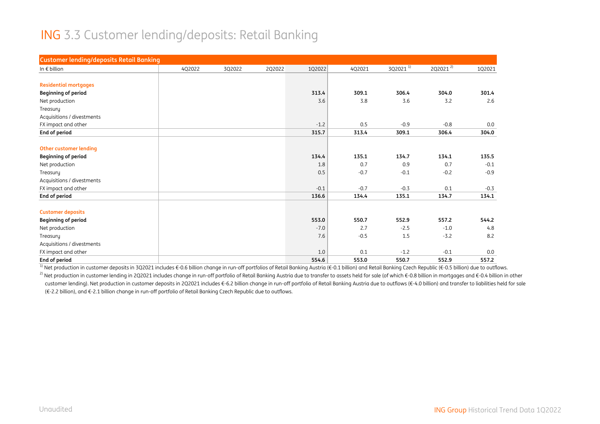#### ING 3.3 Customer lending/deposits: Retail Banking

| <b>Customer lending/deposits Retail Banking</b> |        |        |        |        |        |                      |                      |        |
|-------------------------------------------------|--------|--------|--------|--------|--------|----------------------|----------------------|--------|
| In $\epsilon$ billion                           | 4Q2022 | 3Q2022 | 2Q2022 | 1Q2022 | 4Q2021 | 3Q2021 <sup>1)</sup> | 2Q2021 <sup>2)</sup> | 1Q2021 |
|                                                 |        |        |        |        |        |                      |                      |        |
| <b>Residential mortgages</b>                    |        |        |        |        |        |                      |                      |        |
| <b>Beginning of period</b>                      |        |        |        | 313.4  | 309.1  | 306.4                | 304.0                | 301.4  |
| Net production                                  |        |        |        | 3.6    | 3.8    | 3.6                  | 3.2                  | 2.6    |
| Treasury                                        |        |        |        |        |        |                      |                      |        |
| Acquisitions / divestments                      |        |        |        |        |        |                      |                      |        |
| FX impact and other                             |        |        |        | $-1.2$ | 0.5    | $-0.9$               | $-0.8$               | 0.0    |
| End of period                                   |        |        |        | 315.7  | 313.4  | 309.1                | 306.4                | 304.0  |
|                                                 |        |        |        |        |        |                      |                      |        |
| Other customer lending                          |        |        |        |        |        |                      |                      |        |
| <b>Beginning of period</b>                      |        |        |        | 134.4  | 135.1  | 134.7                | 134.1                | 135.5  |
| Net production                                  |        |        |        | 1.8    | 0.7    | 0.9                  | 0.7                  | $-0.1$ |
| Treasury                                        |        |        |        | 0.5    | $-0.7$ | $-0.1$               | $-0.2$               | $-0.9$ |
| Acquisitions / divestments                      |        |        |        |        |        |                      |                      |        |
| FX impact and other                             |        |        |        | $-0.1$ | $-0.7$ | $-0.3$               | 0.1                  | $-0.3$ |
| End of period                                   |        |        |        | 136.6  | 134.4  | 135.1                | 134.7                | 134.1  |
|                                                 |        |        |        |        |        |                      |                      |        |
| <b>Customer deposits</b>                        |        |        |        |        |        |                      |                      |        |
| <b>Beginning of period</b>                      |        |        |        | 553.0  | 550.7  | 552.9                | 557.2                | 544.2  |
| Net production                                  |        |        |        | $-7.0$ | 2.7    | $-2.5$               | $-1.0$               | 4.8    |
| Treasury                                        |        |        |        | 7.6    | $-0.5$ | 1.5                  | $-3.2$               | 8.2    |
| Acquisitions / divestments                      |        |        |        |        |        |                      |                      |        |
| FX impact and other                             |        |        |        | 1.0    | 0.1    | $-1.2$               | $-0.1$               | 0.0    |
| End of period                                   |        |        |        | 554.6  | 553.0  | 550.7                | 552.9                | 557.2  |

<sup>1)</sup> Net production in customer deposits in 3Q2021 includes €-0.6 billion change in run-off portfolios of Retail Banking Austria (€-0.1 billion) and Retail Banking Czech Republic (€-0.5 billion) due to outflows.

<sup>2)</sup> Net production in customer lending in 2Q2021 includes change in run-off portfolio of Retail Banking Austria due to transfer to assets held for sale (of which €-0.8 billion in mortgages and €-0.4 billion in other customer lending). Net production in customer deposits in 2Q2021 includes €-6.2 billion change in run-off portfolio of Retail Banking Austria due to outflows (€-4.0 billion) and transfer to liabilities held for sale (€-2.2 billion), and €-2.1 billion change in run-off portfolio of Retail Banking Czech Republic due to outflows.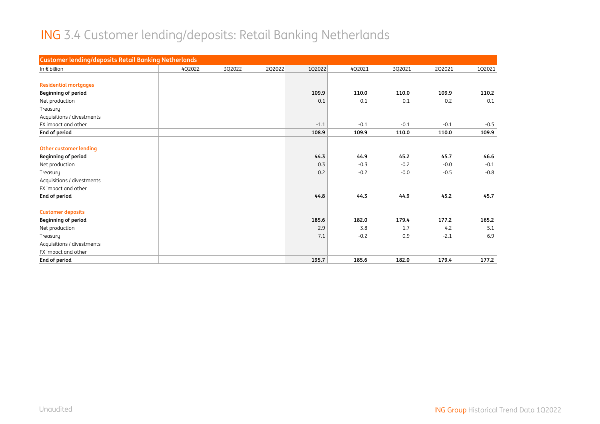# ING 3.4 Customer lending/deposits: Retail Banking Netherlands

| <b>Customer lending/deposits Retail Banking Netherlands</b> |        |        |        |        |        |        |        |        |
|-------------------------------------------------------------|--------|--------|--------|--------|--------|--------|--------|--------|
| In $\epsilon$ billion                                       | 4Q2022 | 3Q2022 | 2Q2022 | 1Q2022 | 4Q2021 | 3Q2021 | 2Q2021 | 1Q2021 |
|                                                             |        |        |        |        |        |        |        |        |
| <b>Residential mortgages</b>                                |        |        |        |        |        |        |        |        |
| <b>Beginning of period</b>                                  |        |        |        | 109.9  | 110.0  | 110.0  | 109.9  | 110.2  |
| Net production                                              |        |        |        | 0.1    | 0.1    | 0.1    | 0.2    | 0.1    |
| Treasury                                                    |        |        |        |        |        |        |        |        |
| Acquisitions / divestments                                  |        |        |        |        |        |        |        |        |
| FX impact and other                                         |        |        |        | $-1.1$ | $-0.1$ | $-0.1$ | $-0.1$ | $-0.5$ |
| End of period                                               |        |        |        | 108.9  | 109.9  | 110.0  | 110.0  | 109.9  |
|                                                             |        |        |        |        |        |        |        |        |
| <b>Other customer lending</b>                               |        |        |        |        |        |        |        |        |
| <b>Beginning of period</b>                                  |        |        |        | 44.3   | 44.9   | 45.2   | 45.7   | 46.6   |
| Net production                                              |        |        |        | 0.3    | $-0.3$ | $-0.2$ | $-0.0$ | $-0.1$ |
| Treasury                                                    |        |        |        | 0.2    | $-0.2$ | $-0.0$ | $-0.5$ | $-0.8$ |
| Acquisitions / divestments                                  |        |        |        |        |        |        |        |        |
| FX impact and other                                         |        |        |        |        |        |        |        |        |
| End of period                                               |        |        |        | 44.8   | 44.3   | 44.9   | 45.2   | 45.7   |
|                                                             |        |        |        |        |        |        |        |        |
| <b>Customer deposits</b>                                    |        |        |        |        |        |        |        |        |
| <b>Beginning of period</b>                                  |        |        |        | 185.6  | 182.0  | 179.4  | 177.2  | 165.2  |
| Net production                                              |        |        |        | 2.9    | 3.8    | 1.7    | 4.2    | 5.1    |
| Treasury                                                    |        |        |        | 7.1    | $-0.2$ | 0.9    | $-2.1$ | 6.9    |
| Acquisitions / divestments                                  |        |        |        |        |        |        |        |        |
| FX impact and other                                         |        |        |        |        |        |        |        |        |
| End of period                                               |        |        |        | 195.7  | 185.6  | 182.0  | 179.4  | 177.2  |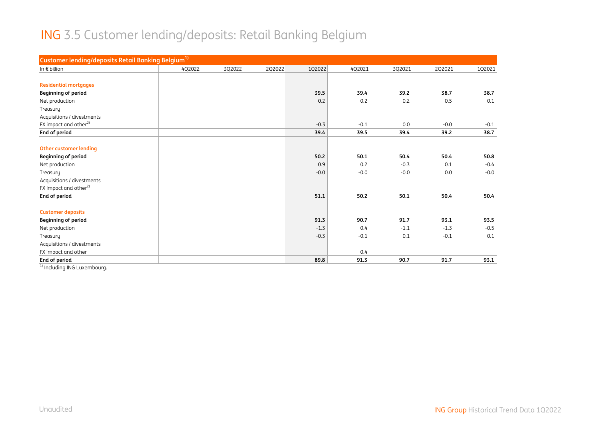#### ING 3.5 Customer lending/deposits: Retail Banking Belgium

| Customer lending/deposits Retail Banking Belgium <sup>1)</sup> |        |        |        |        |        |        |        |        |
|----------------------------------------------------------------|--------|--------|--------|--------|--------|--------|--------|--------|
| In $\epsilon$ billion                                          | 4Q2022 | 3Q2022 | 2Q2022 | 1Q2022 | 4Q2021 | 3Q2021 | 2Q2021 | 1Q2021 |
|                                                                |        |        |        |        |        |        |        |        |
| <b>Residential mortgages</b>                                   |        |        |        |        |        |        |        |        |
| <b>Beginning of period</b>                                     |        |        |        | 39.5   | 39.4   | 39.2   | 38.7   | 38.7   |
| Net production                                                 |        |        |        | 0.2    | 0.2    | 0.2    | 0.5    | 0.1    |
| Treasury                                                       |        |        |        |        |        |        |        |        |
| Acquisitions / divestments                                     |        |        |        |        |        |        |        |        |
| FX impact and other <sup>2)</sup>                              |        |        |        | $-0.3$ | $-0.1$ | 0.0    | $-0.0$ | $-0.1$ |
| End of period                                                  |        |        |        | 39.4   | 39.5   | 39.4   | 39.2   | 38.7   |
|                                                                |        |        |        |        |        |        |        |        |
| <b>Other customer lending</b>                                  |        |        |        |        |        |        |        |        |
| <b>Beginning of period</b>                                     |        |        |        | 50.2   | 50.1   | 50.4   | 50.4   | 50.8   |
| Net production                                                 |        |        |        | 0.9    | 0.2    | $-0.3$ | 0.1    | $-0.4$ |
| Treasury                                                       |        |        |        | $-0.0$ | $-0.0$ | $-0.0$ | 0.0    | $-0.0$ |
| Acquisitions / divestments                                     |        |        |        |        |        |        |        |        |
| FX impact and other <sup>2)</sup>                              |        |        |        |        |        |        |        |        |
| End of period                                                  |        |        |        | 51.1   | 50.2   | 50.1   | 50.4   | 50.4   |
| <b>Customer deposits</b>                                       |        |        |        |        |        |        |        |        |
| <b>Beginning of period</b>                                     |        |        |        | 91.3   | 90.7   | 91.7   | 93.1   | 93.5   |
| Net production                                                 |        |        |        | $-1.3$ | 0.4    | $-1.1$ | $-1.3$ | $-0.5$ |
| Treasury                                                       |        |        |        | $-0.3$ | $-0.1$ | 0.1    | $-0.1$ | 0.1    |
| Acquisitions / divestments                                     |        |        |        |        |        |        |        |        |
| FX impact and other                                            |        |        |        |        | 0.4    |        |        |        |
| End of period                                                  |        |        |        | 89.8   | 91.3   | 90.7   | 91.7   | 93.1   |

<sup>1)</sup> Including ING Luxembourg.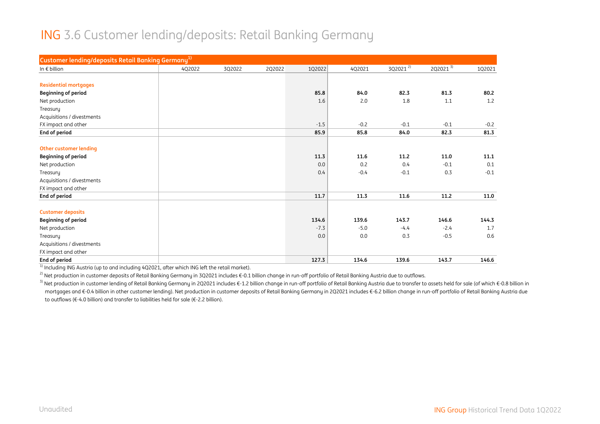#### ING 3.6 Customer lending/deposits: Retail Banking Germany

| Customer lending/deposits Retail Banking Germany <sup>1)</sup> |        |        |        |        |        |              |              |        |
|----------------------------------------------------------------|--------|--------|--------|--------|--------|--------------|--------------|--------|
| In $\epsilon$ billion                                          | 4Q2022 | 3Q2022 | 2Q2022 | 1Q2022 | 4Q2021 | $3Q2021^{2}$ | $2Q2021^{3}$ | 1Q2021 |
|                                                                |        |        |        |        |        |              |              |        |
| <b>Residential mortgages</b>                                   |        |        |        |        |        |              |              |        |
| <b>Beginning of period</b>                                     |        |        |        | 85.8   | 84.0   | 82.3         | 81.3         | 80.2   |
| Net production                                                 |        |        |        | 1.6    | 2.0    | 1.8          | 1.1          | 1.2    |
| Treasury                                                       |        |        |        |        |        |              |              |        |
| Acquisitions / divestments                                     |        |        |        |        |        |              |              |        |
| FX impact and other                                            |        |        |        | $-1.5$ | $-0.2$ | $-0.1$       | $-0.1$       | $-0.2$ |
| End of period                                                  |        |        |        | 85.9   | 85.8   | 84.0         | 82.3         | 81.3   |
|                                                                |        |        |        |        |        |              |              |        |
| <b>Other customer lending</b>                                  |        |        |        |        |        |              |              |        |
| <b>Beginning of period</b>                                     |        |        |        | 11.3   | 11.6   | 11.2         | 11.0         | 11.1   |
| Net production                                                 |        |        |        | 0.0    | 0.2    | 0.4          | $-0.1$       | 0.1    |
| Treasury                                                       |        |        |        | 0.4    | $-0.4$ | $-0.1$       | 0.3          | $-0.1$ |
| Acquisitions / divestments                                     |        |        |        |        |        |              |              |        |
| FX impact and other                                            |        |        |        |        |        |              |              |        |
| End of period                                                  |        |        |        | 11.7   | 11.3   | 11.6         | 11.2         | 11.0   |
| <b>Customer deposits</b>                                       |        |        |        |        |        |              |              |        |
| <b>Beginning of period</b>                                     |        |        |        | 134.6  | 139.6  | 143.7        | 146.6        | 144.3  |
| Net production                                                 |        |        |        | $-7.3$ | $-5.0$ | $-4.4$       | $-2.4$       | 1.7    |
| Treasury                                                       |        |        |        | 0.0    | 0.0    | 0.3          | $-0.5$       | 0.6    |
| Acquisitions / divestments                                     |        |        |        |        |        |              |              |        |
| FX impact and other                                            |        |        |        |        |        |              |              |        |
| End of period                                                  |        |        |        | 127.3  | 134.6  | 139.6        | 143.7        | 146.6  |

 $1)$  Including ING Austria (up to and including 4Q2021, after which ING left the retail market).

<sup>2)</sup> Net production in customer deposits of Retail Banking Germany in 3Q2021 includes €-0.1 billion change in run-off portfolio of Retail Banking Austria due to outflows.

<sup>3)</sup> Net production in customer lending of Retail Banking Germany in 2Q2021 includes €-1.2 billion change in run-off portfolio of Retail Banking Austria due to transfer to assets held for sale (of which €-0.8 billion in mortgages and €-0.4 billion in other customer lending). Net production in customer deposits of Retail Banking Germany in 2Q2021 includes €-6.2 billion change in run-off portfolio of Retail Banking Austria due to outflows (€-4.0 billion) and transfer to liabilities held for sale (€-2.2 billion).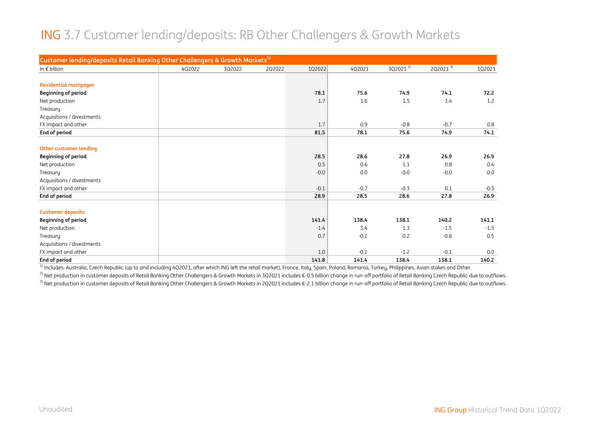#### ING 3.7 Customer lending/deposits: RB Other Challengers & Growth Markets

| Customer lending/deposits Retail Banking Other Challengers & Growth Markets <sup>1)</sup> |        |        |        |        |        |              |                      |        |
|-------------------------------------------------------------------------------------------|--------|--------|--------|--------|--------|--------------|----------------------|--------|
| In $\epsilon$ billion                                                                     | 4Q2022 | 3Q2022 | 2Q2022 | 1Q2022 | 4Q2021 | $3Q2021^{2}$ | 2Q2021 $\frac{3}{3}$ | 102021 |
|                                                                                           |        |        |        |        |        |              |                      |        |
| <b>Residential mortgages</b>                                                              |        |        |        |        |        |              |                      |        |
| <b>Beginning of period</b>                                                                |        |        |        | 78.1   | 75.6   | 74.9         | 74.1                 | 72.2   |
| Net production                                                                            |        |        |        | 1.7    | 1.6    | 1.5          | 1.4                  | 1.2    |
| Treasury                                                                                  |        |        |        |        |        |              |                      |        |
| Acquisitions / divestments                                                                |        |        |        |        |        |              |                      |        |
| FX impact and other                                                                       |        |        |        | 1.7    | 0.9    | $-0.8$       | $-0.7$               | 0.8    |
| End of period                                                                             |        |        |        | 81.5   | 78.1   | 75.6         | 74.9                 | 74.1   |
|                                                                                           |        |        |        |        |        |              |                      |        |
| Other customer lending                                                                    |        |        |        |        |        |              |                      |        |
| <b>Beginning of period</b>                                                                |        |        |        | 28.5   | 28.6   | 27.8         | 26.9                 | 26.9   |
| Net production                                                                            |        |        |        | 0.5    | 0.6    | 1.1          | 0.8                  | 0.4    |
| Treasury                                                                                  |        |        |        | $-0.0$ | 0.0    | $-0.0$       | $-0.0$               | 0.0    |
| Acquisitions / divestments                                                                |        |        |        |        |        |              |                      |        |
| FX impact and other                                                                       |        |        |        | $-0.1$ | $-0.7$ | $-0.3$       | 0.1                  | $-0.3$ |
| End of period                                                                             |        |        |        | 28.9   | 28.5   | 28.6         | 27.8                 | 26.9   |
| <b>Customer deposits</b>                                                                  |        |        |        |        |        |              |                      |        |
| <b>Beginning of period</b>                                                                |        |        |        | 141.4  | 138.4  | 138.1        | 140.2                | 141.1  |
| Net production                                                                            |        |        |        | $-1.4$ | 3.4    | 1.3          | $-1.5$               | $-1.5$ |
| Treasury                                                                                  |        |        |        | 0.7    | $-0.2$ | 0.2          | $-0.6$               | 0.5    |
| Acquisitions / divestments                                                                |        |        |        |        |        |              |                      |        |
| FX impact and other                                                                       |        |        |        | 1.0    | $-0.2$ | $-1.2$       | $-0.1$               | 0.0    |
| End of period                                                                             |        |        |        | 141.8  | 141.4  | 138.4        | 138.1                | 140.2  |

 $\frac{1}{10}$  Includes: Australia, Czech Republic (up to and including 4Q2021, after which ING left the retail market), France, Italy, Spain, Poland, Romania, Turkey, Philippines, Asian stakes and Other.

<sup>2)</sup> Net production in customer deposits of Retail Banking Other Challengers & Growth Markets in 3Q2021 includes €-0.5 billion change in run-off portfolio of Retail Banking Czech Republic due to outflows.

<sup>3)</sup> Net production in customer deposits of Retail Banking Other Challengers & Growth Markets in 2Q2021 includes €-2.1 billion change in run-off portfolio of Retail Banking Czech Republic due to outflows.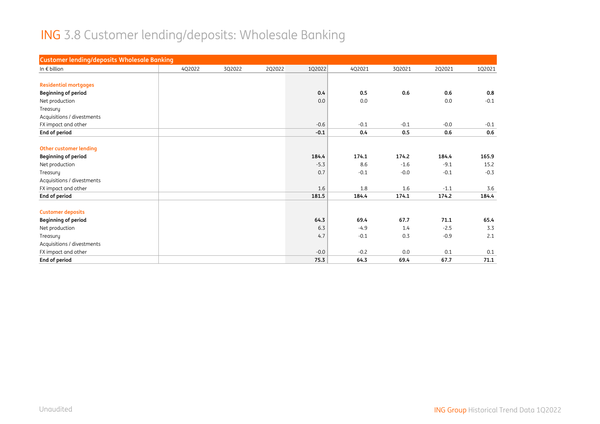# ING 3.8 Customer lending/deposits: Wholesale Banking

| <b>Customer lending/deposits Wholesale Banking</b> |        |        |        |        |        |        |        |        |
|----------------------------------------------------|--------|--------|--------|--------|--------|--------|--------|--------|
| In $\epsilon$ billion                              | 4Q2022 | 3Q2022 | 2Q2022 | 1Q2022 | 4Q2021 | 3Q2021 | 2Q2021 | 102021 |
|                                                    |        |        |        |        |        |        |        |        |
| <b>Residential mortgages</b>                       |        |        |        |        |        |        |        |        |
| <b>Beginning of period</b>                         |        |        |        | 0.4    | 0.5    | 0.6    | 0.6    | 0.8    |
| Net production                                     |        |        |        | 0.0    | 0.0    |        | 0.0    | $-0.1$ |
| Treasury                                           |        |        |        |        |        |        |        |        |
| Acquisitions / divestments                         |        |        |        |        |        |        |        |        |
| FX impact and other                                |        |        |        | $-0.6$ | $-0.1$ | $-0.1$ | $-0.0$ | $-0.1$ |
| End of period                                      |        |        |        | $-0.1$ | 0.4    | 0.5    | 0.6    | 0.6    |
|                                                    |        |        |        |        |        |        |        |        |
| <b>Other customer lending</b>                      |        |        |        |        |        |        |        |        |
| <b>Beginning of period</b>                         |        |        |        | 184.4  | 174.1  | 174.2  | 184.4  | 165.9  |
| Net production                                     |        |        |        | $-5.3$ | 8.6    | $-1.6$ | $-9.1$ | 15.2   |
| Treasury                                           |        |        |        | 0.7    | $-0.1$ | $-0.0$ | $-0.1$ | $-0.3$ |
| Acquisitions / divestments                         |        |        |        |        |        |        |        |        |
| FX impact and other                                |        |        |        | 1.6    | 1.8    | 1.6    | $-1.1$ | 3.6    |
| End of period                                      |        |        |        | 181.5  | 184.4  | 174.1  | 174.2  | 184.4  |
| <b>Customer deposits</b>                           |        |        |        |        |        |        |        |        |
| <b>Beginning of period</b>                         |        |        |        | 64.3   | 69.4   | 67.7   | 71.1   | 65.4   |
| Net production                                     |        |        |        | 6.3    | $-4.9$ | 1.4    | $-2.5$ | 3.3    |
| Treasury                                           |        |        |        | 4.7    | $-0.1$ | 0.3    | $-0.9$ | 2.1    |
| Acquisitions / divestments                         |        |        |        |        |        |        |        |        |
| FX impact and other                                |        |        |        | $-0.0$ | $-0.2$ | 0.0    | 0.1    | 0.1    |
| <b>End of period</b>                               |        |        |        | 75.3   | 64.3   | 69.4   | 67.7   | 71.1   |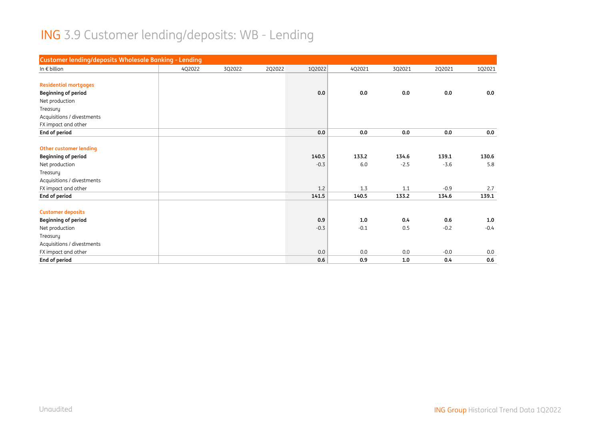# ING 3.9 Customer lending/deposits: WB - Lending

| Customer lending/deposits Wholesale Banking - Lending |        |        |        |        |        |        |        |        |
|-------------------------------------------------------|--------|--------|--------|--------|--------|--------|--------|--------|
| In $\epsilon$ billion                                 | 4Q2022 | 3Q2022 | 2Q2022 | 1Q2022 | 4Q2021 | 3Q2021 | 2Q2021 | 1Q2021 |
|                                                       |        |        |        |        |        |        |        |        |
| <b>Residential mortgages</b>                          |        |        |        |        |        |        |        |        |
| <b>Beginning of period</b>                            |        |        |        | 0.0    | 0.0    | 0.0    | 0.0    | 0.0    |
| Net production                                        |        |        |        |        |        |        |        |        |
| Treasury                                              |        |        |        |        |        |        |        |        |
| Acquisitions / divestments                            |        |        |        |        |        |        |        |        |
| FX impact and other                                   |        |        |        |        |        |        |        |        |
| End of period                                         |        |        |        | 0.0    | 0.0    | 0.0    | 0.0    | 0.0    |
|                                                       |        |        |        |        |        |        |        |        |
| <b>Other customer lending</b>                         |        |        |        |        |        |        |        |        |
| <b>Beginning of period</b>                            |        |        |        | 140.5  | 133.2  | 134.6  | 139.1  | 130.6  |
| Net production                                        |        |        |        | $-0.3$ | 6.0    | $-2.5$ | $-3.6$ | 5.8    |
| Treasury                                              |        |        |        |        |        |        |        |        |
| Acquisitions / divestments                            |        |        |        |        |        |        |        |        |
| FX impact and other                                   |        |        |        | 1.2    | 1.3    | 1.1    | $-0.9$ | 2.7    |
| End of period                                         |        |        |        | 141.5  | 140.5  | 133.2  | 134.6  | 139.1  |
|                                                       |        |        |        |        |        |        |        |        |
| <b>Customer deposits</b>                              |        |        |        |        |        |        |        |        |
| <b>Beginning of period</b>                            |        |        |        | 0.9    | 1.0    | 0.4    | 0.6    | 1.0    |
| Net production                                        |        |        |        | $-0.3$ | $-0.1$ | 0.5    | $-0.2$ | $-0.4$ |
| Treasury                                              |        |        |        |        |        |        |        |        |
| Acquisitions / divestments                            |        |        |        |        |        |        |        |        |
| FX impact and other                                   |        |        |        | 0.0    | 0.0    | 0.0    | $-0.0$ | 0.0    |
| End of period                                         |        |        |        | 0.6    | 0.9    | 1.0    | 0.4    | 0.6    |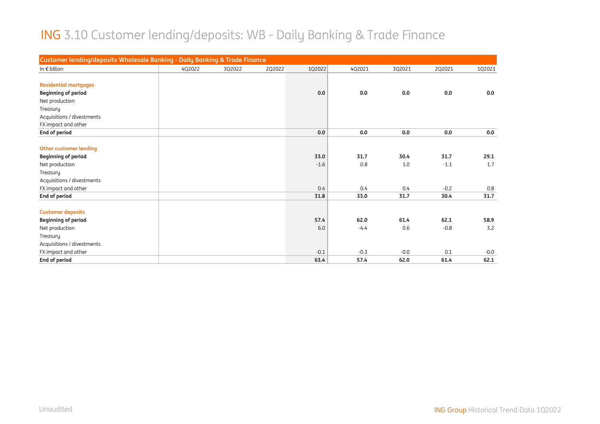#### ING 3.10 Customer lending/deposits: WB - Daily Banking & Trade Finance

| Customer lending/deposits Wholesale Banking - Daily Banking & Trade Finance |        |        |        |        |        |        |        |        |
|-----------------------------------------------------------------------------|--------|--------|--------|--------|--------|--------|--------|--------|
| In $\epsilon$ billion                                                       | 4Q2022 | 3Q2022 | 2Q2022 | 1Q2022 | 4Q2021 | 3Q2021 | 2Q2021 | 1Q2021 |
|                                                                             |        |        |        |        |        |        |        |        |
| <b>Residential mortgages</b>                                                |        |        |        |        |        |        |        |        |
| <b>Beginning of period</b>                                                  |        |        |        | 0.0    | 0.0    | 0.0    | 0.0    | 0.0    |
| Net production                                                              |        |        |        |        |        |        |        |        |
| Treasury                                                                    |        |        |        |        |        |        |        |        |
| Acquisitions / divestments                                                  |        |        |        |        |        |        |        |        |
| FX impact and other                                                         |        |        |        |        |        |        |        |        |
| End of period                                                               |        |        |        | 0.0    | 0.0    | 0.0    | 0.0    | 0.0    |
|                                                                             |        |        |        |        |        |        |        |        |
| <b>Other customer lending</b>                                               |        |        |        |        |        |        |        |        |
| <b>Beginning of period</b>                                                  |        |        |        | 33.0   | 31.7   | 30.4   | 31.7   | 29.1   |
| Net production                                                              |        |        |        | $-1.6$ | 0.8    | 1.0    | $-1.1$ | 1.7    |
| Treasury                                                                    |        |        |        |        |        |        |        |        |
| Acquisitions / divestments                                                  |        |        |        |        |        |        |        |        |
| FX impact and other                                                         |        |        |        | 0.4    | 0.4    | 0.4    | $-0.2$ | 0.8    |
| End of period                                                               |        |        |        | 31.8   | 33.0   | 31.7   | 30.4   | 31.7   |
|                                                                             |        |        |        |        |        |        |        |        |
| <b>Customer deposits</b>                                                    |        |        |        |        |        |        |        |        |
| <b>Beginning of period</b>                                                  |        |        |        | 57.4   | 62.0   | 61.4   | 62.1   | 58.9   |
| Net production                                                              |        |        |        | 6.0    | $-4.4$ | 0.6    | $-0.8$ | 3.2    |
| Treasury                                                                    |        |        |        |        |        |        |        |        |
| Acquisitions / divestments                                                  |        |        |        |        |        |        |        |        |
| FX impact and other                                                         |        |        |        | $-0.1$ | $-0.3$ | $-0.0$ | 0.1    | $-0.0$ |
| End of period                                                               |        |        |        | 63.4   | 57.4   | 62.0   | 61.4   | 62.1   |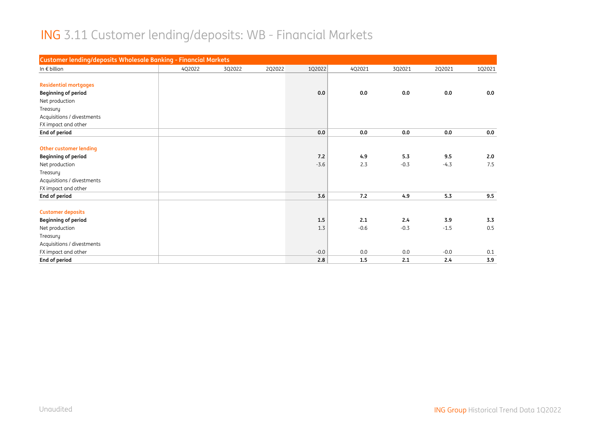#### ING 3.11 Customer lending/deposits: WB - Financial Markets

| <b>Customer lending/deposits Wholesale Banking - Financial Markets</b> |        |        |        |        |        |        |        |        |
|------------------------------------------------------------------------|--------|--------|--------|--------|--------|--------|--------|--------|
| In $\epsilon$ billion                                                  | 4Q2022 | 3Q2022 | 2Q2022 | 1Q2022 | 4Q2021 | 3Q2021 | 2Q2021 | 1Q2021 |
|                                                                        |        |        |        |        |        |        |        |        |
| <b>Residential mortgages</b>                                           |        |        |        |        |        |        |        |        |
| <b>Beginning of period</b>                                             |        |        |        | 0.0    | 0.0    | 0.0    | 0.0    | 0.0    |
| Net production                                                         |        |        |        |        |        |        |        |        |
| Treasury                                                               |        |        |        |        |        |        |        |        |
| Acquisitions / divestments                                             |        |        |        |        |        |        |        |        |
| FX impact and other                                                    |        |        |        |        |        |        |        |        |
| End of period                                                          |        |        |        | 0.0    | 0.0    | 0.0    | 0.0    | 0.0    |
|                                                                        |        |        |        |        |        |        |        |        |
| <b>Other customer lending</b>                                          |        |        |        |        |        |        |        |        |
| <b>Beginning of period</b>                                             |        |        |        | 7.2    | 4.9    | 5.3    | 9.5    | 2.0    |
| Net production                                                         |        |        |        | $-3.6$ | 2.3    | $-0.3$ | $-4.3$ | 7.5    |
| Treasury                                                               |        |        |        |        |        |        |        |        |
| Acquisitions / divestments                                             |        |        |        |        |        |        |        |        |
| FX impact and other                                                    |        |        |        |        |        |        |        |        |
| End of period                                                          |        |        |        | 3.6    | 7.2    | 4.9    | 5.3    | 9.5    |
|                                                                        |        |        |        |        |        |        |        |        |
| <b>Customer deposits</b>                                               |        |        |        |        |        |        |        |        |
| <b>Beginning of period</b>                                             |        |        |        | 1.5    | 2.1    | 2.4    | 3.9    | 3.3    |
| Net production                                                         |        |        |        | 1.3    | $-0.6$ | $-0.3$ | $-1.5$ | 0.5    |
| Treasury                                                               |        |        |        |        |        |        |        |        |
| Acquisitions / divestments                                             |        |        |        |        |        |        |        |        |
| FX impact and other                                                    |        |        |        | $-0.0$ | 0.0    | 0.0    | $-0.0$ | 0.1    |
| End of period                                                          |        |        |        | 2.8    | 1.5    | 2.1    | 2.4    | 3.9    |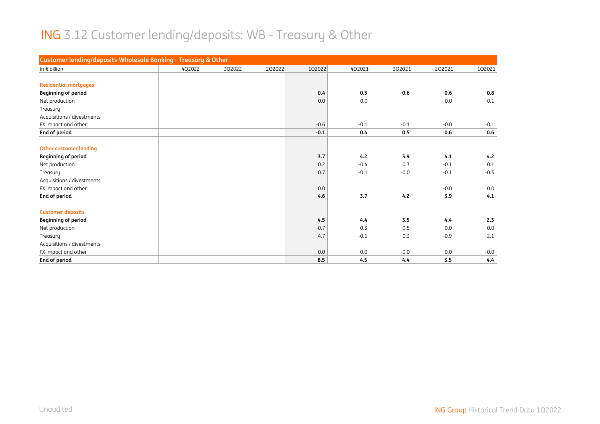# ING 3.12 Customer lending/deposits: WB - Treasury & Other

| Customer lending/deposits Wholesale Banking - Treasury & Other |        |        |        |        |        |        |        |        |
|----------------------------------------------------------------|--------|--------|--------|--------|--------|--------|--------|--------|
| In $\epsilon$ billion                                          | 4Q2022 | 3Q2022 | 2Q2022 | 1Q2022 | 4Q2021 | 3Q2021 | 2Q2021 | 1Q2021 |
|                                                                |        |        |        |        |        |        |        |        |
| <b>Residential mortgages</b>                                   |        |        |        |        |        |        |        |        |
| <b>Beginning of period</b>                                     |        |        |        | 0.4    | 0.5    | 0.6    | 0.6    | 0.8    |
| Net production                                                 |        |        |        | 0.0    | 0.0    |        | 0.0    | $-0.1$ |
| Treasury                                                       |        |        |        |        |        |        |        |        |
| Acquisitions / divestments                                     |        |        |        |        |        |        |        |        |
| FX impact and other                                            |        |        |        | $-0.6$ | $-0.1$ | $-0.1$ | $-0.0$ | $-0.1$ |
| End of period                                                  |        |        |        | $-0.1$ | 0.4    | 0.5    | 0.6    | 0.6    |
|                                                                |        |        |        |        |        |        |        |        |
| <b>Other customer lending</b>                                  |        |        |        |        |        |        |        |        |
| <b>Beginning of period</b>                                     |        |        |        | 3.7    | 4.2    | 3.9    | 4.1    | 4.2    |
| Net production                                                 |        |        |        | 0.2    | $-0.4$ | 0.3    | $-0.1$ | 0.1    |
| Treasury                                                       |        |        |        | 0.7    | $-0.1$ | $-0.0$ | $-0.1$ | $-0.3$ |
| Acquisitions / divestments                                     |        |        |        |        |        |        |        |        |
| FX impact and other                                            |        |        |        | 0.0    |        |        | $-0.0$ | 0.0    |
| End of period                                                  |        |        |        | 4.6    | 3.7    | 4.2    | 3.9    | 4.1    |
|                                                                |        |        |        |        |        |        |        |        |
| <b>Customer deposits</b>                                       |        |        |        |        |        |        |        |        |
| <b>Beginning of period</b>                                     |        |        |        | 4.5    | 4.4    | 3.5    | 4.4    | 2.3    |
| Net production                                                 |        |        |        | $-0.7$ | 0.3    | 0.5    | 0.0    | 0.0    |
| Treasury                                                       |        |        |        | 4.7    | $-0.1$ | 0.3    | $-0.9$ | 2.1    |
| Acquisitions / divestments                                     |        |        |        |        |        |        |        |        |
| FX impact and other                                            |        |        |        | 0.0    | 0.0    | $-0.0$ | 0.0    | $-0.0$ |
| End of period                                                  |        |        |        | 8.5    | 4.5    | 4.4    | 3.5    | 4.4    |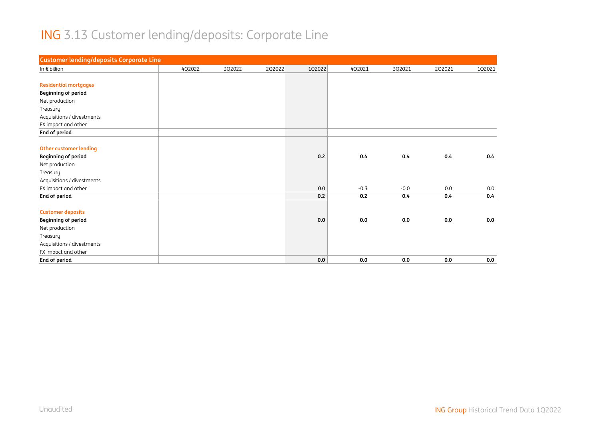# ING 3.13 Customer lending/deposits: Corporate Line

| <b>Customer lending/deposits Corporate Line</b> |        |        |        |        |        |        |        |        |
|-------------------------------------------------|--------|--------|--------|--------|--------|--------|--------|--------|
| In $\epsilon$ billion                           | 4Q2022 | 3Q2022 | 2Q2022 | 1Q2022 | 4Q2021 | 3Q2021 | 2Q2021 | 1Q2021 |
|                                                 |        |        |        |        |        |        |        |        |
| <b>Residential mortgages</b>                    |        |        |        |        |        |        |        |        |
| <b>Beginning of period</b>                      |        |        |        |        |        |        |        |        |
| Net production                                  |        |        |        |        |        |        |        |        |
| Treasury                                        |        |        |        |        |        |        |        |        |
| Acquisitions / divestments                      |        |        |        |        |        |        |        |        |
| FX impact and other                             |        |        |        |        |        |        |        |        |
| End of period                                   |        |        |        |        |        |        |        |        |
|                                                 |        |        |        |        |        |        |        |        |
| <b>Other customer lending</b>                   |        |        |        |        |        |        |        |        |
| <b>Beginning of period</b>                      |        |        |        | 0.2    | 0.4    | 0.4    | 0.4    | 0.4    |
| Net production                                  |        |        |        |        |        |        |        |        |
| Treasury                                        |        |        |        |        |        |        |        |        |
| Acquisitions / divestments                      |        |        |        |        |        |        |        |        |
| FX impact and other                             |        |        |        | 0.0    | $-0.3$ | $-0.0$ | 0.0    | 0.0    |
| End of period                                   |        |        |        | 0.2    | 0.2    | 0.4    | 0.4    | 0.4    |
|                                                 |        |        |        |        |        |        |        |        |
| <b>Customer deposits</b>                        |        |        |        |        |        |        |        |        |
| <b>Beginning of period</b>                      |        |        |        | 0.0    | 0.0    | 0.0    | 0.0    | 0.0    |
| Net production                                  |        |        |        |        |        |        |        |        |
| Treasury                                        |        |        |        |        |        |        |        |        |
| Acquisitions / divestments                      |        |        |        |        |        |        |        |        |
| FX impact and other                             |        |        |        |        |        |        |        |        |
| End of period                                   |        |        |        | 0.0    | 0.0    | 0.0    | 0.0    | 0.0    |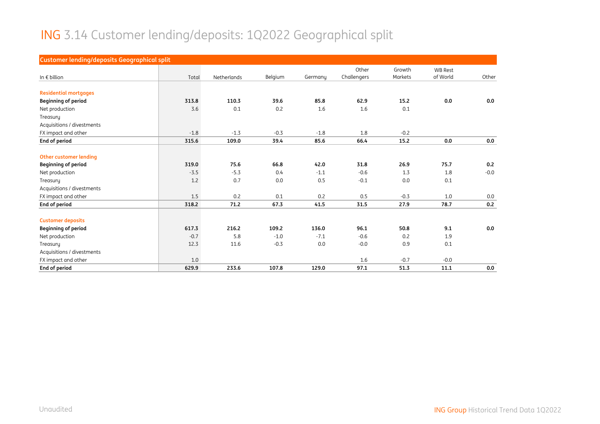# ING 3.14 Customer lending/deposits: 1Q2022 Geographical split

| <b>Customer lending/deposits Geographical split</b> |        |             |         |         |             |                   |                            |        |
|-----------------------------------------------------|--------|-------------|---------|---------|-------------|-------------------|----------------------------|--------|
|                                                     |        |             |         |         | Other       | Growth<br>Markets | <b>WB Rest</b><br>of World |        |
| In $\epsilon$ billion                               | Total  | Netherlands | Belgium | Germanu | Challengers |                   |                            | Other  |
| <b>Residential mortgages</b>                        |        |             |         |         |             |                   |                            |        |
| <b>Beginning of period</b>                          | 313.8  | 110.3       | 39.6    | 85.8    | 62.9        | 15.2              | 0.0                        | 0.0    |
| Net production                                      | 3.6    | 0.1         | 0.2     | 1.6     | 1.6         | 0.1               |                            |        |
| Treasury                                            |        |             |         |         |             |                   |                            |        |
| Acquisitions / divestments                          |        |             |         |         |             |                   |                            |        |
| FX impact and other                                 | $-1.8$ | $-1.3$      | $-0.3$  | $-1.8$  | 1.8         | $-0.2$            |                            |        |
| End of period                                       | 315.6  | 109.0       | 39.4    | 85.6    | 66.4        | 15.2              | 0.0                        | 0.0    |
|                                                     |        |             |         |         |             |                   |                            |        |
| Other customer lending                              |        |             |         |         |             |                   |                            |        |
| <b>Beginning of period</b>                          | 319.0  | 75.6        | 66.8    | 42.0    | 31.8        | 26.9              | 75.7                       | 0.2    |
| Net production                                      | $-3.5$ | $-5.3$      | 0.4     | $-1.1$  | $-0.6$      | 1.3               | 1.8                        | $-0.0$ |
| Treasury                                            | 1.2    | 0.7         | 0.0     | 0.5     | $-0.1$      | 0.0               | 0.1                        |        |
| Acquisitions / divestments                          |        |             |         |         |             |                   |                            |        |
| FX impact and other                                 | 1.5    | 0.2         | 0.1     | 0.2     | 0.5         | $-0.3$            | 1.0                        | 0.0    |
| End of period                                       | 318.2  | 71.2        | 67.3    | 41.5    | 31.5        | 27.9              | 78.7                       | 0.2    |
|                                                     |        |             |         |         |             |                   |                            |        |
| <b>Customer deposits</b>                            |        |             |         |         |             |                   |                            |        |
| <b>Beginning of period</b>                          | 617.3  | 216.2       | 109.2   | 136.0   | 96.1        | 50.8              | 9.1                        | 0.0    |
| Net production                                      | $-0.7$ | 5.8         | $-1.0$  | $-7.1$  | $-0.6$      | 0.2               | 1.9                        |        |
| Treasury                                            | 12.3   | 11.6        | $-0.3$  | 0.0     | $-0.0$      | 0.9               | 0.1                        |        |
| Acquisitions / divestments                          |        |             |         |         |             |                   |                            |        |
| FX impact and other                                 | 1.0    |             |         |         | 1.6         | $-0.7$            | $-0.0$                     |        |
| End of period                                       | 629.9  | 233.6       | 107.8   | 129.0   | 97.1        | 51.3              | 11.1                       | 0.0    |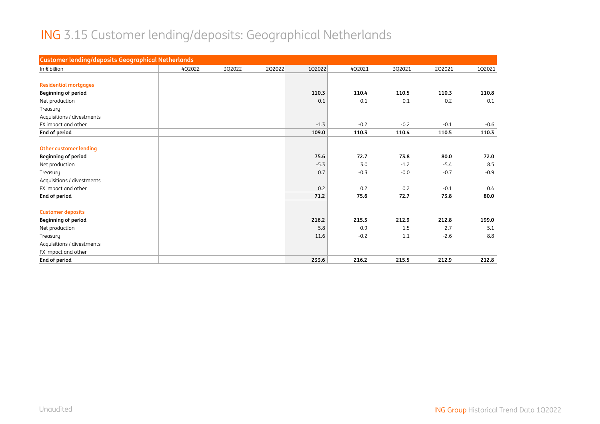# ING 3.15 Customer lending/deposits: Geographical Netherlands

| 1Q2022<br>3Q2022<br>2Q2022<br>4Q2021<br>3Q2021<br>2Q2021<br>1Q2021<br>4Q2022<br>110.3<br>110.4<br>110.5<br>110.3<br>110.8<br>0.2<br>0.1<br>0.1<br>0.1<br>0.1<br>$-0.2$<br>$-0.2$<br>$-0.1$<br>$-1.3$<br>$-0.6$<br>109.0<br>110.3<br>110.4<br>110.5<br>110.3<br>75.6<br>72.7<br>73.8<br>80.0<br>72.0<br>$-5.3$<br>3.0<br>$-1.2$<br>8.5<br>$-5.4$<br>$-0.9$<br>0.7<br>$-0.3$<br>$-0.0$<br>$-0.7$<br>0.2<br>0.2<br>0.2<br>$-0.1$<br>0.4<br>71.2<br>72.7<br>75.6<br>73.8<br>80.0<br><b>Customer deposits</b><br><b>Beginning of period</b><br>216.2<br>215.5<br>212.9<br>212.8<br>199.0<br>5.8<br>0.9<br>1.5<br>2.7<br>5.1<br>Net production<br>8.8<br>11.6<br>$-0.2$<br>1.1<br>$-2.6$<br>Treasury<br>Acquisitions / divestments<br>FX impact and other | <b>Customer lending/deposits Geographical Netherlands</b> |  |  |  |  |
|-----------------------------------------------------------------------------------------------------------------------------------------------------------------------------------------------------------------------------------------------------------------------------------------------------------------------------------------------------------------------------------------------------------------------------------------------------------------------------------------------------------------------------------------------------------------------------------------------------------------------------------------------------------------------------------------------------------------------------------------------------|-----------------------------------------------------------|--|--|--|--|
|                                                                                                                                                                                                                                                                                                                                                                                                                                                                                                                                                                                                                                                                                                                                                     | In $\epsilon$ billion                                     |  |  |  |  |
|                                                                                                                                                                                                                                                                                                                                                                                                                                                                                                                                                                                                                                                                                                                                                     |                                                           |  |  |  |  |
|                                                                                                                                                                                                                                                                                                                                                                                                                                                                                                                                                                                                                                                                                                                                                     | <b>Residential mortgages</b>                              |  |  |  |  |
|                                                                                                                                                                                                                                                                                                                                                                                                                                                                                                                                                                                                                                                                                                                                                     | <b>Beginning of period</b>                                |  |  |  |  |
|                                                                                                                                                                                                                                                                                                                                                                                                                                                                                                                                                                                                                                                                                                                                                     | Net production                                            |  |  |  |  |
|                                                                                                                                                                                                                                                                                                                                                                                                                                                                                                                                                                                                                                                                                                                                                     | Treasury                                                  |  |  |  |  |
|                                                                                                                                                                                                                                                                                                                                                                                                                                                                                                                                                                                                                                                                                                                                                     | Acquisitions / divestments                                |  |  |  |  |
|                                                                                                                                                                                                                                                                                                                                                                                                                                                                                                                                                                                                                                                                                                                                                     | FX impact and other                                       |  |  |  |  |
|                                                                                                                                                                                                                                                                                                                                                                                                                                                                                                                                                                                                                                                                                                                                                     | End of period                                             |  |  |  |  |
|                                                                                                                                                                                                                                                                                                                                                                                                                                                                                                                                                                                                                                                                                                                                                     |                                                           |  |  |  |  |
|                                                                                                                                                                                                                                                                                                                                                                                                                                                                                                                                                                                                                                                                                                                                                     | <b>Other customer lending</b>                             |  |  |  |  |
|                                                                                                                                                                                                                                                                                                                                                                                                                                                                                                                                                                                                                                                                                                                                                     | <b>Beginning of period</b>                                |  |  |  |  |
|                                                                                                                                                                                                                                                                                                                                                                                                                                                                                                                                                                                                                                                                                                                                                     | Net production                                            |  |  |  |  |
|                                                                                                                                                                                                                                                                                                                                                                                                                                                                                                                                                                                                                                                                                                                                                     | Treasury                                                  |  |  |  |  |
|                                                                                                                                                                                                                                                                                                                                                                                                                                                                                                                                                                                                                                                                                                                                                     | Acquisitions / divestments                                |  |  |  |  |
|                                                                                                                                                                                                                                                                                                                                                                                                                                                                                                                                                                                                                                                                                                                                                     | FX impact and other                                       |  |  |  |  |
|                                                                                                                                                                                                                                                                                                                                                                                                                                                                                                                                                                                                                                                                                                                                                     | End of period                                             |  |  |  |  |
|                                                                                                                                                                                                                                                                                                                                                                                                                                                                                                                                                                                                                                                                                                                                                     |                                                           |  |  |  |  |
|                                                                                                                                                                                                                                                                                                                                                                                                                                                                                                                                                                                                                                                                                                                                                     |                                                           |  |  |  |  |
|                                                                                                                                                                                                                                                                                                                                                                                                                                                                                                                                                                                                                                                                                                                                                     |                                                           |  |  |  |  |
|                                                                                                                                                                                                                                                                                                                                                                                                                                                                                                                                                                                                                                                                                                                                                     |                                                           |  |  |  |  |
|                                                                                                                                                                                                                                                                                                                                                                                                                                                                                                                                                                                                                                                                                                                                                     |                                                           |  |  |  |  |
|                                                                                                                                                                                                                                                                                                                                                                                                                                                                                                                                                                                                                                                                                                                                                     |                                                           |  |  |  |  |
| 233.6<br>216.2<br>215.5<br>212.9<br>212.8                                                                                                                                                                                                                                                                                                                                                                                                                                                                                                                                                                                                                                                                                                           | End of period                                             |  |  |  |  |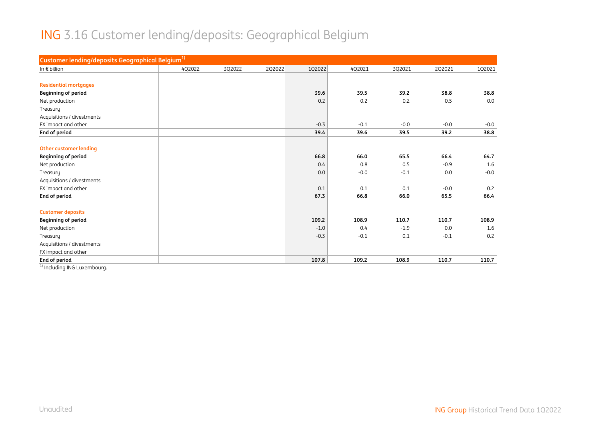#### ING 3.16 Customer lending/deposits: Geographical Belgium

| Customer lending/deposits Geographical Belgium <sup>1)</sup> |        |        |        |        |        |        |        |        |
|--------------------------------------------------------------|--------|--------|--------|--------|--------|--------|--------|--------|
| In $\epsilon$ billion                                        | 4Q2022 | 3Q2022 | 2Q2022 | 1Q2022 | 4Q2021 | 3Q2021 | 2Q2021 | 1Q2021 |
|                                                              |        |        |        |        |        |        |        |        |
| <b>Residential mortgages</b>                                 |        |        |        |        |        |        |        |        |
| <b>Beginning of period</b>                                   |        |        |        | 39.6   | 39.5   | 39.2   | 38.8   | 38.8   |
| Net production                                               |        |        |        | 0.2    | 0.2    | 0.2    | 0.5    | 0.0    |
| Treasury                                                     |        |        |        |        |        |        |        |        |
| Acquisitions / divestments                                   |        |        |        |        |        |        |        |        |
| FX impact and other                                          |        |        |        | $-0.3$ | $-0.1$ | $-0.0$ | $-0.0$ | $-0.0$ |
| End of period                                                |        |        |        | 39.4   | 39.6   | 39.5   | 39.2   | 38.8   |
|                                                              |        |        |        |        |        |        |        |        |
| <b>Other customer lending</b>                                |        |        |        |        |        |        |        |        |
| <b>Beginning of period</b>                                   |        |        |        | 66.8   | 66.0   | 65.5   | 66.4   | 64.7   |
| Net production                                               |        |        |        | 0.4    | 0.8    | 0.5    | $-0.9$ | 1.6    |
| Treasury                                                     |        |        |        | 0.0    | $-0.0$ | $-0.1$ | 0.0    | $-0.0$ |
| Acquisitions / divestments                                   |        |        |        |        |        |        |        |        |
| FX impact and other                                          |        |        |        | 0.1    | 0.1    | 0.1    | $-0.0$ | 0.2    |
| End of period                                                |        |        |        | 67.3   | 66.8   | 66.0   | 65.5   | 66.4   |
| <b>Customer deposits</b>                                     |        |        |        |        |        |        |        |        |
| <b>Beginning of period</b>                                   |        |        |        | 109.2  | 108.9  | 110.7  | 110.7  | 108.9  |
| Net production                                               |        |        |        | $-1.0$ | 0.4    | $-1.9$ | 0.0    | 1.6    |
| Treasury                                                     |        |        |        | $-0.3$ | $-0.1$ | 0.1    | $-0.1$ | 0.2    |
| Acquisitions / divestments                                   |        |        |        |        |        |        |        |        |
| FX impact and other                                          |        |        |        |        |        |        |        |        |
| End of period                                                |        |        |        | 107.8  | 109.2  | 108.9  | 110.7  | 110.7  |

<sup>1)</sup> Including ING Luxembourg.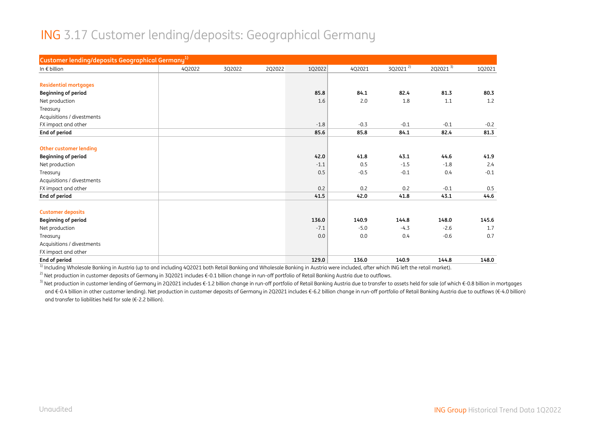#### ING 3.17 Customer lending/deposits: Geographical Germany

| Customer lending/deposits Geographical Germany <sup>1)</sup> |        |        |        |        |        |              |              |        |
|--------------------------------------------------------------|--------|--------|--------|--------|--------|--------------|--------------|--------|
| In $\epsilon$ billion                                        | 4Q2022 | 3Q2022 | 2Q2022 | 1Q2022 | 4Q2021 | $3Q2021^{2}$ | $2Q2021^{3}$ | 1Q2021 |
|                                                              |        |        |        |        |        |              |              |        |
| <b>Residential mortgages</b>                                 |        |        |        |        |        |              |              |        |
| <b>Beginning of period</b>                                   |        |        |        | 85.8   | 84.1   | 82.4         | 81.3         | 80.3   |
| Net production                                               |        |        |        | 1.6    | 2.0    | 1.8          | 1.1          | 1.2    |
| Treasury                                                     |        |        |        |        |        |              |              |        |
| Acquisitions / divestments                                   |        |        |        |        |        |              |              |        |
| FX impact and other                                          |        |        |        | $-1.8$ | $-0.3$ | $-0.1$       | $-0.1$       | $-0.2$ |
| End of period                                                |        |        |        | 85.6   | 85.8   | 84.1         | 82.4         | 81.3   |
|                                                              |        |        |        |        |        |              |              |        |
| Other customer lending                                       |        |        |        |        |        |              |              |        |
| <b>Beginning of period</b>                                   |        |        |        | 42.0   | 41.8   | 43.1         | 44.6         | 41.9   |
| Net production                                               |        |        |        | $-1.1$ | 0.5    | $-1.5$       | $-1.8$       | 2.4    |
| Treasury                                                     |        |        |        | 0.5    | $-0.5$ | $-0.1$       | 0.4          | $-0.1$ |
| Acquisitions / divestments                                   |        |        |        |        |        |              |              |        |
| FX impact and other                                          |        |        |        | 0.2    | 0.2    | 0.2          | $-0.1$       | 0.5    |
| End of period                                                |        |        |        | 41.5   | 42.0   | 41.8         | 43.1         | 44.6   |
|                                                              |        |        |        |        |        |              |              |        |
| <b>Customer deposits</b>                                     |        |        |        |        |        |              |              |        |
| <b>Beginning of period</b>                                   |        |        |        | 136.0  | 140.9  | 144.8        | 148.0        | 145.6  |
| Net production                                               |        |        |        | $-7.1$ | $-5.0$ | $-4.3$       | $-2.6$       | 1.7    |
| Treasury                                                     |        |        |        | 0.0    | 0.0    | 0.4          | $-0.6$       | 0.7    |
| Acquisitions / divestments                                   |        |        |        |        |        |              |              |        |
| FX impact and other                                          |        |        |        |        |        |              |              |        |
| End of period                                                |        |        |        | 129.0  | 136.0  | 140.9        | 144.8        | 148.0  |

 $1$  Including Wholesale Banking in Austria (up to and including 4Q2021 both Retail Banking and Wholesale Banking in Austria were included, after which ING left the retail market).

<sup>2)</sup> Net production in customer deposits of Germany in 3Q2021 includes €-0.1 billion change in run-off portfolio of Retail Banking Austria due to outflows.

<sup>3)</sup> Net production in customer lending of Germany in 2Q2021 includes €-1.2 billion change in run-off portfolio of Retail Banking Austria due to transfer to assets held for sale (of which €-0.8 billion in mortgages and €-0.4 billion in other customer lending). Net production in customer deposits of Germany in 2Q2021 includes €-6.2 billion change in run-off portfolio of Retail Banking Austria due to outflows (€-4.0 billion) and transfer to liabilities held for sale (€-2.2 billion).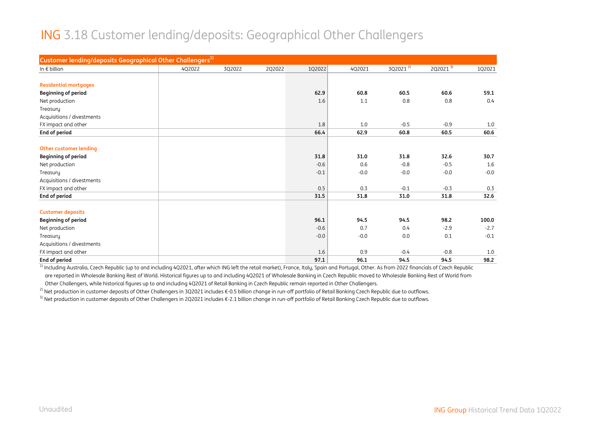#### ING 3.18 Customer lending/deposits: Geographical Other Challengers

| Customer lending/deposits Geographical Other Challengers <sup>1)</sup> |        |        |        |        |        |              |              |        |
|------------------------------------------------------------------------|--------|--------|--------|--------|--------|--------------|--------------|--------|
| In $\epsilon$ billion                                                  | 4Q2022 | 3Q2022 | 2Q2022 | 1Q2022 | 4Q2021 | $3Q2021^{2}$ | $2Q2021^{3}$ | 1Q2021 |
|                                                                        |        |        |        |        |        |              |              |        |
| <b>Residential mortgages</b>                                           |        |        |        |        |        |              |              |        |
| <b>Beginning of period</b>                                             |        |        |        | 62.9   | 60.8   | 60.5         | 60.6         | 59.1   |
| Net production                                                         |        |        |        | 1.6    | 1.1    | 0.8          | 0.8          | 0.4    |
| Treasury                                                               |        |        |        |        |        |              |              |        |
| Acquisitions / divestments                                             |        |        |        |        |        |              |              |        |
| FX impact and other                                                    |        |        |        | 1.8    | 1.0    | $-0.5$       | $-0.9$       | 1.0    |
| End of period                                                          |        |        |        | 66.4   | 62.9   | 60.8         | 60.5         | 60.6   |
|                                                                        |        |        |        |        |        |              |              |        |
| <b>Other customer lending</b>                                          |        |        |        |        |        |              |              |        |
| <b>Beginning of period</b>                                             |        |        |        | 31.8   | 31.0   | 31.8         | 32.6         | 30.7   |
| Net production                                                         |        |        |        | $-0.6$ | 0.6    | $-0.8$       | $-0.5$       | 1.6    |
| Treasury                                                               |        |        |        | $-0.1$ | $-0.0$ | $-0.0$       | $-0.0$       | $-0.0$ |
| Acquisitions / divestments                                             |        |        |        |        |        |              |              |        |
| FX impact and other                                                    |        |        |        | 0.5    | 0.3    | $-0.1$       | $-0.3$       | 0.3    |
| End of period                                                          |        |        |        | 31.5   | 31.8   | 31.0         | 31.8         | 32.6   |
|                                                                        |        |        |        |        |        |              |              |        |
| <b>Customer deposits</b>                                               |        |        |        |        |        |              |              |        |
| <b>Beginning of period</b>                                             |        |        |        | 96.1   | 94.5   | 94.5         | 98.2         | 100.0  |
| Net production                                                         |        |        |        | $-0.6$ | 0.7    | 0.4          | $-2.9$       | $-2.7$ |
| Treasury                                                               |        |        |        | $-0.0$ | $-0.0$ | 0.0          | 0.1          | $-0.1$ |
| Acquisitions / divestments                                             |        |        |        |        |        |              |              |        |
| FX impact and other                                                    |        |        |        | 1.6    | 0.9    | $-0.4$       | $-0.8$       | 1.0    |
| End of period                                                          |        |        |        | 97.1   | 96.1   | 94.5         | 94.5         | 98.2   |

<sup>1)</sup> Including Australia, Czech Republic (up to and including 4Q2021, after which ING left the retail market), France, Italy, Spain and Portugal, Other. As from 2022 financials of Czech Republic are reported in Wholesale Banking Rest of World. Historical figures up to and including 4Q2021 of Wholesale Banking in Czech Republic moved to Wholesale Banking Rest of World from Other Challengers, while historical figures up to and including 4Q2021 of Retail Banking in Czech Republic remain reported in Other Challengers.

<sup>2)</sup> Net production in customer deposits of Other Challengers in 3Q2021 includes €-0.5 billion change in run-off portfolio of Retail Banking Czech Republic due to outflows.

3) Net production in customer deposits of Other Challengers in 2Q2021 includes €-2.1 billion change in run-off portfolio of Retail Banking Czech Republic due to outflows.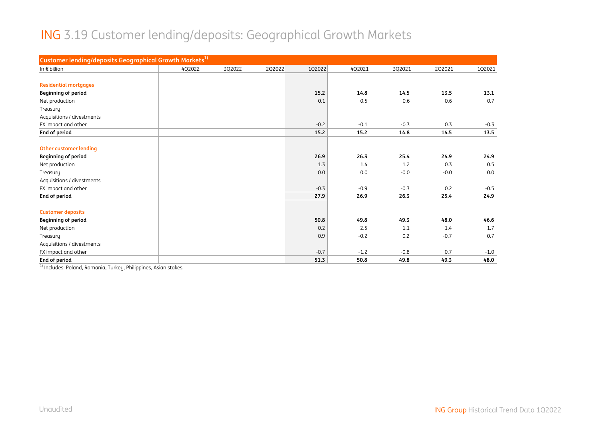# ING 3.19 Customer lending/deposits: Geographical Growth Markets

| Customer lending/deposits Geographical Growth Markets <sup>1)</sup> |        |        |        |        |        |        |        |        |
|---------------------------------------------------------------------|--------|--------|--------|--------|--------|--------|--------|--------|
| In $\epsilon$ billion                                               | 4Q2022 | 3Q2022 | 2Q2022 | 1Q2022 | 4Q2021 | 3Q2021 | 2Q2021 | 1Q2021 |
|                                                                     |        |        |        |        |        |        |        |        |
| <b>Residential mortgages</b>                                        |        |        |        |        |        |        |        |        |
| <b>Beginning of period</b>                                          |        |        |        | 15.2   | 14.8   | 14.5   | 13.5   | 13.1   |
| Net production                                                      |        |        |        | 0.1    | 0.5    | 0.6    | 0.6    | 0.7    |
| Treasury                                                            |        |        |        |        |        |        |        |        |
| Acquisitions / divestments                                          |        |        |        |        |        |        |        |        |
| FX impact and other                                                 |        |        |        | $-0.2$ | $-0.1$ | $-0.3$ | 0.3    | $-0.3$ |
| End of period                                                       |        |        |        | 15.2   | 15.2   | 14.8   | 14.5   | 13.5   |
|                                                                     |        |        |        |        |        |        |        |        |
| <b>Other customer lending</b>                                       |        |        |        |        |        |        |        |        |
| <b>Beginning of period</b>                                          |        |        |        | 26.9   | 26.3   | 25.4   | 24.9   | 24.9   |
| Net production                                                      |        |        |        | 1.3    | 1.4    | 1.2    | 0.3    | 0.5    |
| Treasury                                                            |        |        |        | 0.0    | 0.0    | $-0.0$ | $-0.0$ | 0.0    |
| Acquisitions / divestments                                          |        |        |        |        |        |        |        |        |
| FX impact and other                                                 |        |        |        | $-0.3$ | $-0.9$ | $-0.3$ | 0.2    | $-0.5$ |
| End of period                                                       |        |        |        | 27.9   | 26.9   | 26.3   | 25.4   | 24.9   |
|                                                                     |        |        |        |        |        |        |        |        |
| <b>Customer deposits</b>                                            |        |        |        |        |        |        |        |        |
| <b>Beginning of period</b>                                          |        |        |        | 50.8   | 49.8   | 49.3   | 48.0   | 46.6   |
| Net production                                                      |        |        |        | 0.2    | 2.5    | 1.1    | 1.4    | 1.7    |
| Treasury                                                            |        |        |        | 0.9    | $-0.2$ | 0.2    | $-0.7$ | 0.7    |
| Acquisitions / divestments                                          |        |        |        |        |        |        |        |        |
| FX impact and other                                                 |        |        |        | $-0.7$ | $-1.2$ | $-0.8$ | 0.7    | $-1.0$ |
| End of period                                                       |        |        |        | 51.3   | 50.8   | 49.8   | 49.3   | 48.0   |

<sup>1)</sup> Includes: Poland, Romania, Turkey, Philippines, Asian stakes.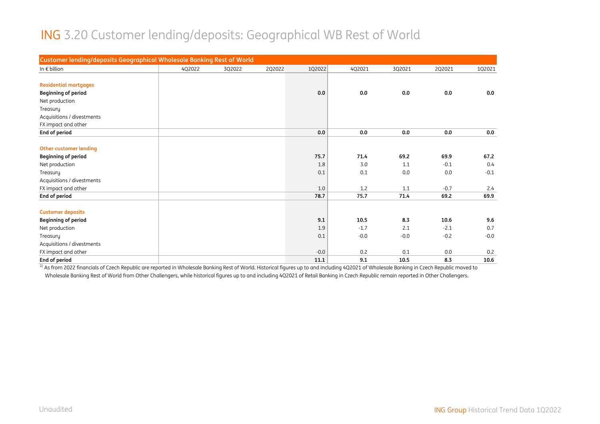#### ING 3.20 Customer lending/deposits: Geographical WB Rest of World

| Customer lending/deposits Geographical Wholesale Banking Rest of World |        |        |        |        |        |        |        |        |
|------------------------------------------------------------------------|--------|--------|--------|--------|--------|--------|--------|--------|
| In $\epsilon$ billion                                                  | 4Q2022 | 3Q2022 | 2Q2022 | 1Q2022 | 4Q2021 | 3Q2021 | 2Q2021 | 1Q2021 |
|                                                                        |        |        |        |        |        |        |        |        |
| <b>Residential mortgages</b>                                           |        |        |        |        |        |        |        |        |
| <b>Beginning of period</b>                                             |        |        |        | 0.0    | 0.0    | 0.0    | 0.0    | 0.0    |
| Net production                                                         |        |        |        |        |        |        |        |        |
| Treasury                                                               |        |        |        |        |        |        |        |        |
| Acquisitions / divestments                                             |        |        |        |        |        |        |        |        |
| FX impact and other                                                    |        |        |        |        |        |        |        |        |
| End of period                                                          |        |        |        | 0.0    | 0.0    | 0.0    | 0.0    | 0.0    |
|                                                                        |        |        |        |        |        |        |        |        |
| <b>Other customer lending</b>                                          |        |        |        |        |        |        |        |        |
| <b>Beginning of period</b>                                             |        |        |        | 75.7   | 71.4   | 69.2   | 69.9   | 67.2   |
| Net production                                                         |        |        |        | 1.8    | 3.0    | 1.1    | $-0.1$ | 0.4    |
| Treasury                                                               |        |        |        | 0.1    | 0.1    | 0.0    | 0.0    | $-0.1$ |
| Acquisitions / divestments                                             |        |        |        |        |        |        |        |        |
| FX impact and other                                                    |        |        |        | 1.0    | 1.2    | 1.1    | $-0.7$ | 2.4    |
| End of period                                                          |        |        |        | 78.7   | 75.7   | 71.4   | 69.2   | 69.9   |
|                                                                        |        |        |        |        |        |        |        |        |
| <b>Customer deposits</b>                                               |        |        |        |        |        |        |        |        |
| <b>Beginning of period</b>                                             |        |        |        | 9.1    | 10.5   | 8.3    | 10.6   | 9.6    |
| Net production                                                         |        |        |        | 1.9    | $-1.7$ | 2.1    | $-2.1$ | 0.7    |
| Treasury                                                               |        |        |        | 0.1    | $-0.0$ | $-0.0$ | $-0.2$ | $-0.0$ |
| Acquisitions / divestments                                             |        |        |        |        |        |        |        |        |
| FX impact and other                                                    |        |        |        | $-0.0$ | 0.2    | 0.1    | 0.0    | 0.2    |
| End of period                                                          |        |        |        | 11.1   | 9.1    | 10.5   | 8.3    | 10.6   |

 $^{\rm 1)}$  As from 2022 financials of Czech Republic are reported in Wholesale Banking Rest of World. Historical figures up to and including 4Q2021 of Wholesale Banking in Czech Republic moved to Wholesale Banking Rest of World from Other Challengers, while historical figures up to and including 4Q2021 of Retail Banking in Czech Republic remain reported in Other Challengers.

Unaudited ING Group Historical Trend Data 1Q2022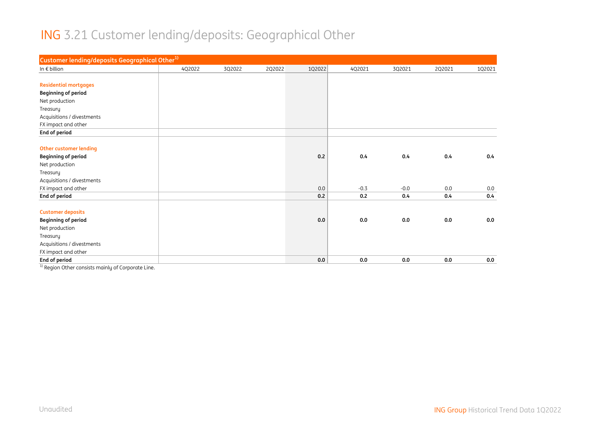#### ING 3.21 Customer lending/deposits: Geographical Other

| Customer lending/deposits Geographical Other <sup>1)</sup> |        |        |        |        |        |        |        |        |
|------------------------------------------------------------|--------|--------|--------|--------|--------|--------|--------|--------|
| In $\epsilon$ billion                                      | 4Q2022 | 3Q2022 | 2Q2022 | 1Q2022 | 4Q2021 | 3Q2021 | 2Q2021 | 1Q2021 |
|                                                            |        |        |        |        |        |        |        |        |
| <b>Residential mortgages</b>                               |        |        |        |        |        |        |        |        |
| <b>Beginning of period</b>                                 |        |        |        |        |        |        |        |        |
| Net production                                             |        |        |        |        |        |        |        |        |
| Treasury                                                   |        |        |        |        |        |        |        |        |
| Acquisitions / divestments                                 |        |        |        |        |        |        |        |        |
| FX impact and other                                        |        |        |        |        |        |        |        |        |
| End of period                                              |        |        |        |        |        |        |        |        |
|                                                            |        |        |        |        |        |        |        |        |
| <b>Other customer lending</b>                              |        |        |        |        |        |        |        |        |
| <b>Beginning of period</b>                                 |        |        |        | 0.2    | 0.4    | 0.4    | 0.4    | 0.4    |
| Net production                                             |        |        |        |        |        |        |        |        |
| Treasury                                                   |        |        |        |        |        |        |        |        |
| Acquisitions / divestments                                 |        |        |        |        |        |        |        |        |
| FX impact and other                                        |        |        |        | 0.0    | $-0.3$ | $-0.0$ | 0.0    | 0.0    |
| End of period                                              |        |        |        | 0.2    | 0.2    | 0.4    | 0.4    | 0.4    |
|                                                            |        |        |        |        |        |        |        |        |
| <b>Customer deposits</b>                                   |        |        |        |        |        |        |        |        |
| <b>Beginning of period</b>                                 |        |        |        | 0.0    | 0.0    | 0.0    | 0.0    | 0.0    |
| Net production                                             |        |        |        |        |        |        |        |        |
| Treasury                                                   |        |        |        |        |        |        |        |        |
| Acquisitions / divestments                                 |        |        |        |        |        |        |        |        |
| FX impact and other                                        |        |        |        |        |        |        |        |        |
| End of period                                              |        |        |        | 0.0    | 0.0    | 0.0    | 0.0    | 0.0    |

<sup>1)</sup> Region Other consists mainly of Corporate Line.